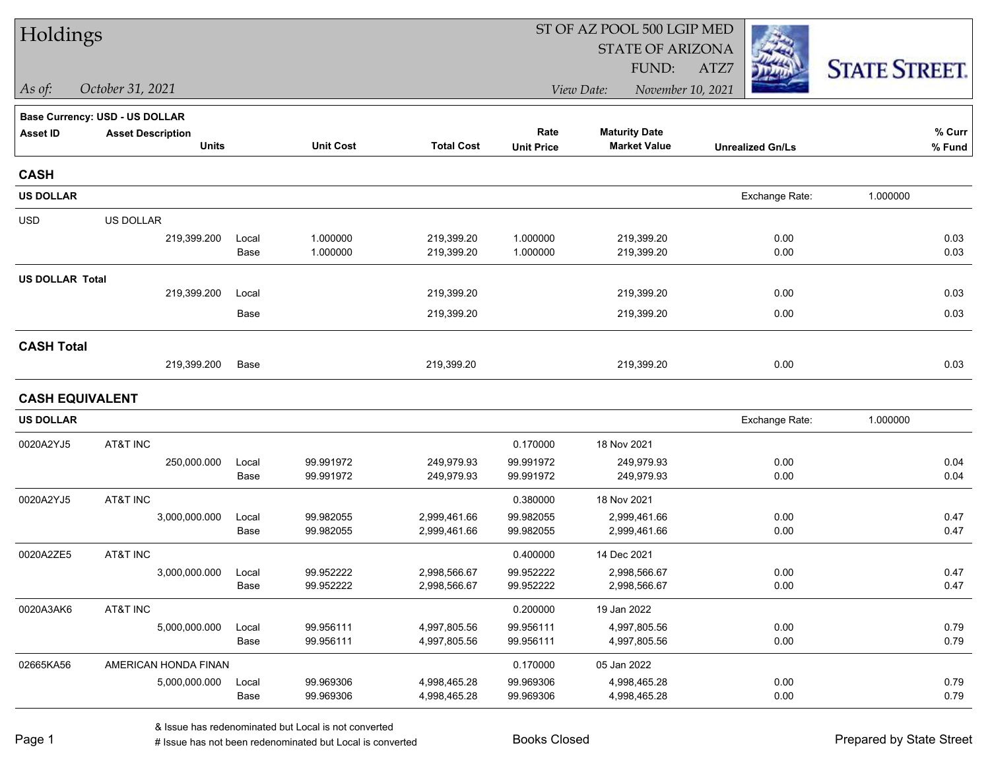| Holdings               |                                |       |                  |                   | ST OF AZ POOL 500 LGIP MED      |                         |                         |                      |
|------------------------|--------------------------------|-------|------------------|-------------------|---------------------------------|-------------------------|-------------------------|----------------------|
|                        |                                |       |                  |                   |                                 | <b>STATE OF ARIZONA</b> |                         |                      |
|                        |                                |       |                  |                   |                                 | FUND:                   | ATZ7                    | <b>STATE STREET.</b> |
| As of:                 | October 31, 2021               |       |                  |                   | November 10, 2021<br>View Date: |                         |                         |                      |
|                        | Base Currency: USD - US DOLLAR |       |                  |                   |                                 |                         |                         |                      |
| <b>Asset ID</b>        | <b>Asset Description</b>       |       |                  |                   | Rate                            | <b>Maturity Date</b>    |                         | % Curr               |
|                        | <b>Units</b>                   |       | <b>Unit Cost</b> | <b>Total Cost</b> | <b>Unit Price</b>               | <b>Market Value</b>     | <b>Unrealized Gn/Ls</b> | $%$ Fund             |
| <b>CASH</b>            |                                |       |                  |                   |                                 |                         |                         |                      |
| <b>US DOLLAR</b>       |                                |       |                  |                   |                                 |                         | Exchange Rate:          | 1.000000             |
| <b>USD</b>             | US DOLLAR                      |       |                  |                   |                                 |                         |                         |                      |
|                        | 219,399.200                    | Local | 1.000000         | 219,399.20        | 1.000000                        | 219,399.20              | 0.00                    | 0.03                 |
|                        |                                | Base  | 1.000000         | 219,399.20        | 1.000000                        | 219,399.20              | 0.00                    | 0.03                 |
| <b>US DOLLAR Total</b> |                                |       |                  |                   |                                 |                         |                         |                      |
|                        | 219,399.200                    | Local |                  | 219,399.20        |                                 | 219,399.20              | 0.00                    | 0.03                 |
|                        |                                | Base  |                  | 219,399.20        |                                 | 219,399.20              | 0.00                    | 0.03                 |
| <b>CASH Total</b>      |                                |       |                  |                   |                                 |                         |                         |                      |
|                        | 219,399.200                    | Base  |                  | 219,399.20        |                                 | 219,399.20              | 0.00                    | 0.03                 |
| <b>CASH EQUIVALENT</b> |                                |       |                  |                   |                                 |                         |                         |                      |
| <b>US DOLLAR</b>       |                                |       |                  |                   |                                 |                         | Exchange Rate:          | 1.000000             |
| 0020A2YJ5              | AT&T INC                       |       |                  |                   | 0.170000                        | 18 Nov 2021             |                         |                      |
|                        | 250,000.000                    | Local | 99.991972        | 249,979.93        | 99.991972                       | 249,979.93              | 0.00                    | 0.04                 |
|                        |                                | Base  | 99.991972        | 249,979.93        | 99.991972                       | 249,979.93              | 0.00                    | 0.04                 |
| 0020A2YJ5              | AT&T INC                       |       |                  |                   | 0.380000                        | 18 Nov 2021             |                         |                      |
|                        | 3,000,000.000                  | Local | 99.982055        | 2,999,461.66      | 99.982055                       | 2,999,461.66            | 0.00                    | 0.47                 |
|                        |                                | Base  | 99.982055        | 2,999,461.66      | 99.982055                       | 2,999,461.66            | 0.00                    | 0.47                 |
| 0020A2ZE5              | AT&T INC                       |       |                  |                   | 0.400000                        | 14 Dec 2021             |                         |                      |
|                        | 3,000,000.000                  | Local | 99.952222        | 2,998,566.67      | 99.952222                       | 2,998,566.67            | 0.00                    | 0.47                 |
|                        |                                | Base  | 99.952222        | 2,998,566.67      | 99.952222                       | 2,998,566.67            | 0.00                    | 0.47                 |
| 0020A3AK6              | AT&T INC                       |       |                  |                   | 0.200000                        | 19 Jan 2022             |                         |                      |
|                        | 5,000,000.000                  | Local | 99.956111        | 4,997,805.56      | 99.956111                       | 4,997,805.56            | 0.00                    | 0.79                 |
|                        |                                | Base  | 99.956111        | 4,997,805.56      | 99.956111                       | 4,997,805.56            | 0.00                    | 0.79                 |
| 02665KA56              | AMERICAN HONDA FINAN           |       |                  |                   | 0.170000                        | 05 Jan 2022             |                         |                      |
|                        | 5,000,000.000                  | Local | 99.969306        | 4,998,465.28      | 99.969306                       | 4,998,465.28            | 0.00                    | 0.79                 |
|                        |                                | Base  | 99.969306        | 4,998,465.28      | 99.969306                       | 4,998,465.28            | 0.00                    | 0.79                 |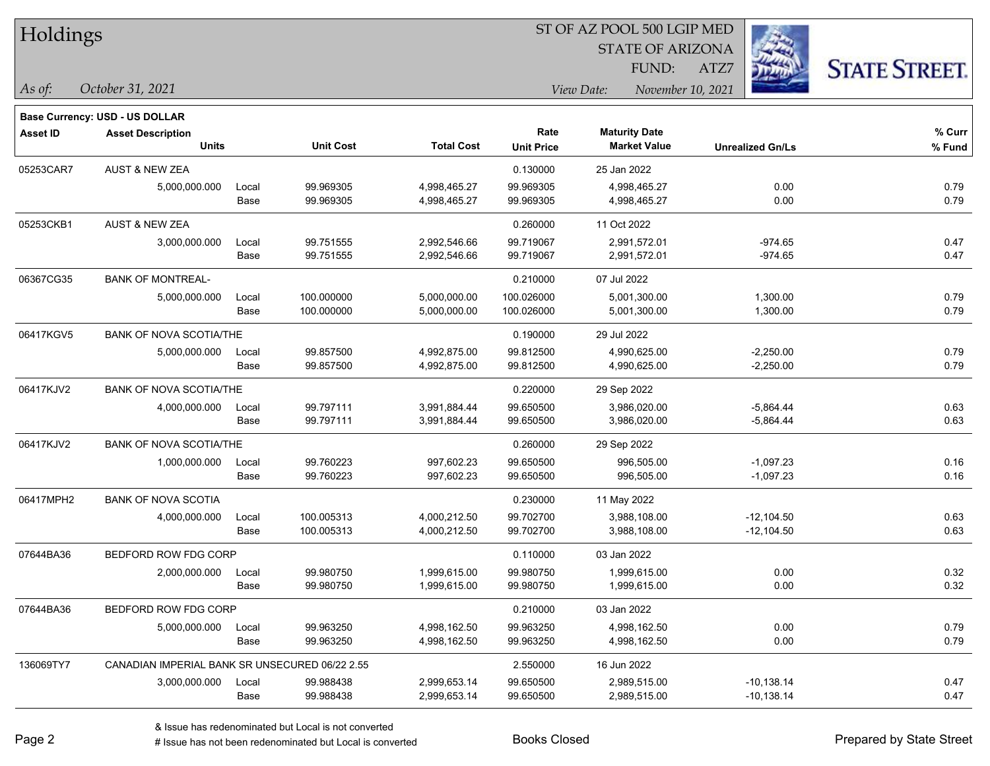| Holdings |
|----------|
|          |

STATE OF ARIZONA

ATZ7



**Base Currency: USD - US DOLLAR**

*October 31, 2021 As of: View Date: November 10, 2021* FUND:

| <b>Asset ID</b> | <b>Asset Description</b>                       |       |                  |                   | Rate              | <b>Maturity Date</b> |                         | % Curr |
|-----------------|------------------------------------------------|-------|------------------|-------------------|-------------------|----------------------|-------------------------|--------|
|                 | <b>Units</b>                                   |       | <b>Unit Cost</b> | <b>Total Cost</b> | <b>Unit Price</b> | <b>Market Value</b>  | <b>Unrealized Gn/Ls</b> | % Fund |
| 05253CAR7       | <b>AUST &amp; NEW ZEA</b>                      |       |                  |                   | 0.130000          | 25 Jan 2022          |                         |        |
|                 | 5,000,000.000                                  | Local | 99.969305        | 4,998,465.27      | 99.969305         | 4,998,465.27         | 0.00                    | 0.79   |
|                 |                                                | Base  | 99.969305        | 4,998,465.27      | 99.969305         | 4,998,465.27         | 0.00                    | 0.79   |
| 05253CKB1       | <b>AUST &amp; NEW ZEA</b>                      |       |                  |                   | 0.260000          | 11 Oct 2022          |                         |        |
|                 | 3,000,000.000                                  | Local | 99.751555        | 2,992,546.66      | 99.719067         | 2,991,572.01         | $-974.65$               | 0.47   |
|                 |                                                | Base  | 99.751555        | 2,992,546.66      | 99.719067         | 2,991,572.01         | $-974.65$               | 0.47   |
| 06367CG35       | <b>BANK OF MONTREAL-</b>                       |       |                  |                   | 0.210000          | 07 Jul 2022          |                         |        |
|                 | 5,000,000.000                                  | Local | 100.000000       | 5,000,000.00      | 100.026000        | 5,001,300.00         | 1,300.00                | 0.79   |
|                 |                                                | Base  | 100.000000       | 5,000,000.00      | 100.026000        | 5,001,300.00         | 1,300.00                | 0.79   |
| 06417KGV5       | <b>BANK OF NOVA SCOTIA/THE</b>                 |       |                  |                   | 0.190000          | 29 Jul 2022          |                         |        |
|                 | 5,000,000.000                                  | Local | 99.857500        | 4,992,875.00      | 99.812500         | 4,990,625.00         | $-2,250.00$             | 0.79   |
|                 |                                                | Base  | 99.857500        | 4,992,875.00      | 99.812500         | 4,990,625.00         | $-2,250.00$             | 0.79   |
| 06417KJV2       | <b>BANK OF NOVA SCOTIA/THE</b>                 |       |                  |                   | 0.220000          | 29 Sep 2022          |                         |        |
|                 | 4,000,000.000                                  | Local | 99.797111        | 3,991,884.44      | 99.650500         | 3,986,020.00         | $-5,864.44$             | 0.63   |
|                 |                                                | Base  | 99.797111        | 3,991,884.44      | 99.650500         | 3,986,020.00         | $-5,864.44$             | 0.63   |
| 06417KJV2       | <b>BANK OF NOVA SCOTIA/THE</b>                 |       |                  |                   | 0.260000          | 29 Sep 2022          |                         |        |
|                 | 1,000,000.000                                  | Local | 99.760223        | 997,602.23        | 99.650500         | 996,505.00           | $-1,097.23$             | 0.16   |
|                 |                                                | Base  | 99.760223        | 997,602.23        | 99.650500         | 996,505.00           | $-1,097.23$             | 0.16   |
| 06417MPH2       | <b>BANK OF NOVA SCOTIA</b>                     |       |                  |                   | 0.230000          | 11 May 2022          |                         |        |
|                 | 4,000,000.000                                  | Local | 100.005313       | 4,000,212.50      | 99.702700         | 3,988,108.00         | $-12,104.50$            | 0.63   |
|                 |                                                | Base  | 100.005313       | 4,000,212.50      | 99.702700         | 3,988,108.00         | $-12,104.50$            | 0.63   |
| 07644BA36       | BEDFORD ROW FDG CORP                           |       |                  |                   | 0.110000          | 03 Jan 2022          |                         |        |
|                 | 2,000,000.000                                  | Local | 99.980750        | 1,999,615.00      | 99.980750         | 1,999,615.00         | 0.00                    | 0.32   |
|                 |                                                | Base  | 99.980750        | 1,999,615.00      | 99.980750         | 1,999,615.00         | 0.00                    | 0.32   |
| 07644BA36       | BEDFORD ROW FDG CORP                           |       |                  |                   | 0.210000          | 03 Jan 2022          |                         |        |
|                 | 5,000,000.000                                  | Local | 99.963250        | 4,998,162.50      | 99.963250         | 4,998,162.50         | 0.00                    | 0.79   |
|                 |                                                | Base  | 99.963250        | 4,998,162.50      | 99.963250         | 4,998,162.50         | 0.00                    | 0.79   |
| 136069TY7       | CANADIAN IMPERIAL BANK SR UNSECURED 06/22 2.55 |       |                  |                   | 2.550000          | 16 Jun 2022          |                         |        |
|                 | 3,000,000.000                                  | Local | 99.988438        | 2,999,653.14      | 99.650500         | 2,989,515.00         | $-10,138.14$            | 0.47   |
|                 |                                                | Base  | 99.988438        | 2,999,653.14      | 99.650500         | 2,989,515.00         | $-10,138.14$            | 0.47   |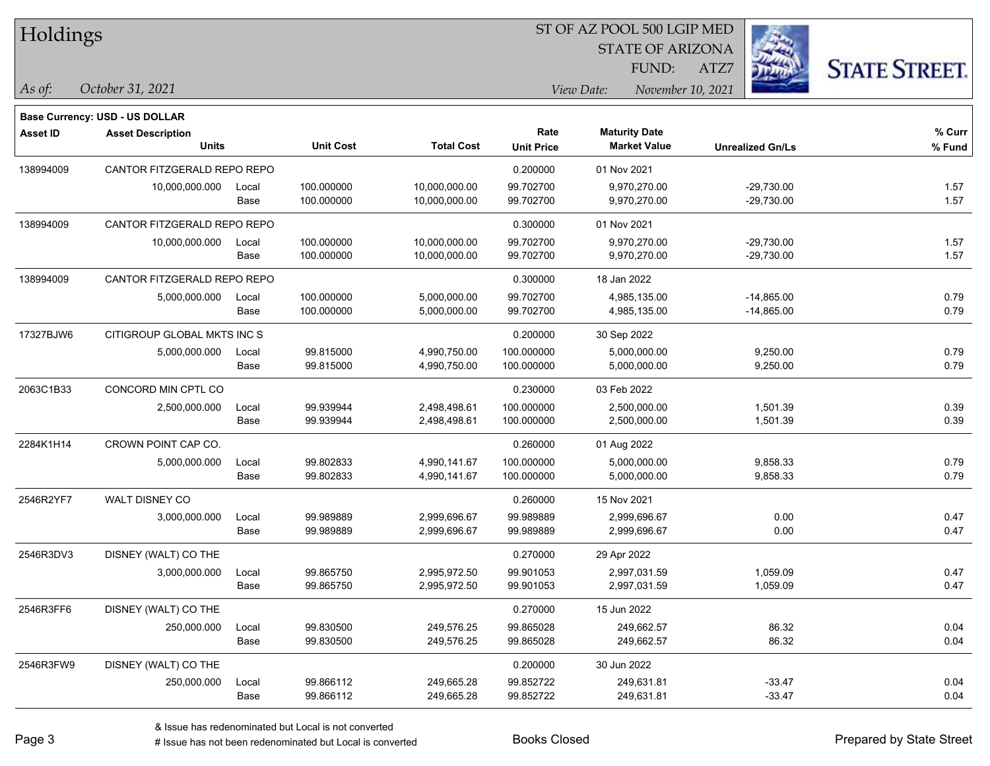|  | Holdings |
|--|----------|
|--|----------|

STATE OF ARIZONA

ATZ7



**Base Currency: USD - US DOLLAR**

*October 31, 2021 As of: View Date: November 10, 2021* FUND:

| <b>Asset ID</b> | <b>Asset Description</b><br><b>Units</b> |       | <b>Unit Cost</b> | <b>Total Cost</b> | Rate<br><b>Unit Price</b> | <b>Maturity Date</b><br><b>Market Value</b> | <b>Unrealized Gn/Ls</b> | % Curr<br>$%$ Fund |
|-----------------|------------------------------------------|-------|------------------|-------------------|---------------------------|---------------------------------------------|-------------------------|--------------------|
|                 |                                          |       |                  |                   |                           |                                             |                         |                    |
| 138994009       | CANTOR FITZGERALD REPO REPO              |       |                  |                   | 0.200000                  | 01 Nov 2021                                 |                         |                    |
|                 | 10,000,000.000                           | Local | 100.000000       | 10,000,000.00     | 99.702700                 | 9,970,270.00                                | $-29,730.00$            | 1.57               |
|                 |                                          | Base  | 100.000000       | 10,000,000.00     | 99.702700                 | 9,970,270.00                                | $-29,730.00$            | 1.57               |
| 138994009       | CANTOR FITZGERALD REPO REPO              |       |                  |                   | 0.300000                  | 01 Nov 2021                                 |                         |                    |
|                 | 10,000,000.000                           | Local | 100.000000       | 10,000,000.00     | 99.702700                 | 9,970,270.00                                | $-29,730.00$            | 1.57               |
|                 |                                          | Base  | 100.000000       | 10,000,000.00     | 99.702700                 | 9,970,270.00                                | $-29,730.00$            | 1.57               |
| 138994009       | CANTOR FITZGERALD REPO REPO              |       |                  |                   | 0.300000                  | 18 Jan 2022                                 |                         |                    |
|                 | 5,000,000.000                            | Local | 100.000000       | 5,000,000.00      | 99.702700                 | 4,985,135.00                                | $-14,865.00$            | 0.79               |
|                 |                                          | Base  | 100.000000       | 5,000,000.00      | 99.702700                 | 4,985,135.00                                | $-14,865.00$            | 0.79               |
| 17327BJW6       | CITIGROUP GLOBAL MKTS INC S              |       |                  |                   | 0.200000                  | 30 Sep 2022                                 |                         |                    |
|                 | 5,000,000.000                            | Local | 99.815000        | 4,990,750.00      | 100.000000                | 5,000,000.00                                | 9,250.00                | 0.79               |
|                 |                                          | Base  | 99.815000        | 4,990,750.00      | 100.000000                | 5,000,000.00                                | 9,250.00                | 0.79               |
| 2063C1B33       | CONCORD MIN CPTL CO                      |       |                  |                   | 0.230000                  | 03 Feb 2022                                 |                         |                    |
|                 | 2,500,000.000                            | Local | 99.939944        | 2,498,498.61      | 100.000000                | 2,500,000.00                                | 1,501.39                | 0.39               |
|                 |                                          | Base  | 99.939944        | 2,498,498.61      | 100.000000                | 2,500,000.00                                | 1,501.39                | 0.39               |
| 2284K1H14       | CROWN POINT CAP CO.                      |       |                  |                   | 0.260000                  | 01 Aug 2022                                 |                         |                    |
|                 | 5,000,000.000                            | Local | 99.802833        | 4,990,141.67      | 100.000000                | 5,000,000.00                                | 9,858.33                | 0.79               |
|                 |                                          | Base  | 99.802833        | 4,990,141.67      | 100.000000                | 5,000,000.00                                | 9,858.33                | 0.79               |
| 2546R2YF7       | WALT DISNEY CO                           |       |                  |                   | 0.260000                  | 15 Nov 2021                                 |                         |                    |
|                 | 3,000,000.000                            | Local | 99.989889        | 2,999,696.67      | 99.989889                 | 2,999,696.67                                | 0.00                    | 0.47               |
|                 |                                          | Base  | 99.989889        | 2,999,696.67      | 99.989889                 | 2,999,696.67                                | 0.00                    | 0.47               |
| 2546R3DV3       | DISNEY (WALT) CO THE                     |       |                  |                   | 0.270000                  | 29 Apr 2022                                 |                         |                    |
|                 | 3,000,000.000                            | Local | 99.865750        | 2,995,972.50      | 99.901053                 | 2,997,031.59                                | 1,059.09                | 0.47               |
|                 |                                          | Base  | 99.865750        | 2,995,972.50      | 99.901053                 | 2,997,031.59                                | 1,059.09                | 0.47               |
| 2546R3FF6       | DISNEY (WALT) CO THE                     |       |                  |                   | 0.270000                  | 15 Jun 2022                                 |                         |                    |
|                 | 250,000.000                              | Local | 99.830500        | 249,576.25        | 99.865028                 | 249,662.57                                  | 86.32                   | 0.04               |
|                 |                                          | Base  | 99.830500        | 249,576.25        | 99.865028                 | 249,662.57                                  | 86.32                   | 0.04               |
| 2546R3FW9       | DISNEY (WALT) CO THE                     |       |                  |                   | 0.200000                  | 30 Jun 2022                                 |                         |                    |
|                 | 250,000.000                              | Local | 99.866112        | 249,665.28        | 99.852722                 | 249,631.81                                  | $-33.47$                | 0.04               |
|                 |                                          | Base  | 99.866112        | 249,665.28        | 99.852722                 | 249,631.81                                  | $-33.47$                | 0.04               |
|                 |                                          |       |                  |                   |                           |                                             |                         |                    |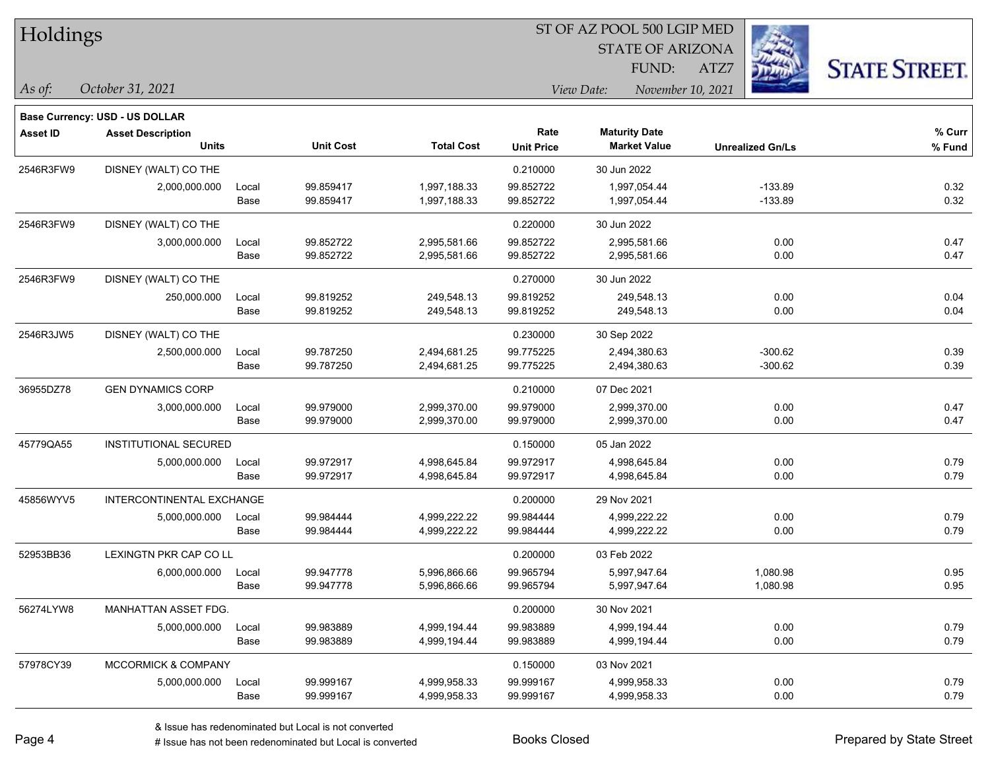| Holdings |
|----------|
|----------|

STATE OF ARIZONA FUND:

ATZ7



*As of: View Date: November 10, 2021*

| As of: | October 31, 2021 |  |
|--------|------------------|--|
|        |                  |  |

|                 | <b>Base Currency: USD - US DOLLAR</b> |       |                  |                   |                   |                      |                         |        |
|-----------------|---------------------------------------|-------|------------------|-------------------|-------------------|----------------------|-------------------------|--------|
| <b>Asset ID</b> | <b>Asset Description</b>              |       |                  |                   | Rate              | <b>Maturity Date</b> |                         | % Curr |
|                 | <b>Units</b>                          |       | <b>Unit Cost</b> | <b>Total Cost</b> | <b>Unit Price</b> | <b>Market Value</b>  | <b>Unrealized Gn/Ls</b> | % Fund |
| 2546R3FW9       | DISNEY (WALT) CO THE                  |       |                  |                   | 0.210000          | 30 Jun 2022          |                         |        |
|                 | 2,000,000.000                         | Local | 99.859417        | 1,997,188.33      | 99.852722         | 1,997,054.44         | $-133.89$               | 0.32   |
|                 |                                       | Base  | 99.859417        | 1,997,188.33      | 99.852722         | 1,997,054.44         | $-133.89$               | 0.32   |
| 2546R3FW9       | DISNEY (WALT) CO THE                  |       |                  |                   | 0.220000          | 30 Jun 2022          |                         |        |
|                 | 3,000,000.000                         | Local | 99.852722        | 2,995,581.66      | 99.852722         | 2,995,581.66         | 0.00                    | 0.47   |
|                 |                                       | Base  | 99.852722        | 2,995,581.66      | 99.852722         | 2,995,581.66         | 0.00                    | 0.47   |
| 2546R3FW9       | DISNEY (WALT) CO THE                  |       |                  |                   | 0.270000          | 30 Jun 2022          |                         |        |
|                 | 250,000.000                           | Local | 99.819252        | 249,548.13        | 99.819252         | 249,548.13           | 0.00                    | 0.04   |
|                 |                                       | Base  | 99.819252        | 249,548.13        | 99.819252         | 249,548.13           | 0.00                    | 0.04   |
| 2546R3JW5       | DISNEY (WALT) CO THE                  |       |                  |                   | 0.230000          | 30 Sep 2022          |                         |        |
|                 | 2,500,000.000                         | Local | 99.787250        | 2,494,681.25      | 99.775225         | 2,494,380.63         | $-300.62$               | 0.39   |
|                 |                                       | Base  | 99.787250        | 2,494,681.25      | 99.775225         | 2,494,380.63         | $-300.62$               | 0.39   |
| 36955DZ78       | <b>GEN DYNAMICS CORP</b>              |       |                  |                   | 0.210000          | 07 Dec 2021          |                         |        |
|                 | 3,000,000.000                         | Local | 99.979000        | 2,999,370.00      | 99.979000         | 2,999,370.00         | 0.00                    | 0.47   |
|                 |                                       | Base  | 99.979000        | 2,999,370.00      | 99.979000         | 2,999,370.00         | 0.00                    | 0.47   |
| 45779QA55       | <b>INSTITUTIONAL SECURED</b>          |       |                  |                   | 0.150000          | 05 Jan 2022          |                         |        |
|                 | 5,000,000.000                         | Local | 99.972917        | 4,998,645.84      | 99.972917         | 4,998,645.84         | 0.00                    | 0.79   |
|                 |                                       | Base  | 99.972917        | 4,998,645.84      | 99.972917         | 4,998,645.84         | 0.00                    | 0.79   |
| 45856WYV5       | INTERCONTINENTAL EXCHANGE             |       |                  |                   | 0.200000          | 29 Nov 2021          |                         |        |
|                 | 5,000,000.000                         | Local | 99.984444        | 4,999,222.22      | 99.984444         | 4,999,222.22         | 0.00                    | 0.79   |
|                 |                                       | Base  | 99.984444        | 4,999,222.22      | 99.984444         | 4,999,222.22         | 0.00                    | 0.79   |
| 52953BB36       | LEXINGTN PKR CAP CO LL                |       |                  |                   | 0.200000          | 03 Feb 2022          |                         |        |
|                 | 6,000,000.000                         | Local | 99.947778        | 5,996,866.66      | 99.965794         | 5,997,947.64         | 1,080.98                | 0.95   |
|                 |                                       | Base  | 99.947778        | 5,996,866.66      | 99.965794         | 5,997,947.64         | 1,080.98                | 0.95   |
| 56274LYW8       | MANHATTAN ASSET FDG.                  |       |                  |                   | 0.200000          | 30 Nov 2021          |                         |        |
|                 | 5,000,000.000                         | Local | 99.983889        | 4,999,194.44      | 99.983889         | 4,999,194.44         | 0.00                    | 0.79   |
|                 |                                       | Base  | 99.983889        | 4,999,194.44      | 99.983889         | 4,999,194.44         | 0.00                    | 0.79   |
| 57978CY39       | MCCORMICK & COMPANY                   |       |                  |                   | 0.150000          | 03 Nov 2021          |                         |        |
|                 | 5,000,000.000                         | Local | 99.999167        | 4,999,958.33      | 99.999167         | 4,999,958.33         | 0.00                    | 0.79   |
|                 |                                       | Base  | 99.999167        | 4,999,958.33      | 99.999167         | 4,999,958.33         | 0.00                    | 0.79   |
|                 |                                       |       |                  |                   |                   |                      |                         |        |

& Issue has redenominated but Local is not converted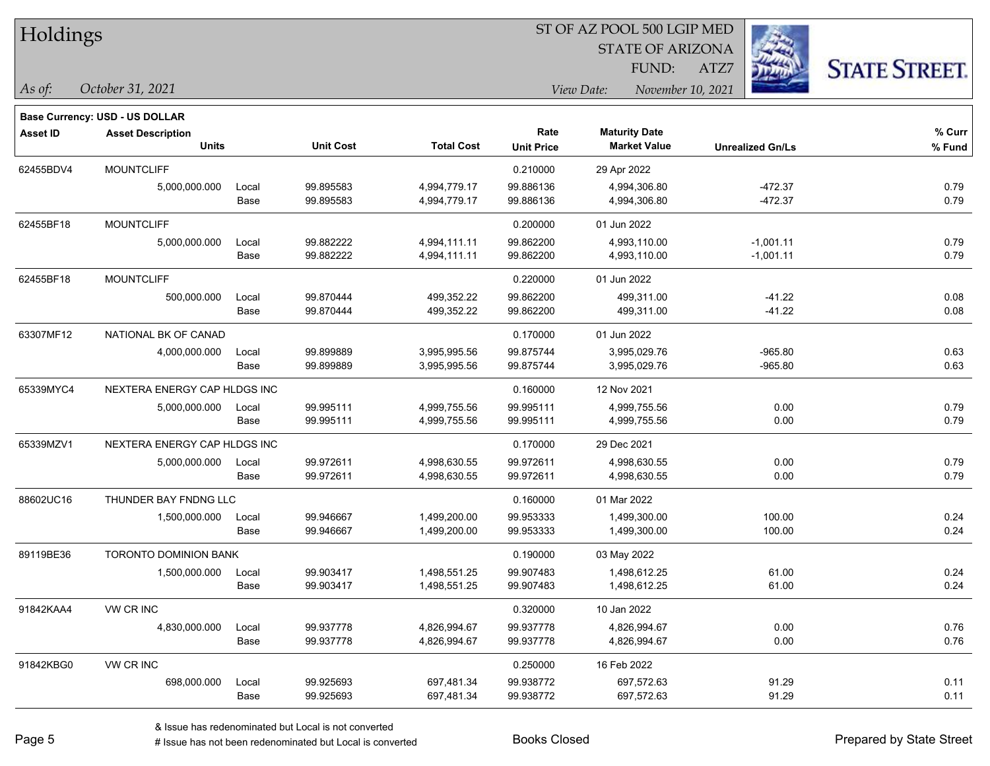| Holdings |  |
|----------|--|
|----------|--|

STATE OF ARIZONA FUND:

ATZ7



**Base Currency: USD - US DOLLAR**

*October 31, 2021 As of: View Date: November 10, 2021*

| <b>Asset ID</b> | <b>Asset Description</b>     |                  |           |                   | Rate              | <b>Maturity Date</b> |                         | % Curr |
|-----------------|------------------------------|------------------|-----------|-------------------|-------------------|----------------------|-------------------------|--------|
|                 | <b>Units</b>                 | <b>Unit Cost</b> |           | <b>Total Cost</b> | <b>Unit Price</b> | <b>Market Value</b>  | <b>Unrealized Gn/Ls</b> | % Fund |
| 62455BDV4       | <b>MOUNTCLIFF</b>            |                  |           |                   | 0.210000          | 29 Apr 2022          |                         |        |
|                 | 5,000,000.000                | Local            | 99.895583 | 4,994,779.17      | 99.886136         | 4,994,306.80         | $-472.37$               | 0.79   |
|                 |                              | Base             | 99.895583 | 4,994,779.17      | 99.886136         | 4,994,306.80         | $-472.37$               | 0.79   |
| 62455BF18       | <b>MOUNTCLIFF</b>            |                  |           |                   | 0.200000          | 01 Jun 2022          |                         |        |
|                 | 5,000,000.000                | Local            | 99.882222 | 4,994,111.11      | 99.862200         | 4,993,110.00         | $-1,001.11$             | 0.79   |
|                 |                              | Base             | 99.882222 | 4,994,111.11      | 99.862200         | 4,993,110.00         | $-1,001.11$             | 0.79   |
| 62455BF18       | <b>MOUNTCLIFF</b>            |                  |           |                   | 0.220000          | 01 Jun 2022          |                         |        |
|                 | 500,000.000                  | Local            | 99.870444 | 499,352.22        | 99.862200         | 499,311.00           | $-41.22$                | 0.08   |
|                 |                              | Base             | 99.870444 | 499,352.22        | 99.862200         | 499,311.00           | $-41.22$                | 0.08   |
| 63307MF12       | NATIONAL BK OF CANAD         |                  |           |                   | 0.170000          | 01 Jun 2022          |                         |        |
|                 | 4,000,000.000                | Local            | 99.899889 | 3,995,995.56      | 99.875744         | 3,995,029.76         | $-965.80$               | 0.63   |
|                 |                              | Base             | 99.899889 | 3,995,995.56      | 99.875744         | 3,995,029.76         | $-965.80$               | 0.63   |
| 65339MYC4       | NEXTERA ENERGY CAP HLDGS INC |                  |           |                   | 0.160000          | 12 Nov 2021          |                         |        |
|                 | 5,000,000.000                | Local            | 99.995111 | 4,999,755.56      | 99.995111         | 4,999,755.56         | 0.00                    | 0.79   |
|                 |                              | Base             | 99.995111 | 4,999,755.56      | 99.995111         | 4,999,755.56         | 0.00                    | 0.79   |
| 65339MZV1       | NEXTERA ENERGY CAP HLDGS INC |                  |           |                   | 0.170000          | 29 Dec 2021          |                         |        |
|                 | 5,000,000.000                | Local            | 99.972611 | 4,998,630.55      | 99.972611         | 4,998,630.55         | 0.00                    | 0.79   |
|                 |                              | Base             | 99.972611 | 4,998,630.55      | 99.972611         | 4,998,630.55         | 0.00                    | 0.79   |
| 88602UC16       | THUNDER BAY FNDNG LLC        |                  |           |                   | 0.160000          | 01 Mar 2022          |                         |        |
|                 | 1,500,000.000                | Local            | 99.946667 | 1,499,200.00      | 99.953333         | 1,499,300.00         | 100.00                  | 0.24   |
|                 |                              | Base             | 99.946667 | 1,499,200.00      | 99.953333         | 1,499,300.00         | 100.00                  | 0.24   |
| 89119BE36       | TORONTO DOMINION BANK        |                  |           |                   | 0.190000          | 03 May 2022          |                         |        |
|                 | 1,500,000.000                | Local            | 99.903417 | 1,498,551.25      | 99.907483         | 1,498,612.25         | 61.00                   | 0.24   |
|                 |                              | Base             | 99.903417 | 1,498,551.25      | 99.907483         | 1,498,612.25         | 61.00                   | 0.24   |
| 91842KAA4       | VW CR INC                    |                  |           |                   | 0.320000          | 10 Jan 2022          |                         |        |
|                 | 4,830,000.000                | Local            | 99.937778 | 4,826,994.67      | 99.937778         | 4,826,994.67         | 0.00                    | 0.76   |
|                 |                              | Base             | 99.937778 | 4,826,994.67      | 99.937778         | 4,826,994.67         | 0.00                    | 0.76   |
| 91842KBG0       | VW CR INC                    |                  |           |                   | 0.250000          | 16 Feb 2022          |                         |        |
|                 | 698,000.000                  | Local            | 99.925693 | 697,481.34        | 99.938772         | 697,572.63           | 91.29                   | 0.11   |
|                 |                              | Base             | 99.925693 | 697,481.34        | 99.938772         | 697,572.63           | 91.29                   | 0.11   |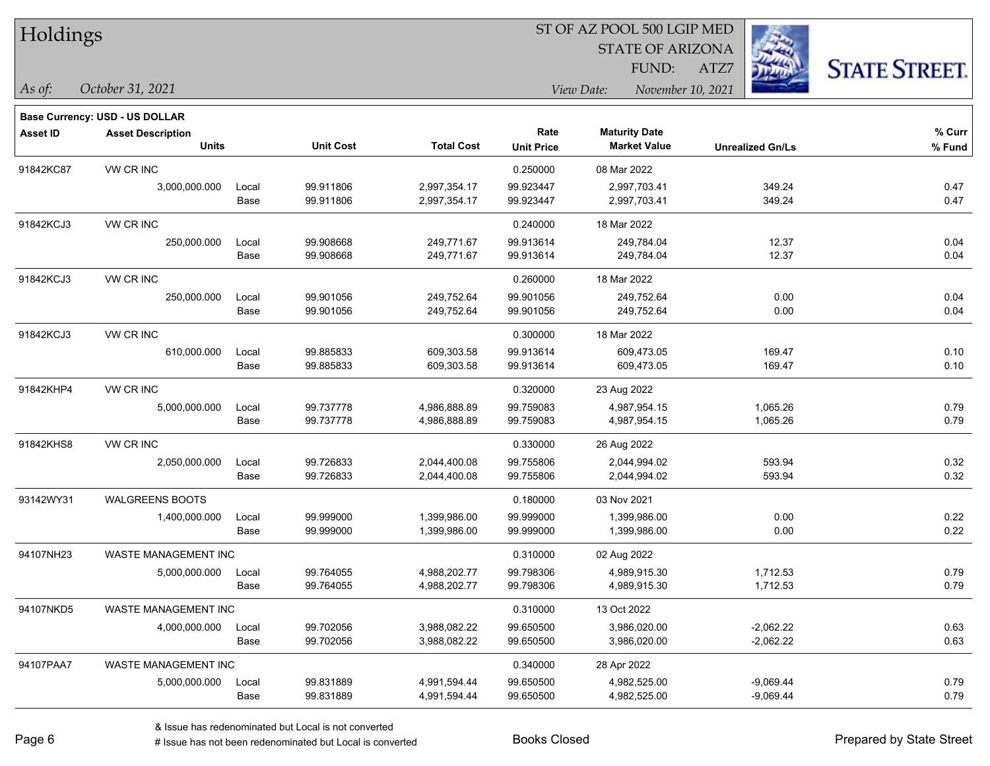| Holdings |
|----------|
|----------|

STATE OF ARIZONA

ATZ7



**Base Currency: USD - US DOLLAR**

*October 31, 2021 As of: View Date: November 10, 2021* FUND:

| <b>Asset ID</b> | <b>Asset Description</b>    |       |                  |                   | Rate              | <b>Maturity Date</b> |                         | % Curr |
|-----------------|-----------------------------|-------|------------------|-------------------|-------------------|----------------------|-------------------------|--------|
|                 | <b>Units</b>                |       | <b>Unit Cost</b> | <b>Total Cost</b> | <b>Unit Price</b> | <b>Market Value</b>  | <b>Unrealized Gn/Ls</b> | % Fund |
| 91842KC87       | VW CR INC                   |       |                  |                   | 0.250000          | 08 Mar 2022          |                         |        |
|                 | 3,000,000.000               | Local | 99.911806        | 2,997,354.17      | 99.923447         | 2,997,703.41         | 349.24                  | 0.47   |
|                 |                             | Base  | 99.911806        | 2,997,354.17      | 99.923447         | 2,997,703.41         | 349.24                  | 0.47   |
| 91842KCJ3       | VW CR INC                   |       |                  |                   | 0.240000          | 18 Mar 2022          |                         |        |
|                 | 250,000.000                 | Local | 99.908668        | 249,771.67        | 99.913614         | 249,784.04           | 12.37                   | 0.04   |
|                 |                             | Base  | 99.908668        | 249,771.67        | 99.913614         | 249,784.04           | 12.37                   | 0.04   |
| 91842KCJ3       | VW CR INC                   |       |                  |                   | 0.260000          | 18 Mar 2022          |                         |        |
|                 | 250,000.000                 | Local | 99.901056        | 249,752.64        | 99.901056         | 249,752.64           | 0.00                    | 0.04   |
|                 |                             | Base  | 99.901056        | 249,752.64        | 99.901056         | 249,752.64           | 0.00                    | 0.04   |
| 91842KCJ3       | VW CR INC                   |       |                  |                   | 0.300000          | 18 Mar 2022          |                         |        |
|                 | 610,000.000                 | Local | 99.885833        | 609,303.58        | 99.913614         | 609,473.05           | 169.47                  | 0.10   |
|                 |                             | Base  | 99.885833        | 609,303.58        | 99.913614         | 609,473.05           | 169.47                  | 0.10   |
| 91842KHP4       | <b>VW CR INC</b>            |       |                  |                   | 0.320000          | 23 Aug 2022          |                         |        |
|                 | 5,000,000.000               | Local | 99.737778        | 4,986,888.89      | 99.759083         | 4,987,954.15         | 1,065.26                | 0.79   |
|                 |                             | Base  | 99.737778        | 4,986,888.89      | 99.759083         | 4,987,954.15         | 1,065.26                | 0.79   |
| 91842KHS8       | VW CR INC                   |       |                  |                   | 0.330000          | 26 Aug 2022          |                         |        |
|                 | 2,050,000.000               | Local | 99.726833        | 2,044,400.08      | 99.755806         | 2,044,994.02         | 593.94                  | 0.32   |
|                 |                             | Base  | 99.726833        | 2,044,400.08      | 99.755806         | 2,044,994.02         | 593.94                  | 0.32   |
| 93142WY31       | <b>WALGREENS BOOTS</b>      |       |                  |                   | 0.180000          | 03 Nov 2021          |                         |        |
|                 | 1,400,000.000               | Local | 99.999000        | 1,399,986.00      | 99.999000         | 1,399,986.00         | 0.00                    | 0.22   |
|                 |                             | Base  | 99.999000        | 1,399,986.00      | 99.999000         | 1,399,986.00         | 0.00                    | 0.22   |
| 94107NH23       | WASTE MANAGEMENT INC        |       |                  |                   | 0.310000          | 02 Aug 2022          |                         |        |
|                 | 5,000,000.000               | Local | 99.764055        | 4,988,202.77      | 99.798306         | 4,989,915.30         | 1,712.53                | 0.79   |
|                 |                             | Base  | 99.764055        | 4,988,202.77      | 99.798306         | 4,989,915.30         | 1,712.53                | 0.79   |
| 94107NKD5       | WASTE MANAGEMENT INC        |       |                  |                   | 0.310000          | 13 Oct 2022          |                         |        |
|                 | 4,000,000.000               | Local | 99.702056        | 3,988,082.22      | 99.650500         | 3,986,020.00         | $-2,062.22$             | 0.63   |
|                 |                             | Base  | 99.702056        | 3,988,082.22      | 99.650500         | 3,986,020.00         | $-2,062.22$             | 0.63   |
| 94107PAA7       | <b>WASTE MANAGEMENT INC</b> |       |                  |                   | 0.340000          | 28 Apr 2022          |                         |        |
|                 | 5,000,000.000               | Local | 99.831889        | 4,991,594.44      | 99.650500         | 4,982,525.00         | $-9,069.44$             | 0.79   |
|                 |                             | Base  | 99.831889        | 4,991,594.44      | 99.650500         | 4,982,525.00         | $-9,069.44$             | 0.79   |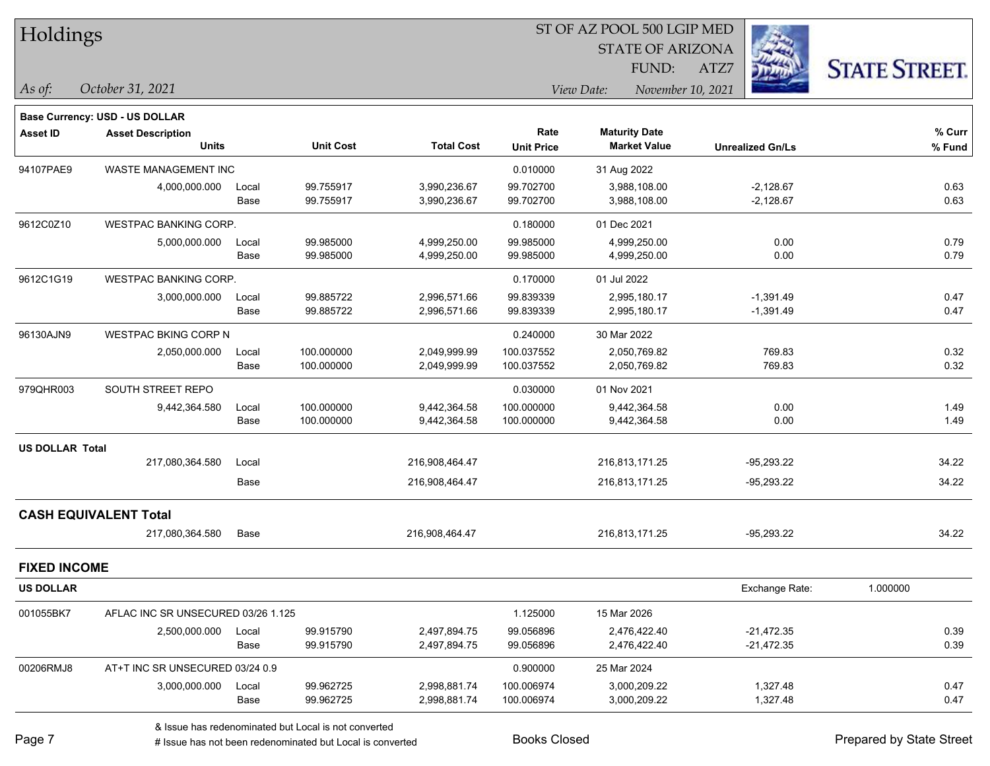|  | <b>Holdings</b> |
|--|-----------------|
|--|-----------------|

STATE OF ARIZONA

ATZ7



*October 31, 2021*

*As of: View Date: November 10, 2021* FUND:

|                        | <b>Base Currency: USD - US DOLLAR</b> |       |                  |                   |                   |                      |                         |          |
|------------------------|---------------------------------------|-------|------------------|-------------------|-------------------|----------------------|-------------------------|----------|
| <b>Asset ID</b>        | <b>Asset Description</b>              |       |                  |                   | Rate              | <b>Maturity Date</b> |                         | % Curr   |
|                        | <b>Units</b>                          |       | <b>Unit Cost</b> | <b>Total Cost</b> | <b>Unit Price</b> | <b>Market Value</b>  | <b>Unrealized Gn/Ls</b> | % Fund   |
| 94107PAE9              | WASTE MANAGEMENT INC                  |       |                  |                   | 0.010000          | 31 Aug 2022          |                         |          |
|                        | 4,000,000.000                         | Local | 99.755917        | 3,990,236.67      | 99.702700         | 3,988,108.00         | $-2,128.67$             | 0.63     |
|                        |                                       | Base  | 99.755917        | 3,990,236.67      | 99.702700         | 3,988,108.00         | $-2,128.67$             | 0.63     |
| 9612C0Z10              | <b>WESTPAC BANKING CORP.</b>          |       |                  |                   | 0.180000          | 01 Dec 2021          |                         |          |
|                        | 5,000,000.000                         | Local | 99.985000        | 4,999,250.00      | 99.985000         | 4,999,250.00         | 0.00                    | 0.79     |
|                        |                                       | Base  | 99.985000        | 4,999,250.00      | 99.985000         | 4,999,250.00         | 0.00                    | 0.79     |
| 9612C1G19              | <b>WESTPAC BANKING CORP.</b>          |       |                  |                   | 0.170000          | 01 Jul 2022          |                         |          |
|                        | 3,000,000.000                         | Local | 99.885722        | 2,996,571.66      | 99.839339         | 2,995,180.17         | $-1,391.49$             | 0.47     |
|                        |                                       | Base  | 99.885722        | 2,996,571.66      | 99.839339         | 2,995,180.17         | $-1,391.49$             | 0.47     |
| 96130AJN9              | <b>WESTPAC BKING CORP N</b>           |       |                  |                   | 0.240000          | 30 Mar 2022          |                         |          |
|                        | 2,050,000.000                         | Local | 100.000000       | 2,049,999.99      | 100.037552        | 2,050,769.82         | 769.83                  | 0.32     |
|                        |                                       | Base  | 100.000000       | 2,049,999.99      | 100.037552        | 2,050,769.82         | 769.83                  | 0.32     |
| 979QHR003              | SOUTH STREET REPO                     |       |                  |                   | 0.030000          | 01 Nov 2021          |                         |          |
|                        | 9,442,364.580                         | Local | 100.000000       | 9,442,364.58      | 100.000000        | 9,442,364.58         | 0.00                    | 1.49     |
|                        |                                       | Base  | 100.000000       | 9,442,364.58      | 100.000000        | 9,442,364.58         | 0.00                    | 1.49     |
| <b>US DOLLAR Total</b> |                                       |       |                  |                   |                   |                      |                         |          |
|                        | 217,080,364.580                       | Local |                  | 216,908,464.47    |                   | 216,813,171.25       | $-95,293.22$            | 34.22    |
|                        |                                       | Base  |                  | 216,908,464.47    |                   | 216,813,171.25       | -95,293.22              | 34.22    |
|                        | <b>CASH EQUIVALENT Total</b>          |       |                  |                   |                   |                      |                         |          |
|                        | 217,080,364.580                       | Base  |                  | 216,908,464.47    |                   | 216,813,171.25       | $-95,293.22$            | 34.22    |
| <b>FIXED INCOME</b>    |                                       |       |                  |                   |                   |                      |                         |          |
| <b>US DOLLAR</b>       |                                       |       |                  |                   |                   |                      | Exchange Rate:          | 1.000000 |
| 001055BK7              | AFLAC INC SR UNSECURED 03/26 1.125    |       |                  |                   | 1.125000          | 15 Mar 2026          |                         |          |
|                        | 2,500,000.000                         | Local | 99.915790        | 2,497,894.75      | 99.056896         | 2,476,422.40         | $-21,472.35$            | 0.39     |
|                        |                                       | Base  | 99.915790        | 2,497,894.75      | 99.056896         | 2,476,422.40         | $-21,472.35$            | 0.39     |
| 00206RMJ8              | AT+T INC SR UNSECURED 03/24 0.9       |       |                  |                   | 0.900000          | 25 Mar 2024          |                         |          |
|                        | 3,000,000.000                         | Local | 99.962725        | 2,998,881.74      | 100.006974        | 3,000,209.22         | 1,327.48                | 0.47     |
|                        |                                       | Base  | 99.962725        | 2,998,881.74      | 100.006974        | 3,000,209.22         | 1,327.48                | 0.47     |

& Issue has redenominated but Local is not converted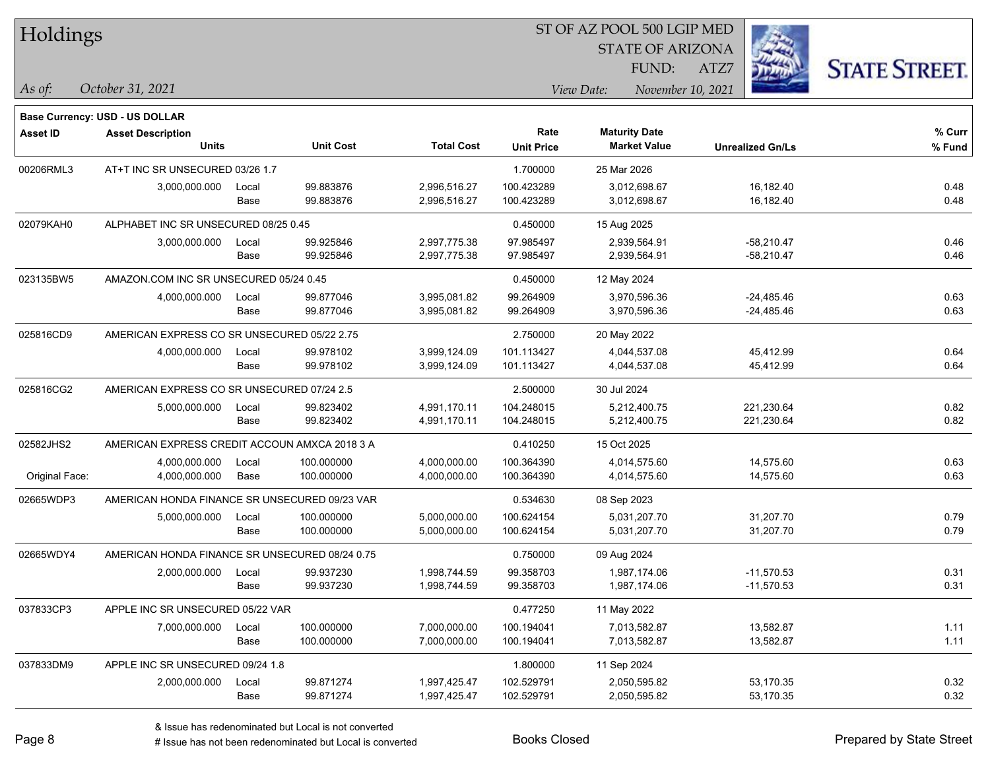| Holdings |  |
|----------|--|
|----------|--|

STATE OF ARIZONA

ATZ7



**Base Currency: USD - US DOLLAR**

*October 31, 2021 As of: View Date: November 10, 2021* FUND:

| Asset ID       | <b>Asset Description</b>                       |                                               |                  |                   | Rate              | <b>Maturity Date</b> |                         | % Curr |
|----------------|------------------------------------------------|-----------------------------------------------|------------------|-------------------|-------------------|----------------------|-------------------------|--------|
|                | <b>Units</b>                                   |                                               | <b>Unit Cost</b> | <b>Total Cost</b> | <b>Unit Price</b> | <b>Market Value</b>  | <b>Unrealized Gn/Ls</b> | % Fund |
| 00206RML3      | AT+T INC SR UNSECURED 03/26 1.7                |                                               |                  |                   | 1.700000          | 25 Mar 2026          |                         |        |
|                | 3,000,000.000                                  | Local                                         | 99.883876        | 2,996,516.27      | 100.423289        | 3,012,698.67         | 16,182.40               | 0.48   |
|                |                                                | Base                                          | 99.883876        | 2,996,516.27      | 100.423289        | 3,012,698.67         | 16,182.40               | 0.48   |
| 02079KAH0      | ALPHABET INC SR UNSECURED 08/25 0.45           |                                               |                  |                   | 0.450000          | 15 Aug 2025          |                         |        |
|                | 3,000,000.000                                  | Local                                         | 99.925846        | 2,997,775.38      | 97.985497         | 2,939,564.91         | $-58,210.47$            | 0.46   |
|                |                                                | Base                                          | 99.925846        | 2,997,775.38      | 97.985497         | 2,939,564.91         | $-58,210.47$            | 0.46   |
| 023135BW5      | AMAZON.COM INC SR UNSECURED 05/24 0.45         |                                               |                  |                   | 0.450000          | 12 May 2024          |                         |        |
|                | 4,000,000.000                                  | Local                                         | 99.877046        | 3,995,081.82      | 99.264909         | 3,970,596.36         | $-24,485.46$            | 0.63   |
|                |                                                | Base                                          | 99.877046        | 3,995,081.82      | 99.264909         | 3,970,596.36         | $-24,485.46$            | 0.63   |
| 025816CD9      | AMERICAN EXPRESS CO SR UNSECURED 05/22 2.75    |                                               |                  |                   | 2.750000          | 20 May 2022          |                         |        |
|                | 4,000,000.000                                  | Local                                         | 99.978102        | 3,999,124.09      | 101.113427        | 4,044,537.08         | 45,412.99               | 0.64   |
|                |                                                | Base                                          | 99.978102        | 3,999,124.09      | 101.113427        | 4,044,537.08         | 45,412.99               | 0.64   |
| 025816CG2      | AMERICAN EXPRESS CO SR UNSECURED 07/24 2.5     |                                               |                  |                   | 2.500000          | 30 Jul 2024          |                         |        |
|                | 5,000,000.000                                  | Local                                         | 99.823402        | 4,991,170.11      | 104.248015        | 5,212,400.75         | 221,230.64              | 0.82   |
|                |                                                | Base                                          | 99.823402        | 4,991,170.11      | 104.248015        | 5,212,400.75         | 221,230.64              | 0.82   |
| 02582JHS2      |                                                | AMERICAN EXPRESS CREDIT ACCOUN AMXCA 2018 3 A |                  |                   | 0.410250          | 15 Oct 2025          |                         |        |
|                | 4,000,000.000                                  | Local                                         | 100.000000       | 4,000,000.00      | 100.364390        | 4,014,575.60         | 14,575.60               | 0.63   |
| Original Face: | 4,000,000.000                                  | Base                                          | 100.000000       | 4,000,000.00      | 100.364390        | 4,014,575.60         | 14,575.60               | 0.63   |
| 02665WDP3      | AMERICAN HONDA FINANCE SR UNSECURED 09/23 VAR  |                                               |                  |                   | 0.534630          | 08 Sep 2023          |                         |        |
|                | 5,000,000.000                                  | Local                                         | 100.000000       | 5,000,000.00      | 100.624154        | 5,031,207.70         | 31,207.70               | 0.79   |
|                |                                                | Base                                          | 100.000000       | 5,000,000.00      | 100.624154        | 5,031,207.70         | 31,207.70               | 0.79   |
| 02665WDY4      | AMERICAN HONDA FINANCE SR UNSECURED 08/24 0.75 |                                               |                  |                   | 0.750000          | 09 Aug 2024          |                         |        |
|                | 2,000,000.000                                  | Local                                         | 99.937230        | 1,998,744.59      | 99.358703         | 1,987,174.06         | $-11,570.53$            | 0.31   |
|                |                                                | Base                                          | 99.937230        | 1,998,744.59      | 99.358703         | 1,987,174.06         | $-11,570.53$            | 0.31   |
| 037833CP3      | APPLE INC SR UNSECURED 05/22 VAR               |                                               |                  |                   | 0.477250          | 11 May 2022          |                         |        |
|                | 7,000,000.000                                  | Local                                         | 100.000000       | 7,000,000.00      | 100.194041        | 7,013,582.87         | 13,582.87               | 1.11   |
|                |                                                | Base                                          | 100.000000       | 7,000,000.00      | 100.194041        | 7,013,582.87         | 13,582.87               | 1.11   |
| 037833DM9      | APPLE INC SR UNSECURED 09/24 1.8               |                                               |                  |                   | 1.800000          | 11 Sep 2024          |                         |        |
|                | 2,000,000.000                                  | Local                                         | 99.871274        | 1,997,425.47      | 102.529791        | 2,050,595.82         | 53,170.35               | 0.32   |
|                |                                                | Base                                          | 99.871274        | 1,997,425.47      | 102.529791        | 2,050,595.82         | 53,170.35               | 0.32   |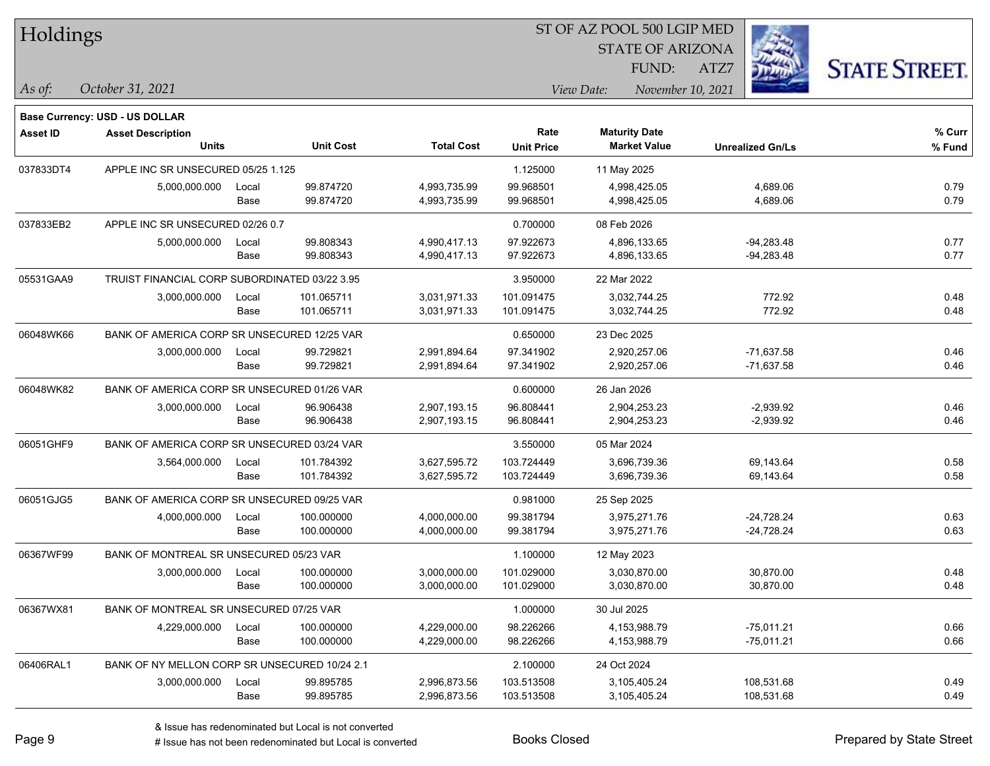| Holdings        |                                               |       |                  | ST OF AZ POOL 500 LGIP MED |                   |                                 |                         |                      |  |  |  |
|-----------------|-----------------------------------------------|-------|------------------|----------------------------|-------------------|---------------------------------|-------------------------|----------------------|--|--|--|
|                 |                                               |       |                  |                            |                   | <b>STATE OF ARIZONA</b>         |                         |                      |  |  |  |
|                 |                                               |       |                  |                            |                   | FUND:                           | ATZ7                    | <b>STATE STREET.</b> |  |  |  |
| As of:          | October 31, 2021                              |       |                  |                            |                   | View Date:<br>November 10, 2021 |                         |                      |  |  |  |
|                 |                                               |       |                  |                            |                   |                                 |                         |                      |  |  |  |
|                 | Base Currency: USD - US DOLLAR                |       |                  |                            | Rate              | <b>Maturity Date</b>            |                         | % Curr               |  |  |  |
| <b>Asset ID</b> | <b>Asset Description</b><br><b>Units</b>      |       | <b>Unit Cost</b> | <b>Total Cost</b>          | <b>Unit Price</b> | <b>Market Value</b>             | <b>Unrealized Gn/Ls</b> | % Fund               |  |  |  |
| 037833DT4       | APPLE INC SR UNSECURED 05/25 1.125            |       |                  |                            | 1.125000          | 11 May 2025                     |                         |                      |  |  |  |
|                 | 5,000,000.000                                 | Local | 99.874720        | 4,993,735.99               | 99.968501         | 4,998,425.05                    | 4,689.06                | 0.79                 |  |  |  |
|                 |                                               | Base  | 99.874720        | 4,993,735.99               | 99.968501         | 4,998,425.05                    | 4,689.06                | 0.79                 |  |  |  |
| 037833EB2       | APPLE INC SR UNSECURED 02/26 0.7              |       |                  |                            | 0.700000          | 08 Feb 2026                     |                         |                      |  |  |  |
|                 | 5,000,000.000                                 | Local | 99.808343        | 4,990,417.13               | 97.922673         | 4,896,133.65                    | $-94,283.48$            | 0.77                 |  |  |  |
|                 |                                               | Base  | 99.808343        | 4,990,417.13               | 97.922673         | 4,896,133.65                    | $-94,283.48$            | 0.77                 |  |  |  |
| 05531GAA9       | TRUIST FINANCIAL CORP SUBORDINATED 03/22 3.95 |       |                  |                            | 3.950000          | 22 Mar 2022                     |                         |                      |  |  |  |
|                 | 3,000,000.000                                 | Local | 101.065711       | 3,031,971.33               | 101.091475        | 3,032,744.25                    | 772.92                  | 0.48                 |  |  |  |
|                 |                                               | Base  | 101.065711       | 3,031,971.33               | 101.091475        | 3,032,744.25                    | 772.92                  | 0.48                 |  |  |  |
| 06048WK66       | BANK OF AMERICA CORP SR UNSECURED 12/25 VAR   |       |                  |                            | 0.650000          | 23 Dec 2025                     |                         |                      |  |  |  |
|                 | 3,000,000.000                                 | Local | 99.729821        | 2,991,894.64               | 97.341902         | 2,920,257.06                    | $-71,637.58$            | 0.46                 |  |  |  |
|                 |                                               | Base  | 99.729821        | 2,991,894.64               | 97.341902         | 2,920,257.06                    | $-71,637.58$            | 0.46                 |  |  |  |
| 06048WK82       | BANK OF AMERICA CORP SR UNSECURED 01/26 VAR   |       |                  |                            | 0.600000          | 26 Jan 2026                     |                         |                      |  |  |  |
|                 | 3,000,000.000                                 | Local | 96.906438        | 2,907,193.15               | 96.808441         | 2,904,253.23                    | $-2,939.92$             | 0.46                 |  |  |  |
|                 |                                               | Base  | 96.906438        | 2,907,193.15               | 96.808441         | 2,904,253.23                    | $-2,939.92$             | 0.46                 |  |  |  |
| 06051GHF9       | BANK OF AMERICA CORP SR UNSECURED 03/24 VAR   |       |                  |                            | 3.550000          | 05 Mar 2024                     |                         |                      |  |  |  |
|                 | 3,564,000.000                                 | Local | 101.784392       | 3,627,595.72               | 103.724449        | 3,696,739.36                    | 69,143.64               | 0.58                 |  |  |  |
|                 |                                               | Base  | 101.784392       | 3,627,595.72               | 103.724449        | 3,696,739.36                    | 69,143.64               | 0.58                 |  |  |  |
| 06051GJG5       | BANK OF AMERICA CORP SR UNSECURED 09/25 VAR   |       |                  |                            | 0.981000          | 25 Sep 2025                     |                         |                      |  |  |  |
|                 | 4,000,000.000                                 | Local | 100.000000       | 4,000,000.00               | 99.381794         | 3,975,271.76                    | $-24,728.24$            | 0.63                 |  |  |  |
|                 |                                               | Base  | 100.000000       | 4,000,000.00               | 99.381794         | 3,975,271.76                    | -24,728.24              | 0.63                 |  |  |  |
| 06367WF99       | BANK OF MONTREAL SR UNSECURED 05/23 VAR       |       |                  |                            | 1.100000          | 12 May 2023                     |                         |                      |  |  |  |
|                 | 3,000,000.000                                 | Local | 100.000000       | 3,000,000.00               | 101.029000        | 3,030,870.00                    | 30,870.00               | 0.48                 |  |  |  |
|                 |                                               | Base  | 100.000000       | 3,000,000.00               | 101.029000        | 3,030,870.00                    | 30,870.00               | 0.48                 |  |  |  |
| 06367WX81       | BANK OF MONTREAL SR UNSECURED 07/25 VAR       |       |                  |                            | 1.000000          | 30 Jul 2025                     |                         |                      |  |  |  |
|                 | 4,229,000.000                                 | Local | 100.000000       | 4,229,000.00               | 98.226266         | 4,153,988.79                    | $-75,011.21$            | 0.66                 |  |  |  |
|                 |                                               | Base  | 100.000000       | 4,229,000.00               | 98.226266         | 4,153,988.79                    | $-75,011.21$            | 0.66                 |  |  |  |
| 06406RAL1       | BANK OF NY MELLON CORP SR UNSECURED 10/24 2.1 |       |                  |                            | 2.100000          | 24 Oct 2024                     |                         |                      |  |  |  |
|                 | 3,000,000.000                                 | Local | 99.895785        | 2,996,873.56               | 103.513508        | 3,105,405.24                    | 108,531.68              | 0.49                 |  |  |  |
|                 |                                               | Base  | 99.895785        | 2,996,873.56               | 103.513508        | 3,105,405.24                    | 108,531.68              | 0.49                 |  |  |  |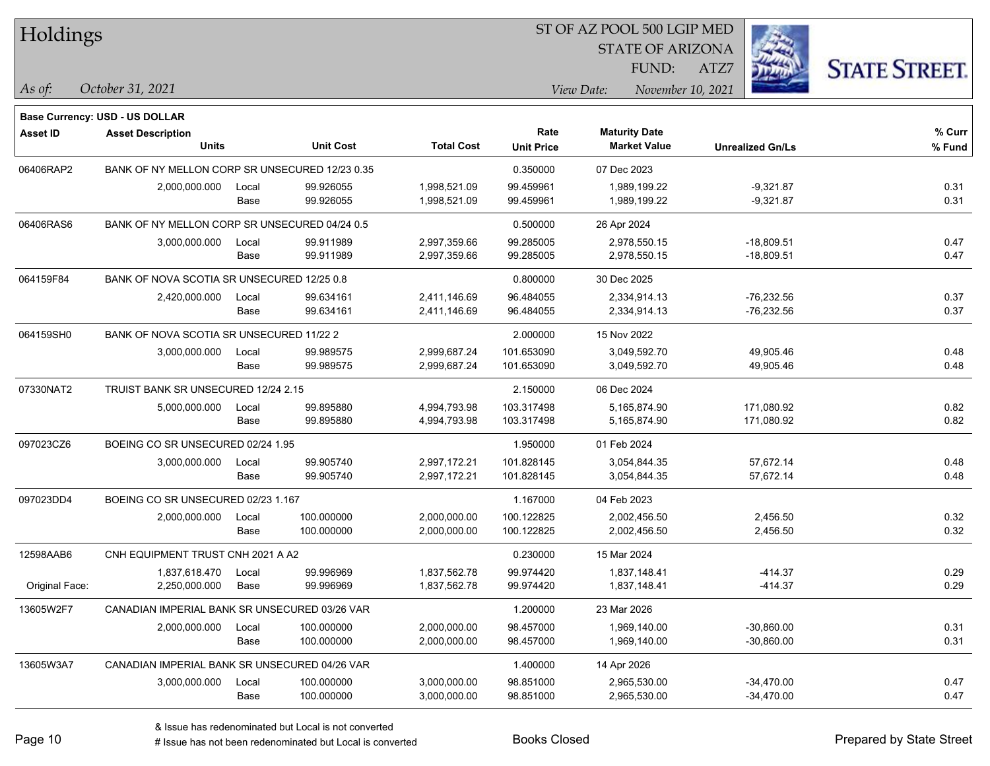| Holdings        |                                                |       |                  | ST OF AZ POOL 500 LGIP MED |                   |                         |                         |                      |  |  |  |
|-----------------|------------------------------------------------|-------|------------------|----------------------------|-------------------|-------------------------|-------------------------|----------------------|--|--|--|
|                 |                                                |       |                  |                            |                   | <b>STATE OF ARIZONA</b> |                         |                      |  |  |  |
|                 |                                                |       |                  |                            |                   | FUND:                   | ATZ7                    | <b>STATE STREET.</b> |  |  |  |
| $ $ As of:      | October 31, 2021                               |       |                  |                            |                   | View Date:              | November 10, 2021       |                      |  |  |  |
|                 | <b>Base Currency: USD - US DOLLAR</b>          |       |                  |                            |                   |                         |                         |                      |  |  |  |
| <b>Asset ID</b> | <b>Asset Description</b>                       |       |                  |                            | Rate              | <b>Maturity Date</b>    |                         | % Curr               |  |  |  |
|                 | <b>Units</b>                                   |       | <b>Unit Cost</b> | <b>Total Cost</b>          | <b>Unit Price</b> | <b>Market Value</b>     | <b>Unrealized Gn/Ls</b> | % Fund               |  |  |  |
| 06406RAP2       | BANK OF NY MELLON CORP SR UNSECURED 12/23 0.35 |       |                  |                            | 0.350000          | 07 Dec 2023             |                         |                      |  |  |  |
|                 | 2,000,000.000                                  | Local | 99.926055        | 1,998,521.09               | 99.459961         | 1,989,199.22            | $-9,321.87$             | 0.31                 |  |  |  |
|                 |                                                | Base  | 99.926055        | 1,998,521.09               | 99.459961         | 1,989,199.22            | $-9,321.87$             | 0.31                 |  |  |  |
| 06406RAS6       | BANK OF NY MELLON CORP SR UNSECURED 04/24 0.5  |       |                  |                            | 0.500000          | 26 Apr 2024             |                         |                      |  |  |  |
|                 | 3,000,000.000                                  | Local | 99.911989        | 2,997,359.66               | 99.285005         | 2,978,550.15            | $-18,809.51$            | 0.47                 |  |  |  |
|                 |                                                | Base  | 99.911989        | 2,997,359.66               | 99.285005         | 2,978,550.15            | $-18,809.51$            | 0.47                 |  |  |  |
| 064159F84       | BANK OF NOVA SCOTIA SR UNSECURED 12/25 0.8     |       |                  |                            | 0.800000          | 30 Dec 2025             |                         |                      |  |  |  |
|                 | 2,420,000.000                                  | Local | 99.634161        | 2,411,146.69               | 96.484055         | 2,334,914.13            | $-76,232.56$            | 0.37                 |  |  |  |
|                 |                                                | Base  | 99.634161        | 2,411,146.69               | 96.484055         | 2,334,914.13            | -76,232.56              | 0.37                 |  |  |  |
| 064159SH0       | BANK OF NOVA SCOTIA SR UNSECURED 11/22 2       |       |                  |                            | 2.000000          | 15 Nov 2022             |                         |                      |  |  |  |
|                 | 3,000,000.000                                  | Local | 99.989575        | 2,999,687.24               | 101.653090        | 3,049,592.70            | 49,905.46               | 0.48                 |  |  |  |
|                 |                                                | Base  | 99.989575        | 2,999,687.24               | 101.653090        | 3,049,592.70            | 49,905.46               | 0.48                 |  |  |  |
| 07330NAT2       | TRUIST BANK SR UNSECURED 12/24 2.15            |       |                  |                            | 2.150000          | 06 Dec 2024             |                         |                      |  |  |  |
|                 | 5,000,000.000                                  | Local | 99.895880        | 4,994,793.98               | 103.317498        | 5,165,874.90            | 171,080.92              | 0.82                 |  |  |  |
|                 |                                                | Base  | 99.895880        | 4,994,793.98               | 103.317498        | 5,165,874.90            | 171,080.92              | 0.82                 |  |  |  |
| 097023CZ6       | BOEING CO SR UNSECURED 02/24 1.95              |       |                  |                            | 1.950000          | 01 Feb 2024             |                         |                      |  |  |  |
|                 | 3,000,000.000                                  | Local | 99.905740        | 2,997,172.21               | 101.828145        | 3,054,844.35            | 57,672.14               | 0.48                 |  |  |  |
|                 |                                                | Base  | 99.905740        | 2,997,172.21               | 101.828145        | 3,054,844.35            | 57,672.14               | 0.48                 |  |  |  |
| 097023DD4       | BOEING CO SR UNSECURED 02/23 1.167             |       |                  |                            | 1.167000          | 04 Feb 2023             |                         |                      |  |  |  |
|                 | 2,000,000.000                                  | Local | 100.000000       | 2,000,000.00               | 100.122825        | 2,002,456.50            | 2,456.50                | 0.32                 |  |  |  |
|                 |                                                | Base  | 100.000000       | 2,000,000.00               | 100.122825        | 2,002,456.50            | 2,456.50                | 0.32                 |  |  |  |
| 12598AAB6       | CNH EQUIPMENT TRUST CNH 2021 A A2              |       |                  |                            | 0.230000          | 15 Mar 2024             |                         |                      |  |  |  |
|                 | 1,837,618.470                                  | Local | 99.996969        | 1,837,562.78               | 99.974420         | 1,837,148.41            | $-414.37$               | 0.29                 |  |  |  |
| Original Face:  | 2,250,000.000                                  | Base  | 99.996969        | 1,837,562.78               | 99.974420         | 1,837,148.41            | $-414.37$               | 0.29                 |  |  |  |
| 13605W2F7       | CANADIAN IMPERIAL BANK SR UNSECURED 03/26 VAR  |       |                  |                            | 1.200000          | 23 Mar 2026             |                         |                      |  |  |  |
|                 | 2,000,000.000                                  | Local | 100.000000       | 2,000,000.00               | 98.457000         | 1,969,140.00            | $-30,860.00$            | 0.31                 |  |  |  |
|                 |                                                | Base  | 100.000000       | 2,000,000.00               | 98.457000         | 1,969,140.00            | $-30,860.00$            | 0.31                 |  |  |  |
| 13605W3A7       | CANADIAN IMPERIAL BANK SR UNSECURED 04/26 VAR  |       |                  |                            | 1.400000          | 14 Apr 2026             |                         |                      |  |  |  |
|                 | 3,000,000.000                                  | Local | 100.000000       | 3,000,000.00               | 98.851000         | 2,965,530.00            | $-34,470.00$            | 0.47                 |  |  |  |
|                 |                                                | Base  | 100.000000       | 3,000,000.00               | 98.851000         | 2,965,530.00            | $-34,470.00$            | 0.47                 |  |  |  |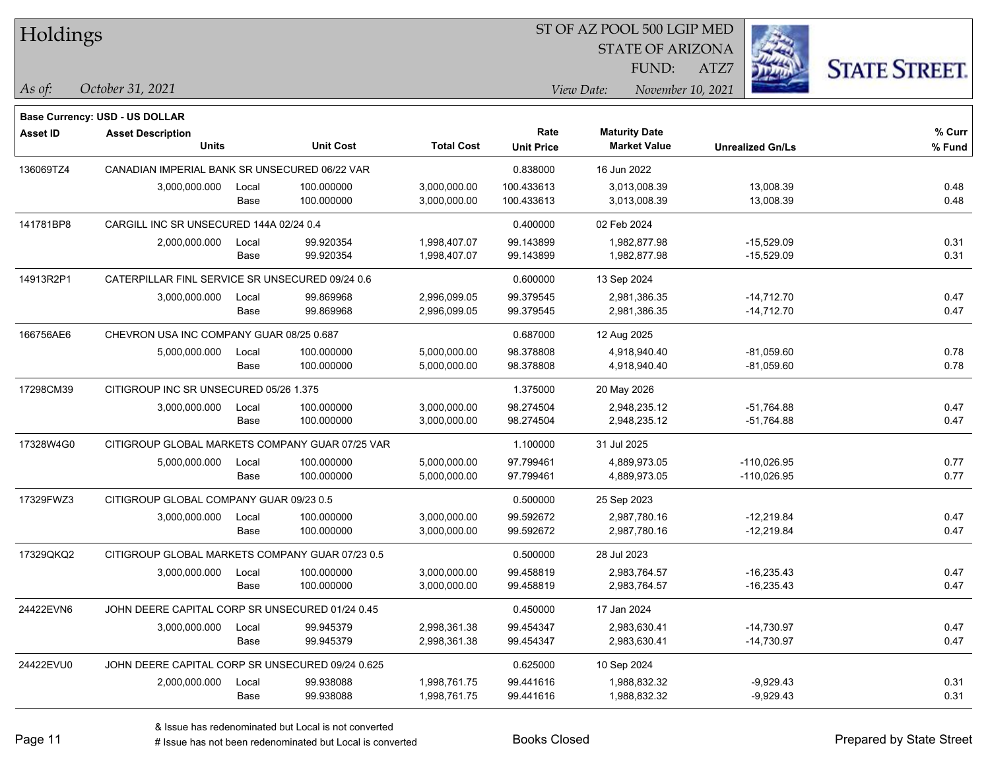| Holdings        |                                                  |                                        |                  |                   |                   |                         |                   |                         |                      |
|-----------------|--------------------------------------------------|----------------------------------------|------------------|-------------------|-------------------|-------------------------|-------------------|-------------------------|----------------------|
|                 |                                                  |                                        |                  |                   |                   | <b>STATE OF ARIZONA</b> |                   |                         |                      |
|                 |                                                  |                                        |                  |                   |                   |                         | FUND:<br>ATZ7     |                         | <b>STATE STREET.</b> |
| As of:          | October 31, 2021                                 |                                        |                  |                   |                   | View Date:              | November 10, 2021 |                         |                      |
|                 | Base Currency: USD - US DOLLAR                   |                                        |                  |                   |                   |                         |                   |                         |                      |
| <b>Asset ID</b> | <b>Asset Description</b>                         |                                        |                  |                   | Rate              | <b>Maturity Date</b>    |                   |                         | % Curr               |
|                 | <b>Units</b>                                     |                                        | <b>Unit Cost</b> | <b>Total Cost</b> | <b>Unit Price</b> | <b>Market Value</b>     |                   | <b>Unrealized Gn/Ls</b> | % Fund               |
| 136069TZ4       | CANADIAN IMPERIAL BANK SR UNSECURED 06/22 VAR    |                                        |                  |                   | 0.838000          | 16 Jun 2022             |                   |                         |                      |
|                 | 3,000,000.000                                    | Local                                  | 100.000000       | 3,000,000.00      | 100.433613        | 3,013,008.39            |                   | 13,008.39               | 0.48                 |
|                 |                                                  | Base                                   | 100.000000       | 3,000,000.00      | 100.433613        | 3,013,008.39            |                   | 13,008.39               | 0.48                 |
| 141781BP8       | CARGILL INC SR UNSECURED 144A 02/24 0.4          |                                        |                  |                   | 0.400000          | 02 Feb 2024             |                   |                         |                      |
|                 | 2,000,000.000                                    | Local                                  | 99.920354        | 1,998,407.07      | 99.143899         | 1,982,877.98            |                   | $-15,529.09$            | 0.31                 |
|                 |                                                  | Base                                   | 99.920354        | 1,998,407.07      | 99.143899         | 1,982,877.98            |                   | $-15,529.09$            | 0.31                 |
| 14913R2P1       | CATERPILLAR FINL SERVICE SR UNSECURED 09/24 0.6  |                                        |                  |                   | 0.600000          | 13 Sep 2024             |                   |                         |                      |
|                 | 3,000,000.000                                    | Local                                  | 99.869968        | 2,996,099.05      | 99.379545         | 2,981,386.35            |                   | $-14,712.70$            | 0.47                 |
|                 |                                                  | Base                                   | 99.869968        | 2,996,099.05      | 99.379545         | 2,981,386.35            |                   | $-14,712.70$            | 0.47                 |
| 166756AE6       | CHEVRON USA INC COMPANY GUAR 08/25 0.687         |                                        |                  |                   | 0.687000          | 12 Aug 2025             |                   |                         |                      |
|                 | 5,000,000.000                                    | Local                                  | 100.000000       | 5,000,000.00      | 98.378808         | 4,918,940.40            |                   | $-81,059.60$            | 0.78                 |
|                 |                                                  | Base                                   | 100.000000       | 5,000,000.00      | 98.378808         | 4,918,940.40            |                   | $-81,059.60$            | 0.78                 |
| 17298CM39       |                                                  | CITIGROUP INC SR UNSECURED 05/26 1.375 |                  |                   |                   | 20 May 2026             |                   |                         |                      |
|                 | 3,000,000.000                                    | Local                                  | 100.000000       | 3,000,000.00      | 98.274504         | 2,948,235.12            |                   | $-51,764.88$            | 0.47                 |
|                 |                                                  | Base                                   | 100.000000       | 3,000,000.00      | 98.274504         | 2,948,235.12            |                   | -51,764.88              | 0.47                 |
| 17328W4G0       | CITIGROUP GLOBAL MARKETS COMPANY GUAR 07/25 VAR  |                                        |                  |                   | 1.100000          | 31 Jul 2025             |                   |                         |                      |
|                 | 5,000,000.000                                    | Local                                  | 100.000000       | 5,000,000.00      | 97.799461         | 4,889,973.05            |                   | $-110,026.95$           | 0.77                 |
|                 |                                                  | Base                                   | 100.000000       | 5,000,000.00      | 97.799461         | 4,889,973.05            |                   | $-110,026.95$           | 0.77                 |
| 17329FWZ3       | CITIGROUP GLOBAL COMPANY GUAR 09/23 0.5          |                                        |                  |                   | 0.500000          | 25 Sep 2023             |                   |                         |                      |
|                 | 3,000,000.000                                    | Local                                  | 100.000000       | 3,000,000.00      | 99.592672         | 2,987,780.16            |                   | $-12,219.84$            | 0.47                 |
|                 |                                                  | Base                                   | 100.000000       | 3,000,000.00      | 99.592672         | 2,987,780.16            |                   | -12,219.84              | 0.47                 |
| 17329QKQ2       | CITIGROUP GLOBAL MARKETS COMPANY GUAR 07/23 0.5  |                                        |                  |                   | 0.500000          | 28 Jul 2023             |                   |                         |                      |
|                 | 3,000,000.000                                    | Local                                  | 100.000000       | 3,000,000.00      | 99.458819         | 2,983,764.57            |                   | $-16,235.43$            | 0.47                 |
|                 |                                                  | Base                                   | 100.000000       | 3,000,000.00      | 99.458819         | 2,983,764.57            |                   | $-16,235.43$            | 0.47                 |
| 24422EVN6       | JOHN DEERE CAPITAL CORP SR UNSECURED 01/24 0.45  |                                        |                  |                   | 0.450000          | 17 Jan 2024             |                   |                         |                      |
|                 | 3,000,000.000                                    | Local                                  | 99.945379        | 2,998,361.38      | 99.454347         | 2,983,630.41            |                   | $-14,730.97$            | 0.47                 |
|                 |                                                  | Base                                   | 99.945379        | 2,998,361.38      | 99.454347         | 2,983,630.41            |                   | $-14,730.97$            | 0.47                 |
| 24422EVU0       | JOHN DEERE CAPITAL CORP SR UNSECURED 09/24 0.625 |                                        |                  |                   | 0.625000          | 10 Sep 2024             |                   |                         |                      |
|                 | 2,000,000.000                                    | Local                                  | 99.938088        | 1,998,761.75      | 99.441616         | 1,988,832.32            |                   | $-9,929.43$             | 0.31                 |
|                 |                                                  | Base                                   | 99.938088        | 1,998,761.75      | 99.441616         | 1,988,832.32            |                   | $-9,929.43$             | 0.31                 |

 $\sim$ 

 $\overline{\phantom{a}}$ 

 $\overline{a}$ 

 $\overline{\phantom{a}}$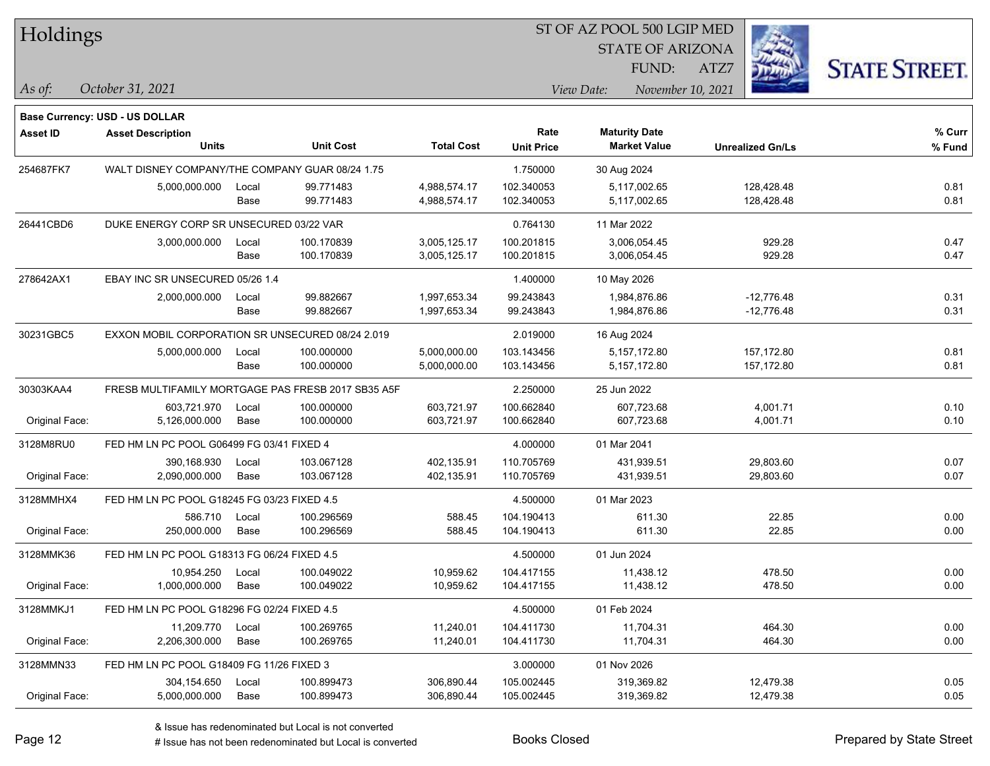| Holdings |
|----------|
|          |

STATE OF ARIZONA

ATZ7



**Base Currency: USD - US DOLLAR**

*October 31, 2021 As of: View Date: November 10, 2021* FUND:

| <b>Asset ID</b> | <b>Asset Description</b>                         |                                                    |                  |                   | Rate              | <b>Maturity Date</b> |                         | % Curr |
|-----------------|--------------------------------------------------|----------------------------------------------------|------------------|-------------------|-------------------|----------------------|-------------------------|--------|
|                 | <b>Units</b>                                     |                                                    | <b>Unit Cost</b> | <b>Total Cost</b> | <b>Unit Price</b> | <b>Market Value</b>  | <b>Unrealized Gn/Ls</b> | % Fund |
| 254687FK7       | WALT DISNEY COMPANY/THE COMPANY GUAR 08/24 1.75  |                                                    |                  | 1.750000          | 30 Aug 2024       |                      |                         |        |
|                 | 5,000,000.000                                    | Local                                              | 99.771483        | 4,988,574.17      | 102.340053        | 5,117,002.65         | 128,428.48              | 0.81   |
|                 |                                                  | Base                                               | 99.771483        | 4,988,574.17      | 102.340053        | 5,117,002.65         | 128,428.48              | 0.81   |
| 26441CBD6       | DUKE ENERGY CORP SR UNSECURED 03/22 VAR          |                                                    |                  |                   | 0.764130          | 11 Mar 2022          |                         |        |
|                 | 3,000,000.000                                    | Local                                              | 100.170839       | 3,005,125.17      | 100.201815        | 3,006,054.45         | 929.28                  | 0.47   |
|                 |                                                  | Base                                               | 100.170839       | 3,005,125.17      | 100.201815        | 3,006,054.45         | 929.28                  | 0.47   |
| 278642AX1       | EBAY INC SR UNSECURED 05/26 1.4                  |                                                    |                  |                   | 1.400000          | 10 May 2026          |                         |        |
|                 | 2,000,000.000                                    | Local                                              | 99.882667        | 1,997,653.34      | 99.243843         | 1,984,876.86         | $-12,776.48$            | 0.31   |
|                 |                                                  | Base                                               | 99.882667        | 1,997,653.34      | 99.243843         | 1,984,876.86         | $-12,776.48$            | 0.31   |
| 30231GBC5       | EXXON MOBIL CORPORATION SR UNSECURED 08/24 2.019 |                                                    |                  |                   | 2.019000          | 16 Aug 2024          |                         |        |
|                 | 5,000,000.000                                    | Local                                              | 100.000000       | 5,000,000.00      | 103.143456        | 5,157,172.80         | 157,172.80              | 0.81   |
|                 |                                                  | Base                                               | 100.000000       | 5,000,000.00      | 103.143456        | 5, 157, 172.80       | 157,172.80              | 0.81   |
| 30303KAA4       |                                                  | FRESB MULTIFAMILY MORTGAGE PAS FRESB 2017 SB35 A5F |                  | 2.250000          | 25 Jun 2022       |                      |                         |        |
|                 | 603,721.970                                      | Local                                              | 100.000000       | 603,721.97        | 100.662840        | 607,723.68           | 4,001.71                | 0.10   |
| Original Face:  | 5,126,000.000                                    | Base                                               | 100.000000       | 603,721.97        | 100.662840        | 607,723.68           | 4,001.71                | 0.10   |
| 3128M8RU0       | FED HM LN PC POOL G06499 FG 03/41 FIXED 4        |                                                    |                  |                   | 4.000000          | 01 Mar 2041          |                         |        |
|                 | 390,168.930                                      | Local                                              | 103.067128       | 402,135.91        | 110.705769        | 431,939.51           | 29,803.60               | 0.07   |
| Original Face:  | 2,090,000.000                                    | Base                                               | 103.067128       | 402,135.91        | 110.705769        | 431,939.51           | 29,803.60               | 0.07   |
| 3128MMHX4       | FED HM LN PC POOL G18245 FG 03/23 FIXED 4.5      |                                                    |                  |                   | 4.500000          | 01 Mar 2023          |                         |        |
|                 | 586.710                                          | Local                                              | 100.296569       | 588.45            | 104.190413        | 611.30               | 22.85                   | 0.00   |
| Original Face:  | 250,000.000                                      | Base                                               | 100.296569       | 588.45            | 104.190413        | 611.30               | 22.85                   | 0.00   |
| 3128MMK36       | FED HM LN PC POOL G18313 FG 06/24 FIXED 4.5      |                                                    |                  |                   | 4.500000          | 01 Jun 2024          |                         |        |
|                 | 10,954.250                                       | Local                                              | 100.049022       | 10,959.62         | 104.417155        | 11,438.12            | 478.50                  | 0.00   |
| Original Face:  | 1,000,000.000                                    | Base                                               | 100.049022       | 10,959.62         | 104.417155        | 11,438.12            | 478.50                  | 0.00   |
| 3128MMKJ1       | FED HM LN PC POOL G18296 FG 02/24 FIXED 4.5      |                                                    |                  |                   | 4.500000          | 01 Feb 2024          |                         |        |
|                 | 11,209.770                                       | Local                                              | 100.269765       | 11,240.01         | 104.411730        | 11,704.31            | 464.30                  | 0.00   |
| Original Face:  | 2,206,300.000                                    | Base                                               | 100.269765       | 11,240.01         | 104.411730        | 11,704.31            | 464.30                  | 0.00   |
| 3128MMN33       | FED HM LN PC POOL G18409 FG 11/26 FIXED 3        |                                                    |                  |                   | 3.000000          | 01 Nov 2026          |                         |        |
|                 | 304,154.650                                      | Local                                              | 100.899473       | 306,890.44        | 105.002445        | 319,369.82           | 12,479.38               | 0.05   |
| Original Face:  | 5,000,000.000                                    | Base                                               | 100.899473       | 306,890.44        | 105.002445        | 319,369.82           | 12,479.38               | 0.05   |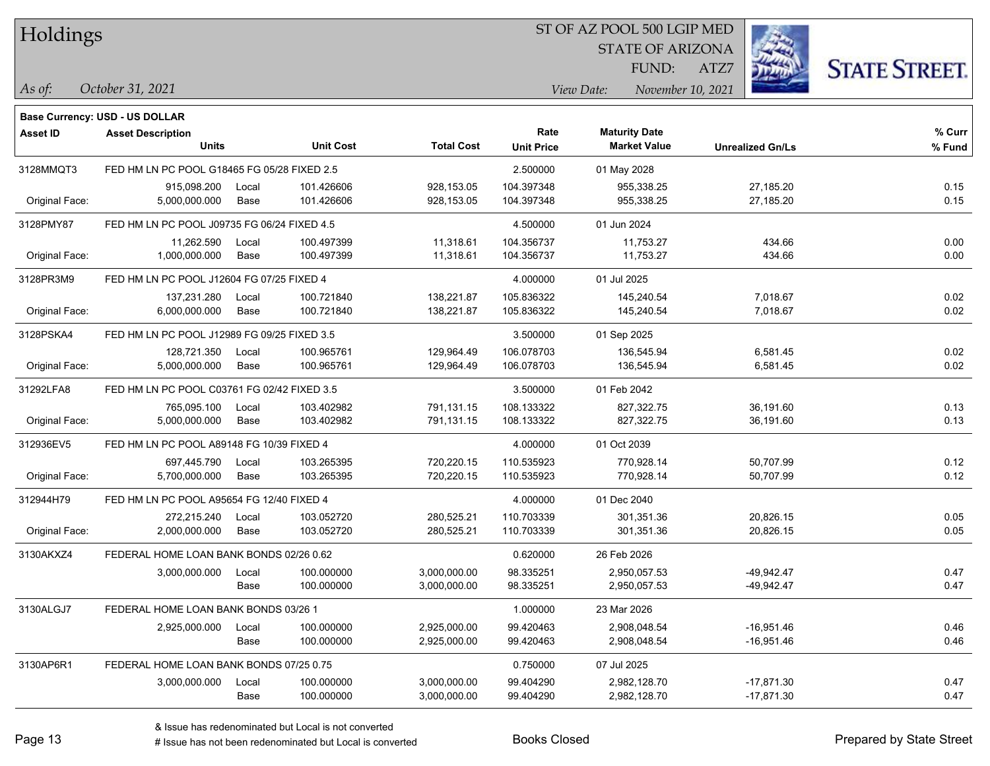| Holdings |
|----------|
|          |

**Base Currency: USD - US DOLLAR**

#### ST OF AZ POOL 500 LGIP MED

STATE OF ARIZONA FUND:

ATZ7



*October 31, 2021 As of: View Date: November 10, 2021*

| <b>Asset ID</b> | <b>Asset Description</b><br><b>Units</b>    |       | <b>Unit Cost</b> | <b>Total Cost</b> | Rate              | <b>Maturity Date</b><br><b>Market Value</b> |                         | % Curr |
|-----------------|---------------------------------------------|-------|------------------|-------------------|-------------------|---------------------------------------------|-------------------------|--------|
|                 |                                             |       |                  |                   | <b>Unit Price</b> |                                             | <b>Unrealized Gn/Ls</b> | % Fund |
| 3128MMQT3       | FED HM LN PC POOL G18465 FG 05/28 FIXED 2.5 |       |                  |                   | 2.500000          | 01 May 2028                                 |                         |        |
|                 | 915,098.200                                 | Local | 101.426606       | 928,153.05        | 104.397348        | 955,338.25                                  | 27,185.20               | 0.15   |
| Original Face:  | 5,000,000.000                               | Base  | 101.426606       | 928,153.05        | 104.397348        | 955,338.25                                  | 27,185.20               | 0.15   |
| 3128PMY87       | FED HM LN PC POOL J09735 FG 06/24 FIXED 4.5 |       |                  |                   | 4.500000          | 01 Jun 2024                                 |                         |        |
|                 | 11,262.590                                  | Local | 100.497399       | 11,318.61         | 104.356737        | 11,753.27                                   | 434.66                  | 0.00   |
| Original Face:  | 1,000,000.000                               | Base  | 100.497399       | 11,318.61         | 104.356737        | 11,753.27                                   | 434.66                  | 0.00   |
| 3128PR3M9       | FED HM LN PC POOL J12604 FG 07/25 FIXED 4   |       |                  |                   | 4.000000          | 01 Jul 2025                                 |                         |        |
|                 | 137,231.280                                 | Local | 100.721840       | 138,221.87        | 105.836322        | 145,240.54                                  | 7,018.67                | 0.02   |
| Original Face:  | 6,000,000.000                               | Base  | 100.721840       | 138,221.87        | 105.836322        | 145,240.54                                  | 7,018.67                | 0.02   |
| 3128PSKA4       | FED HM LN PC POOL J12989 FG 09/25 FIXED 3.5 |       |                  |                   | 3.500000          | 01 Sep 2025                                 |                         |        |
|                 | 128,721.350                                 | Local | 100.965761       | 129,964.49        | 106.078703        | 136,545.94                                  | 6,581.45                | 0.02   |
| Original Face:  | 5,000,000.000                               | Base  | 100.965761       | 129,964.49        | 106.078703        | 136,545.94                                  | 6,581.45                | 0.02   |
| 31292LFA8       | FED HM LN PC POOL C03761 FG 02/42 FIXED 3.5 |       |                  |                   | 3.500000          | 01 Feb 2042                                 |                         |        |
|                 | 765,095.100                                 | Local | 103.402982       | 791,131.15        | 108.133322        | 827,322.75                                  | 36,191.60               | 0.13   |
| Original Face:  | 5,000,000.000                               | Base  | 103.402982       | 791,131.15        | 108.133322        | 827,322.75                                  | 36,191.60               | 0.13   |
| 312936EV5       | FED HM LN PC POOL A89148 FG 10/39 FIXED 4   |       |                  |                   | 4.000000          | 01 Oct 2039                                 |                         |        |
|                 | 697,445.790                                 | Local | 103.265395       | 720,220.15        | 110.535923        | 770,928.14                                  | 50,707.99               | 0.12   |
| Original Face:  | 5,700,000.000                               | Base  | 103.265395       | 720,220.15        | 110.535923        | 770,928.14                                  | 50,707.99               | 0.12   |
| 312944H79       | FED HM LN PC POOL A95654 FG 12/40 FIXED 4   |       |                  |                   | 4.000000          | 01 Dec 2040                                 |                         |        |
|                 | 272,215.240                                 | Local | 103.052720       | 280,525.21        | 110.703339        | 301,351.36                                  | 20,826.15               | 0.05   |
| Original Face:  | 2,000,000.000                               | Base  | 103.052720       | 280,525.21        | 110.703339        | 301,351.36                                  | 20,826.15               | 0.05   |
| 3130AKXZ4       | FEDERAL HOME LOAN BANK BONDS 02/26 0.62     |       |                  |                   | 0.620000          | 26 Feb 2026                                 |                         |        |
|                 | 3,000,000.000                               | Local | 100.000000       | 3,000,000.00      | 98.335251         | 2,950,057.53                                | $-49,942.47$            | 0.47   |
|                 |                                             | Base  | 100.000000       | 3,000,000.00      | 98.335251         | 2,950,057.53                                | $-49,942.47$            | 0.47   |
| 3130ALGJ7       | FEDERAL HOME LOAN BANK BONDS 03/26 1        |       |                  |                   | 1.000000          | 23 Mar 2026                                 |                         |        |
|                 | 2,925,000.000                               | Local | 100.000000       | 2,925,000.00      | 99.420463         | 2,908,048.54                                | $-16,951.46$            | 0.46   |
|                 |                                             | Base  | 100.000000       | 2,925,000.00      | 99.420463         | 2,908,048.54                                | $-16,951.46$            | 0.46   |
| 3130AP6R1       | FEDERAL HOME LOAN BANK BONDS 07/25 0.75     |       |                  |                   | 0.750000          | 07 Jul 2025                                 |                         |        |
|                 | 3,000,000.000                               | Local | 100.000000       | 3,000,000.00      | 99.404290         | 2,982,128.70                                | $-17,871.30$            | 0.47   |
|                 |                                             | Base  | 100.000000       | 3,000,000.00      | 99.404290         | 2,982,128.70                                | $-17,871.30$            | 0.47   |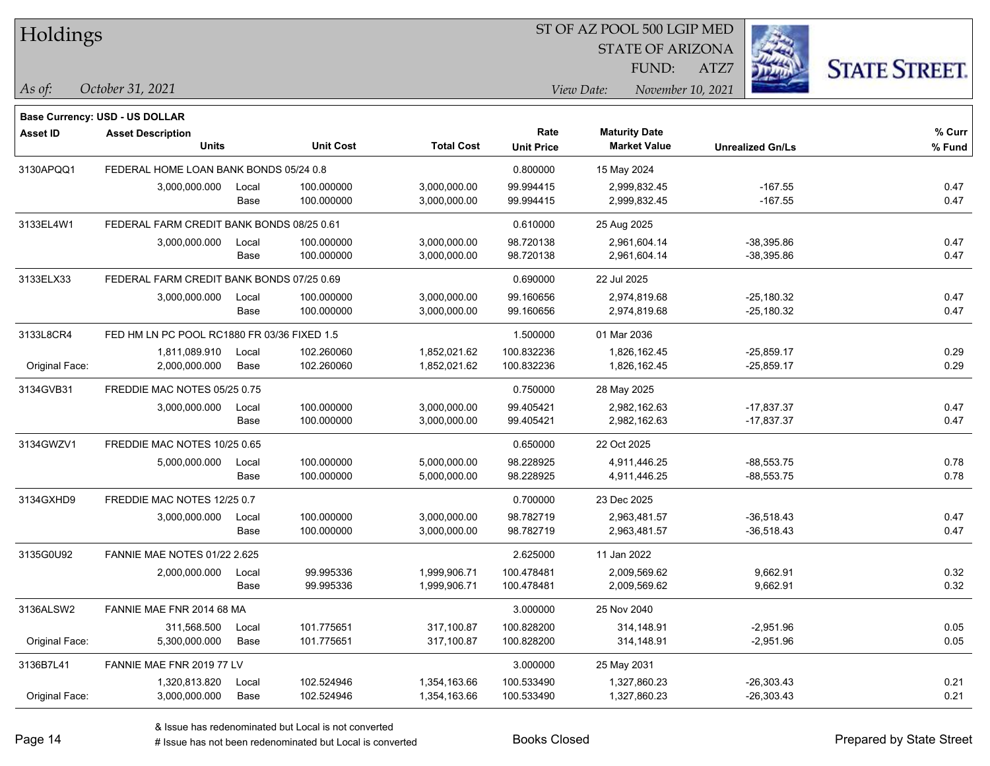| Holdings        |                                                                   |       |                  |                   |                   |                         |                         |                      |
|-----------------|-------------------------------------------------------------------|-------|------------------|-------------------|-------------------|-------------------------|-------------------------|----------------------|
|                 |                                                                   |       |                  |                   |                   | <b>STATE OF ARIZONA</b> |                         |                      |
|                 |                                                                   |       |                  |                   |                   | FUND:                   | ATZ7                    | <b>STATE STREET.</b> |
| As of:          | October 31, 2021                                                  |       |                  |                   |                   | View Date:              | November 10, 2021       |                      |
|                 |                                                                   |       |                  |                   |                   |                         |                         |                      |
| <b>Asset ID</b> | <b>Base Currency: USD - US DOLLAR</b><br><b>Asset Description</b> |       |                  |                   | Rate              | <b>Maturity Date</b>    |                         | $%$ Curr             |
|                 | <b>Units</b>                                                      |       | <b>Unit Cost</b> | <b>Total Cost</b> | <b>Unit Price</b> | <b>Market Value</b>     | <b>Unrealized Gn/Ls</b> | % Fund               |
| 3130APQQ1       | FEDERAL HOME LOAN BANK BONDS 05/24 0.8                            |       |                  |                   | 0.800000          | 15 May 2024             |                         |                      |
|                 | 3,000,000.000                                                     | Local | 100.000000       | 3,000,000.00      | 99.994415         | 2,999,832.45            | $-167.55$               | 0.47                 |
|                 |                                                                   | Base  | 100.000000       | 3,000,000.00      | 99.994415         | 2,999,832.45            | $-167.55$               | 0.47                 |
| 3133EL4W1       | FEDERAL FARM CREDIT BANK BONDS 08/25 0.61                         |       |                  |                   | 0.610000          | 25 Aug 2025             |                         |                      |
|                 | 3,000,000.000                                                     | Local | 100.000000       | 3,000,000.00      | 98.720138         | 2,961,604.14            | $-38,395.86$            | 0.47                 |
|                 |                                                                   | Base  | 100.000000       | 3,000,000.00      | 98.720138         | 2,961,604.14            | $-38,395.86$            | 0.47                 |
| 3133ELX33       | FEDERAL FARM CREDIT BANK BONDS 07/25 0.69                         |       |                  |                   | 0.690000          | 22 Jul 2025             |                         |                      |
|                 | 3,000,000.000                                                     | Local | 100.000000       | 3,000,000.00      | 99.160656         | 2,974,819.68            | $-25,180.32$            | 0.47                 |
|                 |                                                                   | Base  | 100.000000       | 3,000,000.00      | 99.160656         | 2,974,819.68            | $-25,180.32$            | 0.47                 |
| 3133L8CR4       | FED HM LN PC POOL RC1880 FR 03/36 FIXED 1.5                       |       |                  |                   | 1.500000          | 01 Mar 2036             |                         |                      |
|                 | 1,811,089.910                                                     | Local | 102.260060       | 1,852,021.62      | 100.832236        | 1,826,162.45            | $-25,859.17$            | 0.29                 |
| Original Face:  | 2,000,000.000                                                     | Base  | 102.260060       | 1,852,021.62      | 100.832236        | 1,826,162.45            | $-25,859.17$            | 0.29                 |
| 3134GVB31       | FREDDIE MAC NOTES 05/25 0.75                                      |       |                  |                   | 0.750000          | 28 May 2025             |                         |                      |
|                 | 3,000,000.000                                                     | Local | 100.000000       | 3,000,000.00      | 99.405421         | 2,982,162.63            | $-17,837.37$            | 0.47                 |
|                 |                                                                   | Base  | 100.000000       | 3,000,000.00      | 99.405421         | 2,982,162.63            | $-17,837.37$            | 0.47                 |
| 3134GWZV1       | FREDDIE MAC NOTES 10/25 0.65                                      |       |                  |                   | 0.650000          | 22 Oct 2025             |                         |                      |
|                 | 5,000,000.000                                                     | Local | 100.000000       | 5,000,000.00      | 98.228925         | 4,911,446.25            | $-88,553.75$            | 0.78                 |
|                 |                                                                   | Base  | 100.000000       | 5,000,000.00      | 98.228925         | 4,911,446.25            | $-88,553.75$            | 0.78                 |
| 3134GXHD9       | FREDDIE MAC NOTES 12/25 0.7                                       |       |                  |                   | 0.700000          | 23 Dec 2025             |                         |                      |
|                 | 3,000,000.000                                                     | Local | 100.000000       | 3,000,000.00      | 98.782719         | 2,963,481.57            | $-36,518.43$            | 0.47                 |
|                 |                                                                   | Base  | 100.000000       | 3,000,000.00      | 98.782719         | 2,963,481.57            | $-36,518.43$            | 0.47                 |
| 3135G0U92       | <b>FANNIE MAE NOTES 01/22 2.625</b>                               |       |                  |                   | 2.625000          | 11 Jan 2022             |                         |                      |
|                 | 2,000,000.000                                                     | Local | 99.995336        | 1,999,906.71      | 100.478481        | 2,009,569.62            | 9,662.91                | 0.32                 |
|                 |                                                                   | Base  | 99.995336        | 1,999,906.71      | 100.478481        | 2,009,569.62            | 9,662.91                | 0.32                 |
| 3136ALSW2       | FANNIE MAE FNR 2014 68 MA                                         |       |                  |                   | 3.000000          | 25 Nov 2040             |                         |                      |
|                 | 311,568.500                                                       | Local | 101.775651       | 317,100.87        | 100.828200        | 314,148.91              | $-2,951.96$             | 0.05                 |
| Original Face:  | 5,300,000.000                                                     | Base  | 101.775651       | 317,100.87        | 100.828200        | 314,148.91              | $-2,951.96$             | 0.05                 |
| 3136B7L41       | FANNIE MAE FNR 2019 77 LV                                         |       |                  |                   | 3.000000          | 25 May 2031             |                         |                      |
|                 | 1,320,813.820                                                     | Local | 102.524946       | 1,354,163.66      | 100.533490        | 1,327,860.23            | $-26,303.43$            | 0.21                 |
| Original Face:  | 3,000,000.000                                                     | Base  | 102.524946       | 1,354,163.66      | 100.533490        | 1,327,860.23            | $-26,303.43$            | 0.21                 |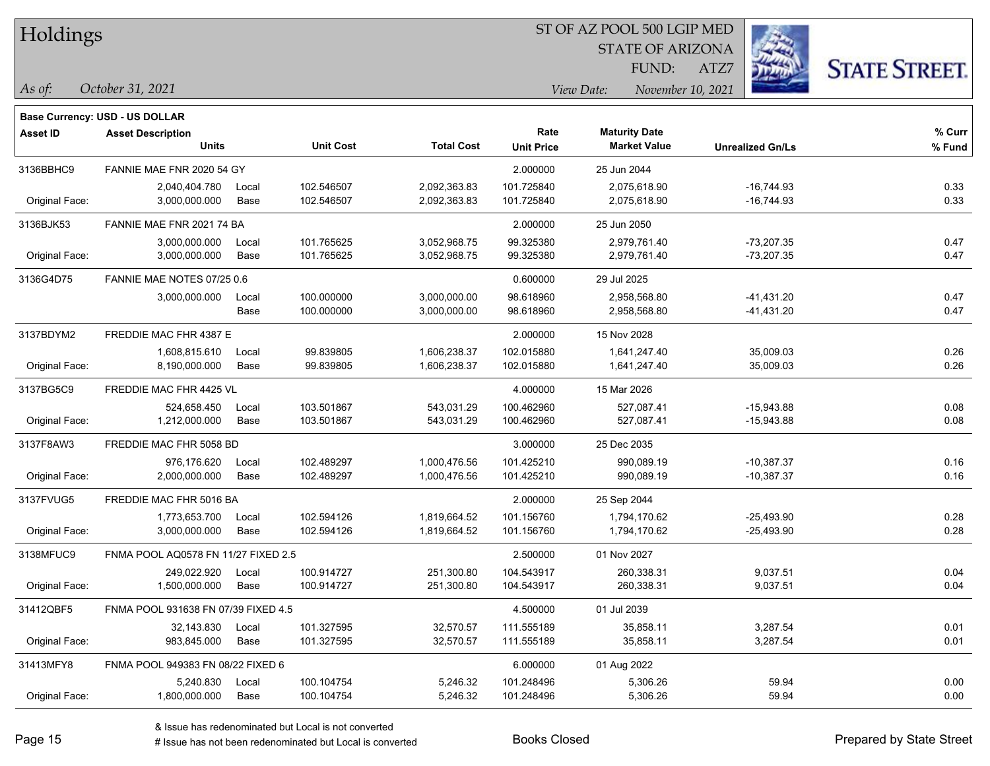| Holdings |
|----------|
|          |

STATE OF ARIZONA FUND:

ATZ7



*As of: View Date: November 10, 2021*

|  | As of: | October 31, 2021 |  |
|--|--------|------------------|--|
|--|--------|------------------|--|

|                 | <b>Base Currency: USD - US DOLLAR</b> |       |                  |                   |                   |                      |                         |        |
|-----------------|---------------------------------------|-------|------------------|-------------------|-------------------|----------------------|-------------------------|--------|
| <b>Asset ID</b> | <b>Asset Description</b>              |       |                  |                   | Rate              | <b>Maturity Date</b> |                         | % Curr |
|                 | <b>Units</b>                          |       | <b>Unit Cost</b> | <b>Total Cost</b> | <b>Unit Price</b> | <b>Market Value</b>  | <b>Unrealized Gn/Ls</b> | % Fund |
| 3136BBHC9       | FANNIE MAE FNR 2020 54 GY             |       |                  |                   | 2.000000          | 25 Jun 2044          |                         |        |
|                 | 2,040,404.780                         | Local | 102.546507       | 2,092,363.83      | 101.725840        | 2,075,618.90         | $-16,744.93$            | 0.33   |
| Original Face:  | 3,000,000.000                         | Base  | 102.546507       | 2,092,363.83      | 101.725840        | 2,075,618.90         | $-16,744.93$            | 0.33   |
| 3136BJK53       | FANNIE MAE FNR 2021 74 BA             |       |                  |                   | 2.000000          | 25 Jun 2050          |                         |        |
|                 | 3,000,000.000                         | Local | 101.765625       | 3.052,968.75      | 99.325380         | 2,979,761.40         | $-73,207.35$            | 0.47   |
| Original Face:  | 3,000,000.000                         | Base  | 101.765625       | 3,052,968.75      | 99.325380         | 2,979,761.40         | $-73,207.35$            | 0.47   |
| 3136G4D75       | FANNIE MAE NOTES 07/25 0.6            |       |                  |                   | 0.600000          | 29 Jul 2025          |                         |        |
|                 | 3,000,000.000                         | Local | 100.000000       | 3,000,000.00      | 98.618960         | 2,958,568.80         | $-41,431.20$            | 0.47   |
|                 |                                       | Base  | 100.000000       | 3,000,000.00      | 98.618960         | 2,958,568.80         | -41,431.20              | 0.47   |
| 3137BDYM2       | FREDDIE MAC FHR 4387 E                |       |                  |                   | 2.000000          | 15 Nov 2028          |                         |        |
|                 | 1,608,815.610                         | Local | 99.839805        | 1,606,238.37      | 102.015880        | 1,641,247.40         | 35,009.03               | 0.26   |
| Original Face:  | 8,190,000.000                         | Base  | 99.839805        | 1,606,238.37      | 102.015880        | 1,641,247.40         | 35,009.03               | 0.26   |
| 3137BG5C9       | FREDDIE MAC FHR 4425 VL               |       |                  |                   | 4.000000          | 15 Mar 2026          |                         |        |
|                 | 524,658.450                           | Local | 103.501867       | 543,031.29        | 100.462960        | 527,087.41           | $-15,943.88$            | 0.08   |
| Original Face:  | 1,212,000.000                         | Base  | 103.501867       | 543,031.29        | 100.462960        | 527,087.41           | $-15,943.88$            | 0.08   |
| 3137F8AW3       | FREDDIE MAC FHR 5058 BD               |       |                  |                   | 3.000000          | 25 Dec 2035          |                         |        |
|                 | 976,176.620                           | Local | 102.489297       | 1,000,476.56      | 101.425210        | 990.089.19           | $-10,387.37$            | 0.16   |
| Original Face:  | 2,000,000.000                         | Base  | 102.489297       | 1,000,476.56      | 101.425210        | 990,089.19           | $-10,387.37$            | 0.16   |
| 3137FVUG5       | FREDDIE MAC FHR 5016 BA               |       |                  |                   | 2.000000          | 25 Sep 2044          |                         |        |
|                 | 1,773,653.700                         | Local | 102.594126       | 1,819,664.52      | 101.156760        | 1.794.170.62         | $-25,493.90$            | 0.28   |
| Original Face:  | 3,000,000.000                         | Base  | 102.594126       | 1,819,664.52      | 101.156760        | 1,794,170.62         | -25,493.90              | 0.28   |
| 3138MFUC9       | FNMA POOL AQ0578 FN 11/27 FIXED 2.5   |       |                  |                   | 2.500000          | 01 Nov 2027          |                         |        |
|                 | 249,022.920                           | Local | 100.914727       | 251,300.80        | 104.543917        | 260,338.31           | 9,037.51                | 0.04   |
| Original Face:  | 1,500,000.000                         | Base  | 100.914727       | 251,300.80        | 104.543917        | 260,338.31           | 9,037.51                | 0.04   |
| 31412QBF5       | FNMA POOL 931638 FN 07/39 FIXED 4.5   |       |                  |                   | 4.500000          | 01 Jul 2039          |                         |        |
|                 | 32,143.830                            | Local | 101.327595       | 32,570.57         | 111.555189        | 35,858.11            | 3,287.54                | 0.01   |
| Original Face:  | 983,845.000                           | Base  | 101.327595       | 32,570.57         | 111.555189        | 35,858.11            | 3,287.54                | 0.01   |
| 31413MFY8       | FNMA POOL 949383 FN 08/22 FIXED 6     |       |                  |                   | 6.000000          | 01 Aug 2022          |                         |        |
|                 | 5,240.830                             | Local | 100.104754       | 5,246.32          | 101.248496        | 5,306.26             | 59.94                   | 0.00   |
| Original Face:  | 1,800,000.000                         | Base  | 100.104754       | 5,246.32          | 101.248496        | 5,306.26             | 59.94                   | 0.00   |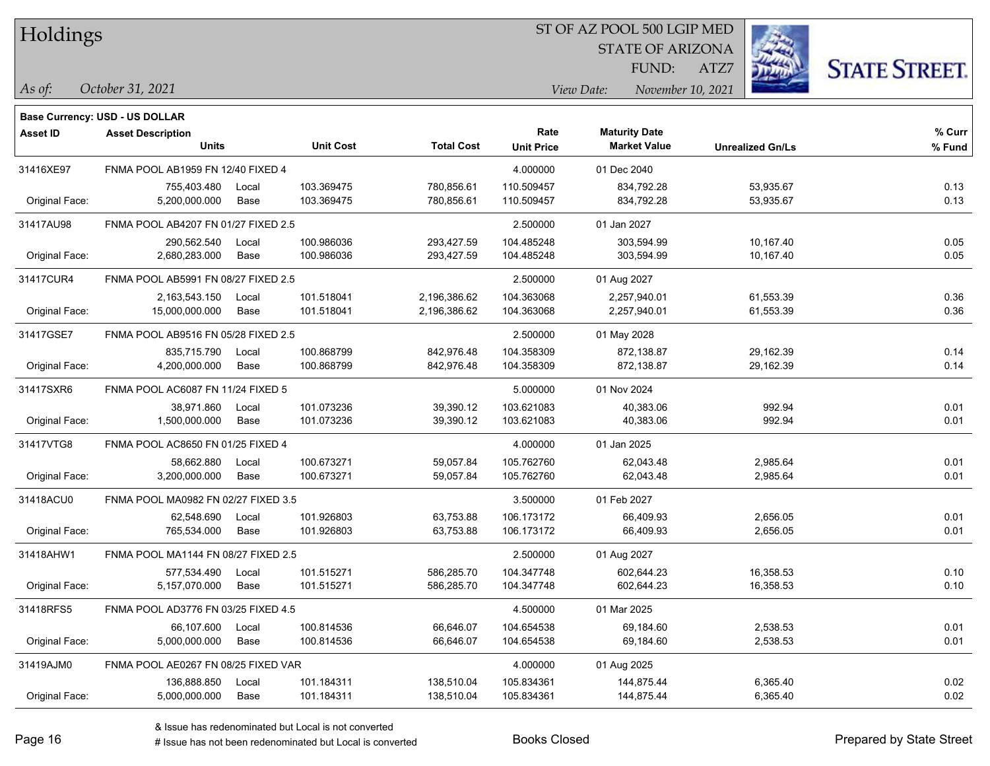#### ST OF AZ POOL 500 LGIP MED

STATE OF ARIZONA FUND:

ATZ7



*As of: View Date: November 10, 2021*

| As of: | October 31, 2021 |  |  |
|--------|------------------|--|--|
|--------|------------------|--|--|

|                                                  | <b>Base Currency: USD - US DOLLAR</b> |       |                  |                   |                   |                      |                         |        |
|--------------------------------------------------|---------------------------------------|-------|------------------|-------------------|-------------------|----------------------|-------------------------|--------|
| <b>Asset ID</b>                                  | <b>Asset Description</b>              |       |                  |                   | Rate              | <b>Maturity Date</b> |                         | % Curr |
|                                                  | <b>Units</b>                          |       | <b>Unit Cost</b> | <b>Total Cost</b> | <b>Unit Price</b> | <b>Market Value</b>  | <b>Unrealized Gn/Ls</b> | % Fund |
| 31416XE97                                        | FNMA POOL AB1959 FN 12/40 FIXED 4     |       |                  |                   | 4.000000          | 01 Dec 2040          |                         |        |
|                                                  | 755,403.480                           | Local | 103.369475       | 780,856.61        | 110.509457        | 834,792.28           | 53,935.67               | 0.13   |
| Original Face:                                   | 5,200,000.000                         | Base  | 103.369475       | 780,856.61        | 110.509457        | 834,792.28           | 53,935.67               | 0.13   |
| 31417AU98                                        | FNMA POOL AB4207 FN 01/27 FIXED 2.5   |       |                  |                   | 2.500000          | 01 Jan 2027          |                         |        |
|                                                  | 290,562.540                           | Local | 100.986036       | 293,427.59        | 104.485248        | 303,594.99           | 10,167.40               | 0.05   |
| Original Face:                                   | 2,680,283.000                         | Base  | 100.986036       | 293,427.59        | 104.485248        | 303,594.99           | 10,167.40               | 0.05   |
| 31417CUR4                                        | FNMA POOL AB5991 FN 08/27 FIXED 2.5   |       |                  |                   | 2.500000          | 01 Aug 2027          |                         |        |
|                                                  | 2,163,543.150                         | Local | 101.518041       | 2,196,386.62      | 104.363068        | 2,257,940.01         | 61,553.39               | 0.36   |
| Original Face:                                   | 15,000,000.000                        | Base  | 101.518041       | 2,196,386.62      | 104.363068        | 2,257,940.01         | 61,553.39               | 0.36   |
| 31417GSE7<br>FNMA POOL AB9516 FN 05/28 FIXED 2.5 |                                       |       |                  |                   | 2.500000          | 01 May 2028          |                         |        |
|                                                  | 835,715.790                           | Local | 100.868799       | 842,976.48        | 104.358309        | 872,138.87           | 29,162.39               | 0.14   |
| Original Face:                                   | 4,200,000.000                         | Base  | 100.868799       | 842,976.48        | 104.358309        | 872,138.87           | 29,162.39               | 0.14   |
| 31417SXR6                                        | FNMA POOL AC6087 FN 11/24 FIXED 5     |       |                  |                   | 5.000000          | 01 Nov 2024          |                         |        |
|                                                  | 38.971.860                            | Local | 101.073236       | 39,390.12         | 103.621083        | 40,383.06            | 992.94                  | 0.01   |
| Original Face:                                   | 1,500,000.000                         | Base  | 101.073236       | 39,390.12         | 103.621083        | 40,383.06            | 992.94                  | 0.01   |
| 31417VTG8                                        | FNMA POOL AC8650 FN 01/25 FIXED 4     |       |                  |                   | 4.000000          | 01 Jan 2025          |                         |        |
|                                                  | 58,662.880                            | Local | 100.673271       | 59,057.84         | 105.762760        | 62,043.48            | 2,985.64                | 0.01   |
| Original Face:                                   | 3,200,000.000                         | Base  | 100.673271       | 59,057.84         | 105.762760        | 62,043.48            | 2,985.64                | 0.01   |
| 31418ACU0                                        | FNMA POOL MA0982 FN 02/27 FIXED 3.5   |       |                  |                   | 3.500000          | 01 Feb 2027          |                         |        |
|                                                  | 62,548.690                            | Local | 101.926803       | 63,753.88         | 106.173172        | 66,409.93            | 2,656.05                | 0.01   |
| Original Face:                                   | 765,534.000                           | Base  | 101.926803       | 63,753.88         | 106.173172        | 66,409.93            | 2,656.05                | 0.01   |
| 31418AHW1                                        | FNMA POOL MA1144 FN 08/27 FIXED 2.5   |       |                  |                   | 2.500000          | 01 Aug 2027          |                         |        |
|                                                  | 577,534.490                           | Local | 101.515271       | 586,285.70        | 104.347748        | 602,644.23           | 16,358.53               | 0.10   |
| Original Face:                                   | 5,157,070.000                         | Base  | 101.515271       | 586,285.70        | 104.347748        | 602,644.23           | 16,358.53               | 0.10   |
| 31418RFS5                                        | FNMA POOL AD3776 FN 03/25 FIXED 4.5   |       |                  |                   | 4.500000          | 01 Mar 2025          |                         |        |
|                                                  | 66,107.600                            | Local | 100.814536       | 66,646.07         | 104.654538        | 69,184.60            | 2,538.53                | 0.01   |
| Original Face:                                   | 5,000,000.000                         | Base  | 100.814536       | 66,646.07         | 104.654538        | 69,184.60            | 2,538.53                | 0.01   |
| 31419AJM0                                        | FNMA POOL AE0267 FN 08/25 FIXED VAR   |       |                  |                   | 4.000000          | 01 Aug 2025          |                         |        |
|                                                  | 136,888.850                           | Local | 101.184311       | 138,510.04        | 105.834361        | 144,875.44           | 6,365.40                | 0.02   |
| Original Face:                                   | 5,000,000.000                         | Base  | 101.184311       | 138,510.04        | 105.834361        | 144,875.44           | 6,365.40                | 0.02   |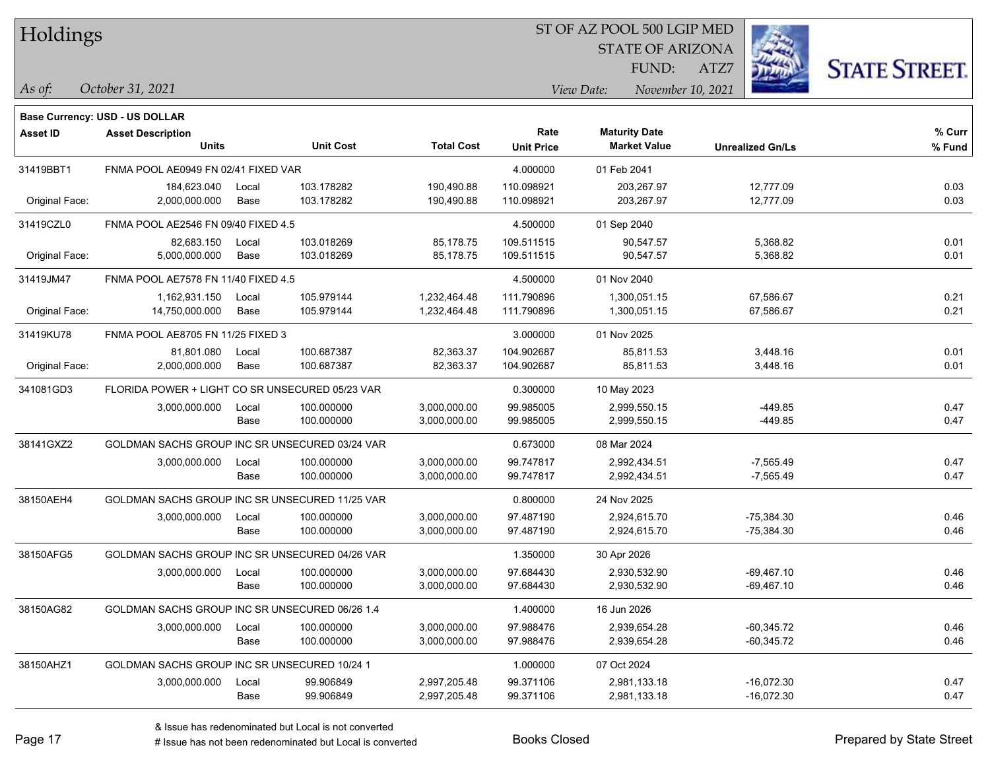#### ST OF AZ POOL 500 LGIP MED

STATE OF ARIZONA FUND:

ATZ7



**Base Currency: USD - US DOLLAR**

*October 31, 2021 As of: View Date: November 10, 2021*

| <b>Asset ID</b> | <b>Asset Description</b><br><b>Units</b>        |               | <b>Unit Cost</b>         | <b>Total Cost</b>                                                                                    | Rate<br><b>Unit Price</b> | <b>Maturity Date</b><br><b>Market Value</b> | <b>Unrealized Gn/Ls</b>      | % Curr<br>% Fund |
|-----------------|-------------------------------------------------|---------------|--------------------------|------------------------------------------------------------------------------------------------------|---------------------------|---------------------------------------------|------------------------------|------------------|
| 31419BBT1       | FNMA POOL AE0949 FN 02/41 FIXED VAR             |               |                          |                                                                                                      | 4.000000                  | 01 Feb 2041                                 |                              |                  |
| Original Face:  | 184,623.040<br>Local<br>2,000,000.000<br>Base   |               | 103.178282<br>103.178282 | 190,490.88<br>190,490.88                                                                             | 110.098921<br>110.098921  | 203,267.97<br>203,267.97                    | 12,777.09<br>12,777.09       | 0.03<br>0.03     |
| 31419CZL0       | FNMA POOL AE2546 FN 09/40 FIXED 4.5             |               |                          |                                                                                                      | 4.500000                  | 01 Sep 2040                                 |                              |                  |
| Original Face:  | 82,683.150<br>5.000.000.000                     | Local<br>Base | 103.018269<br>103.018269 | 85,178.75<br>85,178.75                                                                               | 109.511515<br>109.511515  | 90,547.57<br>90,547.57                      | 5,368.82<br>5,368.82         | 0.01<br>0.01     |
| 31419JM47       | FNMA POOL AE7578 FN 11/40 FIXED 4.5             |               |                          | 4.500000                                                                                             | 01 Nov 2040               |                                             |                              |                  |
| Original Face:  | 1,162,931.150<br>14,750,000.000                 | Local<br>Base | 105.979144<br>105.979144 | 1,232,464.48<br>1,232,464.48                                                                         | 111.790896<br>111.790896  | 1,300,051.15<br>1,300,051.15                | 67,586.67<br>67,586.67       | 0.21<br>0.21     |
| 31419KU78       | FNMA POOL AE8705 FN 11/25 FIXED 3               |               |                          | 3.000000                                                                                             | 01 Nov 2025               |                                             |                              |                  |
| Original Face:  | 81,801.080<br>2,000,000.000                     | Local<br>Base | 100.687387<br>100.687387 | 82,363.37<br>104.902687<br>3,448.16<br>85,811.53<br>82,363.37<br>104.902687<br>3,448.16<br>85,811.53 |                           | 0.01<br>0.01                                |                              |                  |
| 341081GD3       | FLORIDA POWER + LIGHT CO SR UNSECURED 05/23 VAR |               |                          | 0.300000                                                                                             | 10 May 2023               |                                             |                              |                  |
|                 | 3,000,000.000                                   | Local<br>Base | 100.000000<br>100.000000 | 3,000,000.00<br>3,000,000.00                                                                         | 99.985005<br>99.985005    | 2,999,550.15<br>2,999,550.15                | $-449.85$<br>$-449.85$       | 0.47<br>0.47     |
| 38141GXZ2       | GOLDMAN SACHS GROUP INC SR UNSECURED 03/24 VAR  |               |                          |                                                                                                      | 0.673000                  | 08 Mar 2024                                 |                              |                  |
|                 | 3,000,000.000                                   | Local<br>Base | 100.000000<br>100.000000 | 3,000,000.00<br>3,000,000.00                                                                         | 99.747817<br>99.747817    | 2,992,434.51<br>2,992,434.51                | $-7,565.49$<br>$-7,565.49$   | 0.47<br>0.47     |
| 38150AEH4       | GOLDMAN SACHS GROUP INC SR UNSECURED 11/25 VAR  |               |                          |                                                                                                      | 0.800000                  | 24 Nov 2025                                 |                              |                  |
|                 | 3,000,000.000                                   | Local<br>Base | 100.000000<br>100.000000 | 3,000,000.00<br>3,000,000.00                                                                         | 97.487190<br>97.487190    | 2,924,615.70<br>2,924,615.70                | $-75,384.30$<br>$-75,384.30$ | 0.46<br>0.46     |
| 38150AFG5       | GOLDMAN SACHS GROUP INC SR UNSECURED 04/26 VAR  |               |                          |                                                                                                      | 1.350000                  | 30 Apr 2026                                 |                              |                  |
|                 | 3,000,000.000                                   | Local<br>Base | 100.000000<br>100.000000 | 3,000,000.00<br>3,000,000.00                                                                         | 97.684430<br>97.684430    | 2,930,532.90<br>2,930,532.90                | $-69,467.10$<br>$-69,467.10$ | 0.46<br>0.46     |
| 38150AG82       | GOLDMAN SACHS GROUP INC SR UNSECURED 06/26 1.4  |               |                          |                                                                                                      | 1.400000                  | 16 Jun 2026                                 |                              |                  |
|                 | 3,000,000.000                                   | Local<br>Base | 100.000000<br>100.000000 | 3,000,000.00<br>3,000,000.00                                                                         | 97.988476<br>97.988476    | 2,939,654.28<br>2,939,654.28                | $-60,345.72$<br>$-60,345.72$ | 0.46<br>0.46     |
| 38150AHZ1       | GOLDMAN SACHS GROUP INC SR UNSECURED 10/24 1    |               |                          |                                                                                                      | 1.000000                  | 07 Oct 2024                                 |                              |                  |
|                 | 3,000,000.000                                   | Local<br>Base | 99.906849<br>99.906849   | 2,997,205.48<br>2,997,205.48                                                                         | 99.371106<br>99.371106    | 2,981,133.18<br>2,981,133.18                | -16,072.30<br>$-16,072.30$   | 0.47<br>0.47     |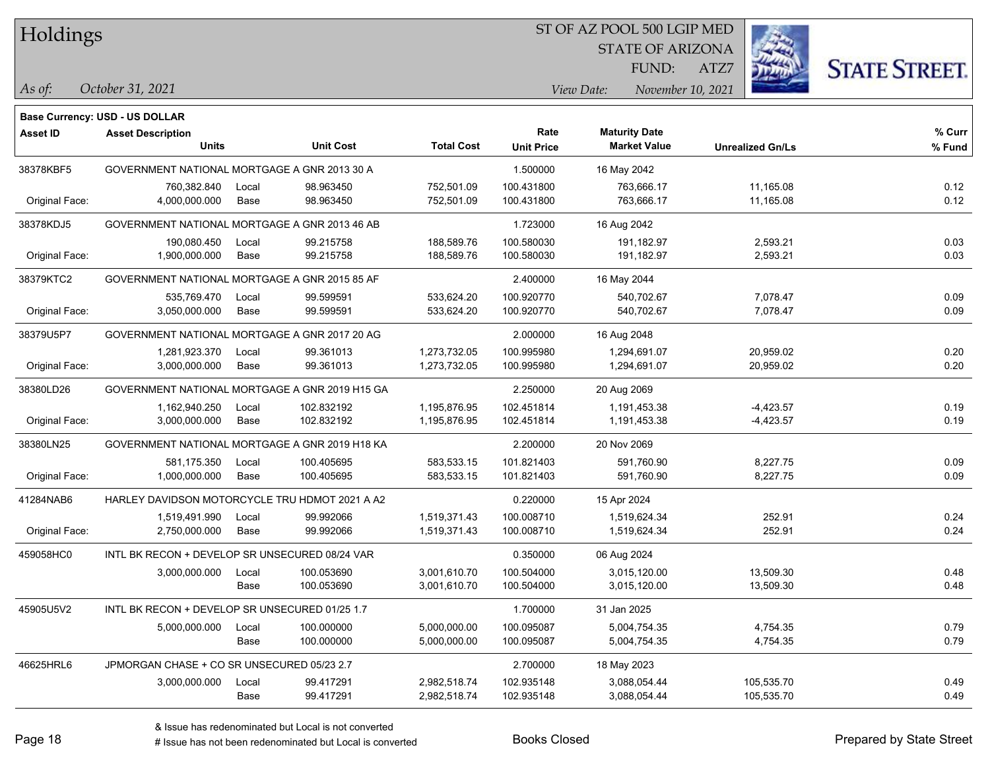#### ST OF AZ POOL 500 LGIP MED

STATE OF ARIZONA FUND:

ATZ7



*October 31, 2021 As of: View Date: November 10, 2021*

**Base Currency: USD - US DOLLAR**

| <b>Asset ID</b> | <b>Asset Description</b><br><b>Units</b>       |               | <b>Unit Cost</b>         | <b>Total Cost</b>                                                                                                  | Rate<br><b>Unit Price</b> | <b>Maturity Date</b><br><b>Market Value</b> | <b>Unrealized Gn/Ls</b>    | % Curr<br>% Fund |
|-----------------|------------------------------------------------|---------------|--------------------------|--------------------------------------------------------------------------------------------------------------------|---------------------------|---------------------------------------------|----------------------------|------------------|
| 38378KBF5       | GOVERNMENT NATIONAL MORTGAGE A GNR 2013 30 A   |               |                          |                                                                                                                    | 1.500000                  | 16 May 2042                                 |                            |                  |
| Original Face:  | 760,382.840<br>4,000,000.000                   | Local<br>Base | 98.963450<br>98.963450   | 752,501.09<br>752,501.09                                                                                           | 100.431800<br>100.431800  | 763,666.17<br>763,666.17                    | 11,165.08<br>11,165.08     | 0.12<br>0.12     |
| 38378KDJ5       | GOVERNMENT NATIONAL MORTGAGE A GNR 2013 46 AB  |               |                          |                                                                                                                    | 1.723000                  | 16 Aug 2042                                 |                            |                  |
| Original Face:  | 190,080.450<br>Local<br>1,900,000.000<br>Base  |               | 99.215758<br>99.215758   | 188,589.76<br>188,589.76                                                                                           | 100.580030<br>100.580030  | 191.182.97<br>191,182.97                    | 2,593.21<br>2,593.21       | 0.03<br>0.03     |
| 38379KTC2       | GOVERNMENT NATIONAL MORTGAGE A GNR 2015 85 AF  |               |                          | 2.400000                                                                                                           | 16 May 2044               |                                             |                            |                  |
| Original Face:  | 535,769.470<br>3,050,000.000                   | Local<br>Base | 99.599591<br>99.599591   | 533,624.20<br>100.920770<br>540,702.67<br>533,624.20<br>100.920770<br>540,702.67                                   | 7,078.47<br>7,078.47      | 0.09<br>0.09                                |                            |                  |
| 38379U5P7       | GOVERNMENT NATIONAL MORTGAGE A GNR 2017 20 AG  |               |                          |                                                                                                                    | 2.000000                  | 16 Aug 2048                                 |                            |                  |
| Original Face:  | 1,281,923.370<br>3,000,000.000                 | Local<br>Base | 99.361013<br>99.361013   | 1,273,732.05<br>100.995980<br>1,294,691.07<br>20,959.02<br>1,273,732.05<br>100.995980<br>1,294,691.07<br>20,959.02 |                           | 0.20<br>0.20                                |                            |                  |
| 38380LD26       | GOVERNMENT NATIONAL MORTGAGE A GNR 2019 H15 GA |               |                          |                                                                                                                    | 2.250000                  | 20 Aug 2069                                 |                            |                  |
| Original Face:  | 1,162,940.250<br>3,000,000.000                 | Local<br>Base | 102.832192<br>102.832192 | 1,195,876.95<br>1,195,876.95                                                                                       | 102.451814<br>102.451814  | 1,191,453.38<br>1,191,453.38                | $-4,423.57$<br>$-4,423.57$ | 0.19<br>0.19     |
| 38380LN25       | GOVERNMENT NATIONAL MORTGAGE A GNR 2019 H18 KA |               |                          | 2.200000                                                                                                           | 20 Nov 2069               |                                             |                            |                  |
| Original Face:  | 581,175.350<br>1,000,000.000                   | Local<br>Base | 100.405695<br>100.405695 | 583,533.15<br>583,533.15                                                                                           | 101.821403<br>101.821403  | 591,760.90<br>591,760.90                    | 8,227.75<br>8,227.75       | 0.09<br>0.09     |
| 41284NAB6       | HARLEY DAVIDSON MOTORCYCLE TRU HDMOT 2021 A A2 |               |                          |                                                                                                                    | 0.220000                  | 15 Apr 2024                                 |                            |                  |
| Original Face:  | 1,519,491.990<br>2,750,000.000                 | Local<br>Base | 99.992066<br>99.992066   | 1,519,371.43<br>1,519,371.43                                                                                       | 100.008710<br>100.008710  | 1,519,624.34<br>1,519,624.34                | 252.91<br>252.91           | 0.24<br>0.24     |
| 459058HC0       | INTL BK RECON + DEVELOP SR UNSECURED 08/24 VAR |               |                          |                                                                                                                    | 0.350000                  | 06 Aug 2024                                 |                            |                  |
|                 | 3,000,000.000                                  | Local<br>Base | 100.053690<br>100.053690 | 3,001,610.70<br>3,001,610.70                                                                                       | 100.504000<br>100.504000  | 3,015,120.00<br>3,015,120.00                | 13,509.30<br>13,509.30     | 0.48<br>0.48     |
| 45905U5V2       | INTL BK RECON + DEVELOP SR UNSECURED 01/25 1.7 |               |                          |                                                                                                                    | 1.700000                  | 31 Jan 2025                                 |                            |                  |
|                 | 5,000,000.000                                  | Local<br>Base | 100.000000<br>100.000000 | 5,000,000.00<br>5,000,000.00                                                                                       | 100.095087<br>100.095087  | 5,004,754.35<br>5,004,754.35                | 4,754.35<br>4,754.35       | 0.79<br>0.79     |
| 46625HRL6       | JPMORGAN CHASE + CO SR UNSECURED 05/23 2.7     |               |                          |                                                                                                                    | 2.700000                  | 18 May 2023                                 |                            |                  |
|                 | 3,000,000.000                                  | Local<br>Base | 99.417291<br>99.417291   | 2,982,518.74<br>2,982,518.74                                                                                       | 102.935148<br>102.935148  | 3,088,054.44<br>3,088,054.44                | 105,535.70<br>105,535.70   | 0.49<br>0.49     |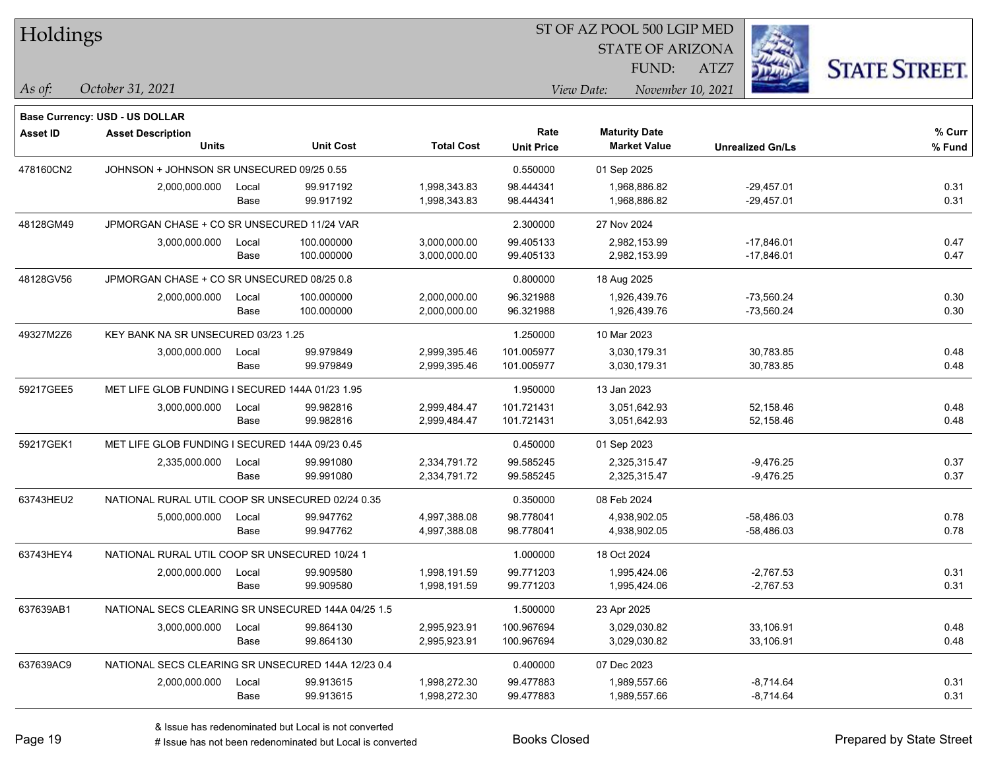| Holdings        |                                                    |       |                  |                   |                   |                                 |                         |                      |
|-----------------|----------------------------------------------------|-------|------------------|-------------------|-------------------|---------------------------------|-------------------------|----------------------|
|                 |                                                    |       |                  |                   |                   | <b>STATE OF ARIZONA</b>         |                         |                      |
|                 |                                                    |       |                  |                   |                   | FUND:                           | ATZ7                    | <b>STATE STREET.</b> |
| $\vert$ As of:  | October 31, 2021                                   |       |                  |                   |                   | View Date:<br>November 10, 2021 |                         |                      |
|                 | <b>Base Currency: USD - US DOLLAR</b>              |       |                  |                   |                   |                                 |                         |                      |
| <b>Asset ID</b> | <b>Asset Description</b>                           |       |                  |                   | Rate              | <b>Maturity Date</b>            |                         | % Curr               |
|                 | <b>Units</b>                                       |       | <b>Unit Cost</b> | <b>Total Cost</b> | <b>Unit Price</b> | <b>Market Value</b>             | <b>Unrealized Gn/Ls</b> | % Fund               |
| 478160CN2       | JOHNSON + JOHNSON SR UNSECURED 09/25 0.55          |       |                  |                   | 0.550000          | 01 Sep 2025                     |                         |                      |
|                 | 2,000,000.000                                      | Local | 99.917192        | 1,998,343.83      | 98.444341         | 1,968,886.82                    | $-29,457.01$            | 0.31                 |
|                 |                                                    | Base  | 99.917192        | 1,998,343.83      | 98.444341         | 1,968,886.82                    | $-29,457.01$            | 0.31                 |
| 48128GM49       | JPMORGAN CHASE + CO SR UNSECURED 11/24 VAR         |       |                  |                   | 2.300000          | 27 Nov 2024                     |                         |                      |
|                 | 3,000,000.000                                      | Local | 100.000000       | 3,000,000.00      | 99.405133         | 2,982,153.99                    | $-17,846.01$            | 0.47                 |
|                 |                                                    | Base  | 100.000000       | 3,000,000.00      | 99.405133         | 2,982,153.99                    | $-17,846.01$            | 0.47                 |
| 48128GV56       | JPMORGAN CHASE + CO SR UNSECURED 08/25 0.8         |       |                  |                   | 0.800000          | 18 Aug 2025                     |                         |                      |
|                 | 2,000,000.000                                      | Local | 100.000000       | 2,000,000.00      | 96.321988         | 1,926,439.76                    | $-73,560.24$            | 0.30                 |
|                 |                                                    | Base  | 100.000000       | 2,000,000.00      | 96.321988         | 1,926,439.76                    | $-73,560.24$            | 0.30                 |
| 49327M2Z6       | KEY BANK NA SR UNSECURED 03/23 1.25                |       |                  |                   | 1.250000          | 10 Mar 2023                     |                         |                      |
|                 | 3,000,000.000                                      | Local | 99.979849        | 2,999,395.46      | 101.005977        | 3,030,179.31                    | 30,783.85               | 0.48                 |
|                 |                                                    | Base  | 99.979849        | 2,999,395.46      | 101.005977        | 3,030,179.31                    | 30,783.85               | 0.48                 |
| 59217GEE5       | MET LIFE GLOB FUNDING I SECURED 144A 01/23 1.95    |       |                  | 1.950000          | 13 Jan 2023       |                                 |                         |                      |
|                 | 3,000,000.000                                      | Local | 99.982816        | 2,999,484.47      | 101.721431        | 3,051,642.93                    | 52,158.46               | 0.48                 |
|                 |                                                    | Base  | 99.982816        | 2,999,484.47      | 101.721431        | 3,051,642.93                    | 52,158.46               | 0.48                 |
| 59217GEK1       | MET LIFE GLOB FUNDING I SECURED 144A 09/23 0.45    |       |                  |                   | 0.450000          | 01 Sep 2023                     |                         |                      |
|                 | 2,335,000.000                                      | Local | 99.991080        | 2,334,791.72      | 99.585245         | 2,325,315.47                    | $-9,476.25$             | 0.37                 |
|                 |                                                    | Base  | 99.991080        | 2,334,791.72      | 99.585245         | 2,325,315.47                    | $-9,476.25$             | 0.37                 |
| 63743HEU2       | NATIONAL RURAL UTIL COOP SR UNSECURED 02/24 0.35   |       |                  |                   | 0.350000          | 08 Feb 2024                     |                         |                      |
|                 | 5,000,000.000                                      | Local | 99.947762        | 4,997,388.08      | 98.778041         | 4,938,902.05                    | $-58,486.03$            | 0.78                 |
|                 |                                                    | Base  | 99.947762        | 4,997,388.08      | 98.778041         | 4,938,902.05                    | -58,486.03              | 0.78                 |
| 63743HEY4       | NATIONAL RURAL UTIL COOP SR UNSECURED 10/24 1      |       |                  |                   | 1.000000          | 18 Oct 2024                     |                         |                      |
|                 | 2,000,000.000                                      | Local | 99.909580        | 1,998,191.59      | 99.771203         | 1,995,424.06                    | $-2,767.53$             | 0.31                 |
|                 |                                                    | Base  | 99.909580        | 1,998,191.59      | 99.771203         | 1,995,424.06                    | $-2,767.53$             | 0.31                 |
| 637639AB1       | NATIONAL SECS CLEARING SR UNSECURED 144A 04/25 1.5 |       |                  |                   | 1.500000          | 23 Apr 2025                     |                         |                      |
|                 | 3,000,000.000                                      | Local | 99.864130        | 2,995,923.91      | 100.967694        | 3,029,030.82                    | 33,106.91               | 0.48                 |
|                 |                                                    | Base  | 99.864130        | 2,995,923.91      | 100.967694        | 3,029,030.82                    | 33,106.91               | 0.48                 |
| 637639AC9       | NATIONAL SECS CLEARING SR UNSECURED 144A 12/23 0.4 |       |                  |                   | 0.400000          | 07 Dec 2023                     |                         |                      |
|                 | 2,000,000.000                                      | Local | 99.913615        | 1,998,272.30      | 99.477883         | 1,989,557.66                    | $-8,714.64$             | 0.31                 |
|                 |                                                    | Base  | 99.913615        | 1,998,272.30      | 99.477883         | 1,989,557.66                    | $-8,714.64$             | 0.31                 |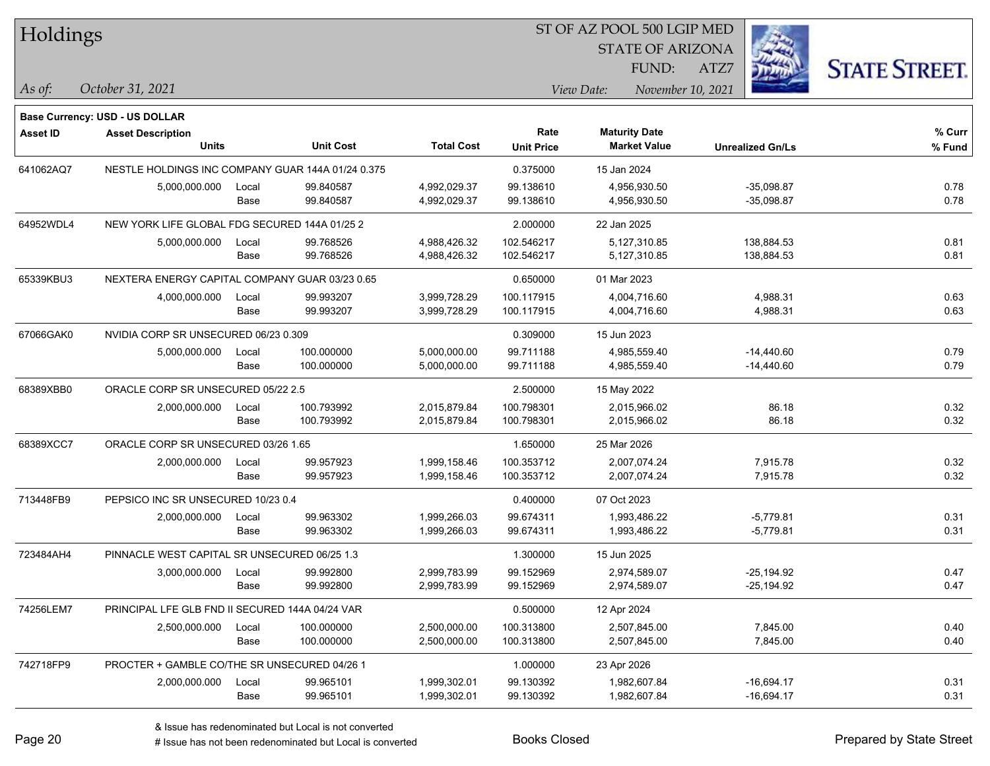| Holdings |
|----------|
|----------|

STATE OF ARIZONA FUND:

ATZ7



**Base Currency: USD - US DOLLAR**

*October 31, 2021 As of: View Date: November 10, 2021*

| <b>Asset ID</b> | <b>Asset Description</b>                          |       |                  |                   | Rate              | <b>Maturity Date</b> |                         | % Curr |
|-----------------|---------------------------------------------------|-------|------------------|-------------------|-------------------|----------------------|-------------------------|--------|
|                 | <b>Units</b>                                      |       | <b>Unit Cost</b> | <b>Total Cost</b> | <b>Unit Price</b> | <b>Market Value</b>  | <b>Unrealized Gn/Ls</b> | % Fund |
| 641062AQ7       | NESTLE HOLDINGS INC COMPANY GUAR 144A 01/24 0.375 |       |                  | 0.375000          | 15 Jan 2024       |                      |                         |        |
|                 | 5,000,000.000                                     | Local | 99.840587        | 4,992,029.37      | 99.138610         | 4,956,930.50         | $-35,098.87$            | 0.78   |
|                 |                                                   | Base  | 99.840587        | 4,992,029.37      | 99.138610         | 4,956,930.50         | $-35,098.87$            | 0.78   |
| 64952WDL4       | NEW YORK LIFE GLOBAL FDG SECURED 144A 01/25 2     |       |                  |                   | 2.000000          | 22 Jan 2025          |                         |        |
|                 | 5,000,000.000                                     | Local | 99.768526        | 4,988,426.32      | 102.546217        | 5,127,310.85         | 138,884.53              | 0.81   |
|                 |                                                   | Base  | 99.768526        | 4,988,426.32      | 102.546217        | 5,127,310.85         | 138,884.53              | 0.81   |
| 65339KBU3       | NEXTERA ENERGY CAPITAL COMPANY GUAR 03/23 0.65    |       |                  |                   | 0.650000          | 01 Mar 2023          |                         |        |
|                 | 4,000,000.000                                     | Local | 99.993207        | 3,999,728.29      | 100.117915        | 4,004,716.60         | 4,988.31                | 0.63   |
|                 |                                                   | Base  | 99.993207        | 3,999,728.29      | 100.117915        | 4,004,716.60         | 4,988.31                | 0.63   |
| 67066GAK0       | NVIDIA CORP SR UNSECURED 06/23 0.309              |       |                  |                   | 0.309000          | 15 Jun 2023          |                         |        |
|                 | 5,000,000.000                                     | Local | 100.000000       | 5,000,000.00      | 99.711188         | 4,985,559.40         | $-14,440.60$            | 0.79   |
|                 |                                                   | Base  | 100.000000       | 5,000,000.00      | 99.711188         | 4,985,559.40         | $-14,440.60$            | 0.79   |
| 68389XBB0       | ORACLE CORP SR UNSECURED 05/22 2.5                |       |                  | 2.500000          | 15 May 2022       |                      |                         |        |
|                 | 2,000,000.000                                     | Local | 100.793992       | 2,015,879.84      | 100.798301        | 2,015,966.02         | 86.18                   | 0.32   |
|                 |                                                   | Base  | 100.793992       | 2,015,879.84      | 100.798301        | 2,015,966.02         | 86.18                   | 0.32   |
| 68389XCC7       | ORACLE CORP SR UNSECURED 03/26 1.65               |       |                  |                   | 1.650000          | 25 Mar 2026          |                         |        |
|                 | 2,000,000.000                                     | Local | 99.957923        | 1,999,158.46      | 100.353712        | 2,007,074.24         | 7,915.78                | 0.32   |
|                 |                                                   | Base  | 99.957923        | 1,999,158.46      | 100.353712        | 2,007,074.24         | 7,915.78                | 0.32   |
| 713448FB9       | PEPSICO INC SR UNSECURED 10/23 0.4                |       |                  |                   | 0.400000          | 07 Oct 2023          |                         |        |
|                 | 2,000,000.000                                     | Local | 99.963302        | 1,999,266.03      | 99.674311         | 1,993,486.22         | $-5,779.81$             | 0.31   |
|                 |                                                   | Base  | 99.963302        | 1,999,266.03      | 99.674311         | 1,993,486.22         | $-5,779.81$             | 0.31   |
| 723484AH4       | PINNACLE WEST CAPITAL SR UNSECURED 06/25 1.3      |       |                  |                   | 1.300000          | 15 Jun 2025          |                         |        |
|                 | 3,000,000.000                                     | Local | 99.992800        | 2,999,783.99      | 99.152969         | 2,974,589.07         | $-25, 194.92$           | 0.47   |
|                 |                                                   | Base  | 99.992800        | 2,999,783.99      | 99.152969         | 2,974,589.07         | $-25, 194.92$           | 0.47   |
| 74256LEM7       | PRINCIPAL LFE GLB FND II SECURED 144A 04/24 VAR   |       |                  |                   | 0.500000          | 12 Apr 2024          |                         |        |
|                 | 2,500,000.000                                     | Local | 100.000000       | 2,500,000.00      | 100.313800        | 2,507,845.00         | 7,845.00                | 0.40   |
|                 |                                                   | Base  | 100.000000       | 2,500,000.00      | 100.313800        | 2,507,845.00         | 7,845.00                | 0.40   |
| 742718FP9       | PROCTER + GAMBLE CO/THE SR UNSECURED 04/26 1      |       |                  |                   | 1.000000          | 23 Apr 2026          |                         |        |
|                 | 2,000,000.000                                     | Local | 99.965101        | 1,999,302.01      | 99.130392         | 1,982,607.84         | $-16,694.17$            | 0.31   |
|                 |                                                   | Base  | 99.965101        | 1,999,302.01      | 99.130392         | 1,982,607.84         | $-16,694.17$            | 0.31   |
|                 |                                                   |       |                  |                   |                   |                      |                         |        |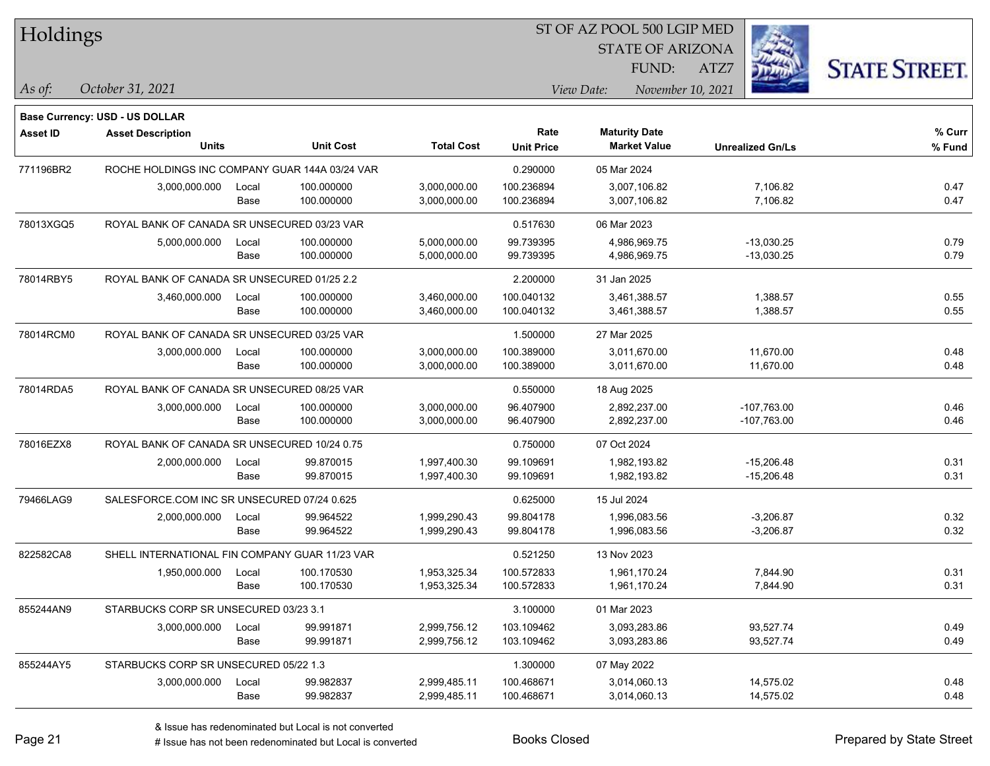| Holdings        |                                                |               |                          |                              |                           |                              | ST OF AZ POOL 500 LGIP MED |                              |                      |
|-----------------|------------------------------------------------|---------------|--------------------------|------------------------------|---------------------------|------------------------------|----------------------------|------------------------------|----------------------|
|                 |                                                |               |                          |                              |                           |                              | <b>STATE OF ARIZONA</b>    |                              |                      |
|                 |                                                |               |                          |                              |                           |                              | FUND:                      | ATZ7                         | <b>STATE STREET.</b> |
| $\vert$ As of:  | October 31, 2021                               |               |                          |                              |                           | View Date:                   | November 10, 2021          |                              |                      |
|                 |                                                |               |                          |                              |                           |                              |                            |                              |                      |
|                 | <b>Base Currency: USD - US DOLLAR</b>          |               |                          |                              |                           |                              |                            |                              |                      |
| <b>Asset ID</b> | <b>Asset Description</b><br><b>Units</b>       |               | <b>Unit Cost</b>         | <b>Total Cost</b>            | Rate<br><b>Unit Price</b> | <b>Maturity Date</b>         | <b>Market Value</b>        | <b>Unrealized Gn/Ls</b>      | $%$ Curr<br>% Fund   |
|                 |                                                |               |                          |                              |                           |                              |                            |                              |                      |
| 771196BR2       | ROCHE HOLDINGS INC COMPANY GUAR 144A 03/24 VAR |               |                          |                              | 0.290000                  | 05 Mar 2024                  |                            |                              |                      |
|                 | 3,000,000.000                                  | Local<br>Base | 100.000000<br>100.000000 | 3,000,000.00<br>3,000,000.00 | 100.236894<br>100.236894  | 3,007,106.82<br>3,007,106.82 |                            | 7,106.82<br>7,106.82         | 0.47<br>0.47         |
|                 |                                                |               |                          |                              |                           |                              |                            |                              |                      |
| 78013XGQ5       | ROYAL BANK OF CANADA SR UNSECURED 03/23 VAR    |               |                          |                              | 0.517630                  | 06 Mar 2023                  |                            |                              |                      |
|                 | 5,000,000.000                                  | Local<br>Base | 100.000000<br>100.000000 | 5,000,000.00<br>5,000,000.00 | 99.739395<br>99.739395    | 4,986,969.75<br>4,986,969.75 |                            | $-13,030.25$<br>$-13,030.25$ | 0.79<br>0.79         |
|                 |                                                |               |                          |                              |                           |                              |                            |                              |                      |
| 78014RBY5       | ROYAL BANK OF CANADA SR UNSECURED 01/25 2.2    |               |                          |                              | 2.200000                  | 31 Jan 2025                  |                            |                              |                      |
|                 | 3,460,000.000                                  | Local<br>Base | 100.000000<br>100.000000 | 3,460,000.00<br>3,460,000.00 | 100.040132<br>100.040132  | 3,461,388.57<br>3,461,388.57 |                            | 1,388.57<br>1,388.57         | 0.55<br>0.55         |
|                 |                                                |               |                          |                              |                           |                              |                            |                              |                      |
| 78014RCM0       | ROYAL BANK OF CANADA SR UNSECURED 03/25 VAR    |               |                          |                              | 1.500000                  | 27 Mar 2025                  |                            |                              |                      |
|                 | 3,000,000.000                                  | Local         | 100.000000<br>100.000000 | 3,000,000.00<br>3,000,000.00 | 100.389000<br>100.389000  | 3,011,670.00<br>3,011,670.00 |                            | 11,670.00<br>11,670.00       | 0.48<br>0.48         |
|                 |                                                | Base          |                          |                              |                           |                              |                            |                              |                      |
| 78014RDA5       | ROYAL BANK OF CANADA SR UNSECURED 08/25 VAR    |               |                          |                              | 0.550000                  | 18 Aug 2025                  |                            |                              |                      |
|                 | 3,000,000.000                                  | Local         | 100.000000               | 3,000,000.00                 | 96.407900                 | 2,892,237.00                 |                            | $-107,763.00$                | 0.46                 |
|                 |                                                | Base          | 100.000000               | 3,000,000.00                 | 96.407900                 | 2,892,237.00                 |                            | -107,763.00                  | 0.46                 |
| 78016EZX8       | ROYAL BANK OF CANADA SR UNSECURED 10/24 0.75   |               |                          |                              | 0.750000                  | 07 Oct 2024                  |                            |                              |                      |
|                 | 2,000,000.000                                  | Local         | 99.870015                | 1,997,400.30                 | 99.109691                 | 1,982,193.82                 |                            | $-15,206.48$                 | 0.31                 |
|                 |                                                | Base          | 99.870015                | 1,997,400.30                 | 99.109691                 | 1,982,193.82                 |                            | $-15,206.48$                 | 0.31                 |
| 79466LAG9       | SALESFORCE.COM INC SR UNSECURED 07/24 0.625    |               |                          |                              | 0.625000                  | 15 Jul 2024                  |                            |                              |                      |
|                 | 2,000,000.000                                  | Local         | 99.964522                | 1,999,290.43                 | 99.804178                 | 1,996,083.56                 |                            | $-3,206.87$                  | 0.32                 |
|                 |                                                | Base          | 99.964522                | 1,999,290.43                 | 99.804178                 | 1,996,083.56                 |                            | $-3,206.87$                  | 0.32                 |
| 822582CA8       | SHELL INTERNATIONAL FIN COMPANY GUAR 11/23 VAR |               |                          |                              | 0.521250                  | 13 Nov 2023                  |                            |                              |                      |
|                 | 1,950,000.000                                  | Local         | 100.170530               | 1,953,325.34                 | 100.572833                | 1,961,170.24                 |                            | 7,844.90                     | 0.31                 |
|                 |                                                | Base          | 100.170530               | 1,953,325.34                 | 100.572833                | 1,961,170.24                 |                            | 7,844.90                     | 0.31                 |
| 855244AN9       | STARBUCKS CORP SR UNSECURED 03/23 3.1          |               |                          |                              | 3.100000                  | 01 Mar 2023                  |                            |                              |                      |
|                 | 3,000,000.000                                  | Local         | 99.991871                | 2,999,756.12                 | 103.109462                | 3,093,283.86                 |                            | 93,527.74                    | 0.49                 |
|                 |                                                | Base          | 99.991871                | 2,999,756.12                 | 103.109462                | 3,093,283.86                 |                            | 93,527.74                    | 0.49                 |
| 855244AY5       | STARBUCKS CORP SR UNSECURED 05/22 1.3          |               |                          |                              | 1.300000                  | 07 May 2022                  |                            |                              |                      |
|                 | 3,000,000.000                                  | Local         | 99.982837                | 2,999,485.11                 | 100.468671                | 3,014,060.13                 |                            | 14,575.02                    | 0.48                 |
|                 |                                                | Base          | 99.982837                | 2,999,485.11                 | 100.468671                | 3,014,060.13                 |                            | 14,575.02                    | 0.48                 |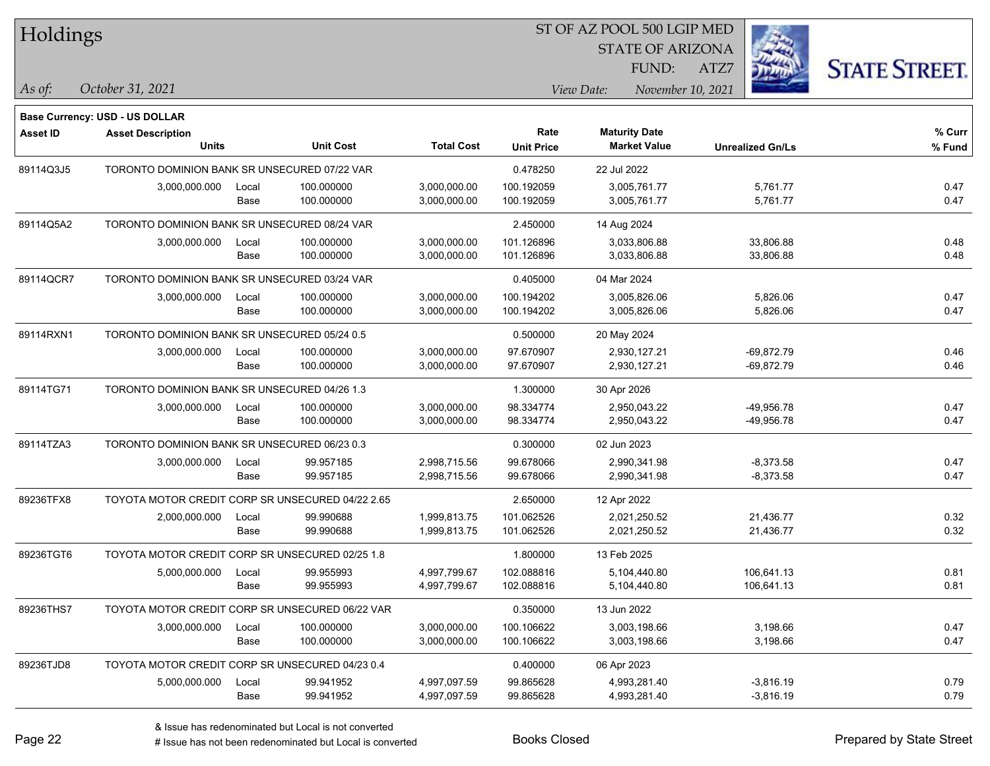| Holdings        |                                                  |       |                  |                   | ST OF AZ POOL 500 LGIP MED |                      |                         |                         |                      |
|-----------------|--------------------------------------------------|-------|------------------|-------------------|----------------------------|----------------------|-------------------------|-------------------------|----------------------|
|                 |                                                  |       |                  |                   |                            |                      | <b>STATE OF ARIZONA</b> |                         |                      |
|                 |                                                  |       |                  |                   |                            |                      | FUND:<br>ATZ7           |                         | <b>STATE STREET.</b> |
| $ $ As of:      | October 31, 2021                                 |       |                  |                   |                            | View Date:           | November 10, 2021       |                         |                      |
|                 |                                                  |       |                  |                   |                            |                      |                         |                         |                      |
|                 | <b>Base Currency: USD - US DOLLAR</b>            |       |                  |                   | Rate                       | <b>Maturity Date</b> |                         |                         | % Curr               |
| <b>Asset ID</b> | <b>Asset Description</b><br><b>Units</b>         |       | <b>Unit Cost</b> | <b>Total Cost</b> | <b>Unit Price</b>          | <b>Market Value</b>  |                         | <b>Unrealized Gn/Ls</b> | % Fund               |
| 89114Q3J5       | TORONTO DOMINION BANK SR UNSECURED 07/22 VAR     |       |                  |                   | 0.478250                   | 22 Jul 2022          |                         |                         |                      |
|                 | 3,000,000.000                                    | Local | 100.000000       | 3,000,000.00      | 100.192059                 | 3,005,761.77         |                         | 5,761.77                | 0.47                 |
|                 |                                                  | Base  | 100.000000       | 3,000,000.00      | 100.192059                 | 3,005,761.77         |                         | 5,761.77                | 0.47                 |
| 89114Q5A2       | TORONTO DOMINION BANK SR UNSECURED 08/24 VAR     |       |                  |                   | 2.450000                   | 14 Aug 2024          |                         |                         |                      |
|                 | 3,000,000.000                                    | Local | 100.000000       | 3,000,000.00      | 101.126896                 | 3,033,806.88         |                         | 33,806.88               | 0.48                 |
|                 |                                                  | Base  | 100.000000       | 3,000,000.00      | 101.126896                 | 3,033,806.88         |                         | 33,806.88               | 0.48                 |
| 89114QCR7       | TORONTO DOMINION BANK SR UNSECURED 03/24 VAR     |       |                  |                   | 0.405000                   | 04 Mar 2024          |                         |                         |                      |
|                 | 3,000,000.000                                    | Local | 100.000000       | 3,000,000.00      | 100.194202                 | 3,005,826.06         |                         | 5,826.06                | 0.47                 |
|                 |                                                  | Base  | 100.000000       | 3,000,000.00      | 100.194202                 | 3,005,826.06         |                         | 5,826.06                | 0.47                 |
| 89114RXN1       | TORONTO DOMINION BANK SR UNSECURED 05/24 0.5     |       |                  |                   | 0.500000                   | 20 May 2024          |                         |                         |                      |
|                 | 3,000,000.000                                    | Local | 100.000000       | 3,000,000.00      | 97.670907                  | 2,930,127.21         |                         | $-69,872.79$            | 0.46                 |
|                 |                                                  | Base  | 100.000000       | 3,000,000.00      | 97.670907                  | 2,930,127.21         |                         | $-69,872.79$            | 0.46                 |
| 89114TG71       | TORONTO DOMINION BANK SR UNSECURED 04/26 1.3     |       |                  |                   | 1.300000                   | 30 Apr 2026          |                         |                         |                      |
|                 | 3,000,000.000                                    | Local | 100.000000       | 3,000,000.00      | 98.334774                  | 2,950,043.22         |                         | -49,956.78              | 0.47                 |
|                 |                                                  | Base  | 100.000000       | 3,000,000.00      | 98.334774                  | 2,950,043.22         |                         | -49,956.78              | 0.47                 |
| 89114TZA3       | TORONTO DOMINION BANK SR UNSECURED 06/23 0.3     |       |                  |                   | 0.300000                   | 02 Jun 2023          |                         |                         |                      |
|                 | 3,000,000.000                                    | Local | 99.957185        | 2,998,715.56      | 99.678066                  | 2,990,341.98         |                         | $-8,373.58$             | 0.47                 |
|                 |                                                  | Base  | 99.957185        | 2,998,715.56      | 99.678066                  | 2,990,341.98         |                         | $-8,373.58$             | 0.47                 |
| 89236TFX8       | TOYOTA MOTOR CREDIT CORP SR UNSECURED 04/22 2.65 |       |                  |                   | 2.650000                   | 12 Apr 2022          |                         |                         |                      |
|                 | 2,000,000.000                                    | Local | 99.990688        | 1,999,813.75      | 101.062526                 | 2,021,250.52         |                         | 21,436.77               | 0.32                 |
|                 |                                                  | Base  | 99.990688        | 1,999,813.75      | 101.062526                 | 2,021,250.52         |                         | 21,436.77               | 0.32                 |
| 89236TGT6       | TOYOTA MOTOR CREDIT CORP SR UNSECURED 02/25 1.8  |       |                  |                   | 1.800000                   | 13 Feb 2025          |                         |                         |                      |
|                 | 5,000,000.000                                    | Local | 99.955993        | 4,997,799.67      | 102.088816                 | 5,104,440.80         |                         | 106,641.13              | 0.81                 |
|                 |                                                  | Base  | 99.955993        | 4,997,799.67      | 102.088816                 | 5,104,440.80         |                         | 106,641.13              | 0.81                 |
| 89236THS7       | TOYOTA MOTOR CREDIT CORP SR UNSECURED 06/22 VAR  |       |                  |                   | 0.350000                   | 13 Jun 2022          |                         |                         |                      |
|                 | 3,000,000.000                                    | Local | 100.000000       | 3,000,000.00      | 100.106622                 | 3,003,198.66         |                         | 3,198.66                | 0.47                 |
|                 |                                                  | Base  | 100.000000       | 3,000,000.00      | 100.106622                 | 3,003,198.66         |                         | 3,198.66                | 0.47                 |
| 89236TJD8       | TOYOTA MOTOR CREDIT CORP SR UNSECURED 04/23 0.4  |       |                  |                   | 0.400000                   | 06 Apr 2023          |                         |                         |                      |
|                 | 5,000,000.000                                    | Local | 99.941952        | 4,997,097.59      | 99.865628                  | 4,993,281.40         |                         | $-3,816.19$             | 0.79                 |
|                 |                                                  | Base  | 99.941952        | 4,997,097.59      | 99.865628                  | 4,993,281.40         |                         | $-3,816.19$             | 0.79                 |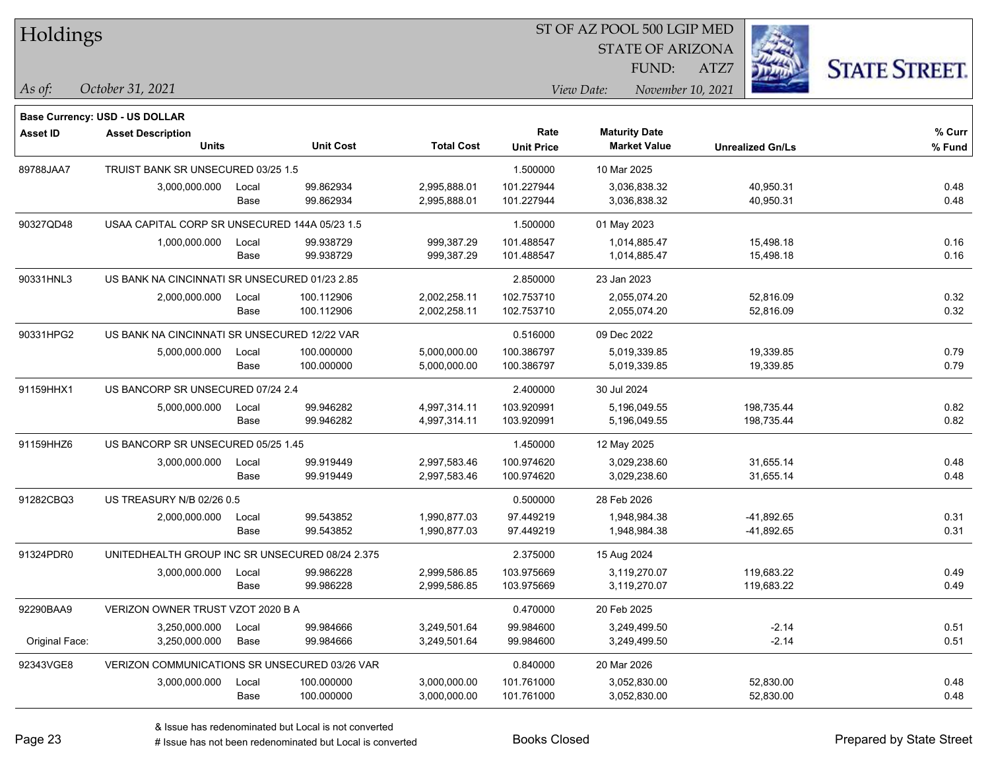| Holdings        |                                                 |       |                  |                   |                           | ST OF AZ POOL 500 LGIP MED                  |                         |                      |  |
|-----------------|-------------------------------------------------|-------|------------------|-------------------|---------------------------|---------------------------------------------|-------------------------|----------------------|--|
|                 |                                                 |       |                  |                   |                           | <b>STATE OF ARIZONA</b>                     |                         |                      |  |
|                 |                                                 |       |                  |                   |                           | FUND:                                       | ATZ7                    | <b>STATE STREET.</b> |  |
| As of:          | October 31, 2021                                |       |                  |                   |                           | View Date:<br>November 10, 2021             |                         |                      |  |
|                 |                                                 |       |                  |                   |                           |                                             |                         |                      |  |
|                 | <b>Base Currency: USD - US DOLLAR</b>           |       |                  |                   |                           |                                             |                         |                      |  |
| <b>Asset ID</b> | <b>Asset Description</b><br><b>Units</b>        |       | <b>Unit Cost</b> | <b>Total Cost</b> | Rate<br><b>Unit Price</b> | <b>Maturity Date</b><br><b>Market Value</b> | <b>Unrealized Gn/Ls</b> | % Curr<br>% Fund     |  |
| 89788JAA7       | TRUIST BANK SR UNSECURED 03/25 1.5              |       |                  |                   | 1.500000                  | 10 Mar 2025                                 |                         |                      |  |
|                 | 3,000,000.000                                   | Local | 99.862934        | 2,995,888.01      | 101.227944                | 3,036,838.32                                | 40,950.31               | 0.48                 |  |
|                 |                                                 | Base  | 99.862934        | 2,995,888.01      | 101.227944                | 3,036,838.32                                | 40,950.31               | 0.48                 |  |
| 90327QD48       | USAA CAPITAL CORP SR UNSECURED 144A 05/23 1.5   |       |                  |                   | 1.500000                  | 01 May 2023                                 |                         |                      |  |
|                 | 1,000,000.000                                   | Local | 99.938729        | 999,387.29        | 101.488547                | 1,014,885.47                                | 15,498.18               | 0.16                 |  |
|                 |                                                 | Base  | 99.938729        | 999,387.29        | 101.488547                | 1,014,885.47                                | 15,498.18               | 0.16                 |  |
| 90331HNL3       | US BANK NA CINCINNATI SR UNSECURED 01/23 2.85   |       |                  |                   | 2.850000                  | 23 Jan 2023                                 |                         |                      |  |
|                 | 2,000,000.000                                   | Local | 100.112906       | 2,002,258.11      | 102.753710                | 2,055,074.20                                | 52,816.09               | 0.32                 |  |
|                 |                                                 | Base  | 100.112906       | 2,002,258.11      | 102.753710                | 2,055,074.20                                | 52,816.09               | 0.32                 |  |
| 90331HPG2       | US BANK NA CINCINNATI SR UNSECURED 12/22 VAR    |       |                  |                   | 0.516000                  | 09 Dec 2022                                 |                         |                      |  |
|                 | 5,000,000.000                                   | Local | 100.000000       | 5,000,000.00      | 100.386797                | 5,019,339.85                                | 19,339.85               | 0.79                 |  |
|                 |                                                 | Base  | 100.000000       | 5,000,000.00      | 100.386797                | 5,019,339.85                                | 19,339.85               | 0.79                 |  |
| 91159HHX1       | US BANCORP SR UNSECURED 07/24 2.4               |       |                  |                   | 2.400000                  | 30 Jul 2024                                 |                         |                      |  |
|                 | 5,000,000.000                                   | Local | 99.946282        | 4,997,314.11      | 103.920991                | 5,196,049.55                                | 198,735.44              | 0.82                 |  |
|                 |                                                 | Base  | 99.946282        | 4,997,314.11      | 103.920991                | 5,196,049.55                                | 198,735.44              | 0.82                 |  |
| 91159HHZ6       | US BANCORP SR UNSECURED 05/25 1.45              |       |                  |                   | 1.450000                  | 12 May 2025                                 |                         |                      |  |
|                 | 3,000,000.000                                   | Local | 99.919449        | 2,997,583.46      | 100.974620                | 3,029,238.60                                | 31,655.14               | 0.48                 |  |
|                 |                                                 | Base  | 99.919449        | 2,997,583.46      | 100.974620                | 3,029,238.60                                | 31,655.14               | 0.48                 |  |
| 91282CBQ3       | US TREASURY N/B 02/26 0.5                       |       |                  |                   | 0.500000                  | 28 Feb 2026                                 |                         |                      |  |
|                 | 2,000,000.000                                   | Local | 99.543852        | 1,990,877.03      | 97.449219                 | 1,948,984.38                                | $-41,892.65$            | 0.31                 |  |
|                 |                                                 | Base  | 99.543852        | 1,990,877.03      | 97.449219                 | 1,948,984.38                                | -41,892.65              | 0.31                 |  |
| 91324PDR0       | UNITEDHEALTH GROUP INC SR UNSECURED 08/24 2.375 |       |                  |                   | 2.375000                  | 15 Aug 2024                                 |                         |                      |  |
|                 | 3,000,000.000                                   | Local | 99.986228        | 2,999,586.85      | 103.975669                | 3,119,270.07                                | 119,683.22              | 0.49                 |  |
|                 |                                                 | Base  | 99.986228        | 2,999,586.85      | 103.975669                | 3,119,270.07                                | 119,683.22              | 0.49                 |  |
| 92290BAA9       | VERIZON OWNER TRUST VZOT 2020 B A               |       |                  |                   | 0.470000                  | 20 Feb 2025                                 |                         |                      |  |
|                 | 3,250,000.000                                   | Local | 99.984666        | 3,249,501.64      | 99.984600                 | 3,249,499.50                                | $-2.14$                 | 0.51                 |  |
| Original Face:  | 3,250,000.000                                   | Base  | 99.984666        | 3,249,501.64      | 99.984600                 | 3,249,499.50                                | $-2.14$                 | 0.51                 |  |
| 92343VGE8       | VERIZON COMMUNICATIONS SR UNSECURED 03/26 VAR   |       |                  |                   | 0.840000                  | 20 Mar 2026                                 |                         |                      |  |
|                 | 3,000,000.000                                   | Local | 100.000000       | 3,000,000.00      | 101.761000                | 3,052,830.00                                | 52,830.00               | 0.48                 |  |
|                 |                                                 | Base  | 100.000000       | 3,000,000.00      | 101.761000                | 3,052,830.00                                | 52,830.00               | 0.48                 |  |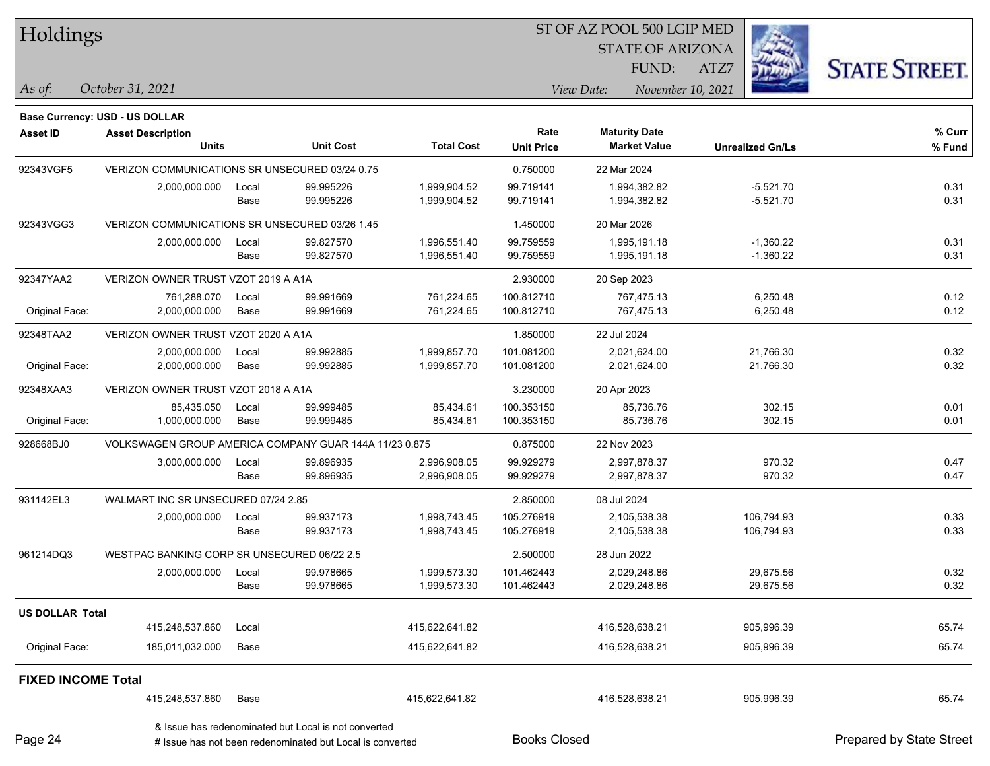| Holdings |  |
|----------|--|
|----------|--|

STATE OF ARIZONA FUND:

ATZ7



**Base Currency: USD - US DOLLAR**

*October 31, 2021 As of: View Date: November 10, 2021*

| <b>Asset ID</b>           | <b>Asset Description</b>                               |                                                |                                                      |                   | Rate              | <b>Maturity Date</b> |                         | % Curr |
|---------------------------|--------------------------------------------------------|------------------------------------------------|------------------------------------------------------|-------------------|-------------------|----------------------|-------------------------|--------|
|                           | <b>Units</b>                                           |                                                | <b>Unit Cost</b>                                     | <b>Total Cost</b> | <b>Unit Price</b> | <b>Market Value</b>  | <b>Unrealized Gn/Ls</b> | % Fund |
| 92343VGF5                 |                                                        | VERIZON COMMUNICATIONS SR UNSECURED 03/24 0.75 |                                                      |                   | 0.750000          | 22 Mar 2024          |                         |        |
|                           | 2,000,000.000                                          | Local                                          | 99.995226                                            | 1,999,904.52      | 99.719141         | 1,994,382.82         | $-5,521.70$             | 0.31   |
|                           |                                                        | Base                                           | 99.995226                                            | 1,999,904.52      | 99.719141         | 1,994,382.82         | $-5,521.70$             | 0.31   |
| 92343VGG3                 | VERIZON COMMUNICATIONS SR UNSECURED 03/26 1.45         |                                                |                                                      |                   | 1.450000          | 20 Mar 2026          |                         |        |
|                           | 2,000,000.000                                          | Local                                          | 99.827570                                            | 1,996,551.40      | 99.759559         | 1,995,191.18         | $-1,360.22$             | 0.31   |
|                           |                                                        | Base                                           | 99.827570                                            | 1,996,551.40      | 99.759559         | 1,995,191.18         | $-1,360.22$             | 0.31   |
| 92347YAA2                 | VERIZON OWNER TRUST VZOT 2019 A A1A                    |                                                |                                                      |                   | 2.930000          | 20 Sep 2023          |                         |        |
|                           | 761,288.070                                            | Local                                          | 99.991669                                            | 761,224.65        | 100.812710        | 767,475.13           | 6,250.48                | 0.12   |
| Original Face:            | 2,000,000.000                                          | Base                                           | 99.991669                                            | 761,224.65        | 100.812710        | 767,475.13           | 6,250.48                | 0.12   |
| 92348TAA2                 | VERIZON OWNER TRUST VZOT 2020 A A1A                    |                                                |                                                      |                   | 1.850000          | 22 Jul 2024          |                         |        |
|                           | 2,000,000.000                                          | Local                                          | 99.992885                                            | 1,999,857.70      | 101.081200        | 2,021,624.00         | 21,766.30               | 0.32   |
| Original Face:            | 2,000,000.000                                          | Base                                           | 99.992885                                            | 1,999,857.70      | 101.081200        | 2,021,624.00         | 21,766.30               | 0.32   |
| 92348XAA3                 | VERIZON OWNER TRUST VZOT 2018 A A1A                    |                                                |                                                      |                   | 3.230000          | 20 Apr 2023          |                         |        |
|                           | 85,435.050                                             | Local                                          | 99.999485                                            | 85,434.61         | 100.353150        | 85.736.76            | 302.15                  | 0.01   |
| Original Face:            | 1,000,000.000                                          | Base                                           | 99.999485                                            | 85,434.61         | 100.353150        | 85,736.76            | 302.15                  | 0.01   |
| 928668BJ0                 | VOLKSWAGEN GROUP AMERICA COMPANY GUAR 144A 11/23 0.875 |                                                |                                                      | 0.875000          | 22 Nov 2023       |                      |                         |        |
|                           | 3,000,000.000                                          | Local                                          | 99.896935                                            | 2,996,908.05      | 99.929279         | 2,997,878.37         | 970.32                  | 0.47   |
|                           |                                                        | Base                                           | 99.896935                                            | 2,996,908.05      | 99.929279         | 2,997,878.37         | 970.32                  | 0.47   |
| 931142EL3                 | WALMART INC SR UNSECURED 07/24 2.85                    |                                                |                                                      |                   | 2.850000          | 08 Jul 2024          |                         |        |
|                           | 2,000,000.000                                          | Local                                          | 99.937173                                            | 1,998,743.45      | 105.276919        | 2,105,538.38         | 106,794.93              | 0.33   |
|                           |                                                        | Base                                           | 99.937173                                            | 1,998,743.45      | 105.276919        | 2,105,538.38         | 106,794.93              | 0.33   |
| 961214DQ3                 | WESTPAC BANKING CORP SR UNSECURED 06/22 2.5            |                                                |                                                      |                   | 2.500000          | 28 Jun 2022          |                         |        |
|                           | 2,000,000.000                                          | Local                                          | 99.978665                                            | 1,999,573.30      | 101.462443        | 2,029,248.86         | 29,675.56               | 0.32   |
|                           |                                                        | Base                                           | 99.978665                                            | 1,999,573.30      | 101.462443        | 2,029,248.86         | 29,675.56               | 0.32   |
| <b>US DOLLAR Total</b>    |                                                        |                                                |                                                      |                   |                   |                      |                         |        |
|                           | 415,248,537.860                                        | Local                                          |                                                      | 415,622,641.82    |                   | 416,528,638.21       | 905,996.39              | 65.74  |
| Original Face:            | 185,011,032.000                                        | Base                                           |                                                      | 415,622,641.82    |                   | 416,528,638.21       | 905,996.39              | 65.74  |
| <b>FIXED INCOME Total</b> |                                                        |                                                |                                                      |                   |                   |                      |                         |        |
|                           | 415,248,537.860                                        | Base                                           |                                                      | 415,622,641.82    |                   | 416,528,638.21       | 905,996.39              | 65.74  |
|                           |                                                        |                                                | & Issue has redenominated but Local is not converted |                   |                   |                      |                         |        |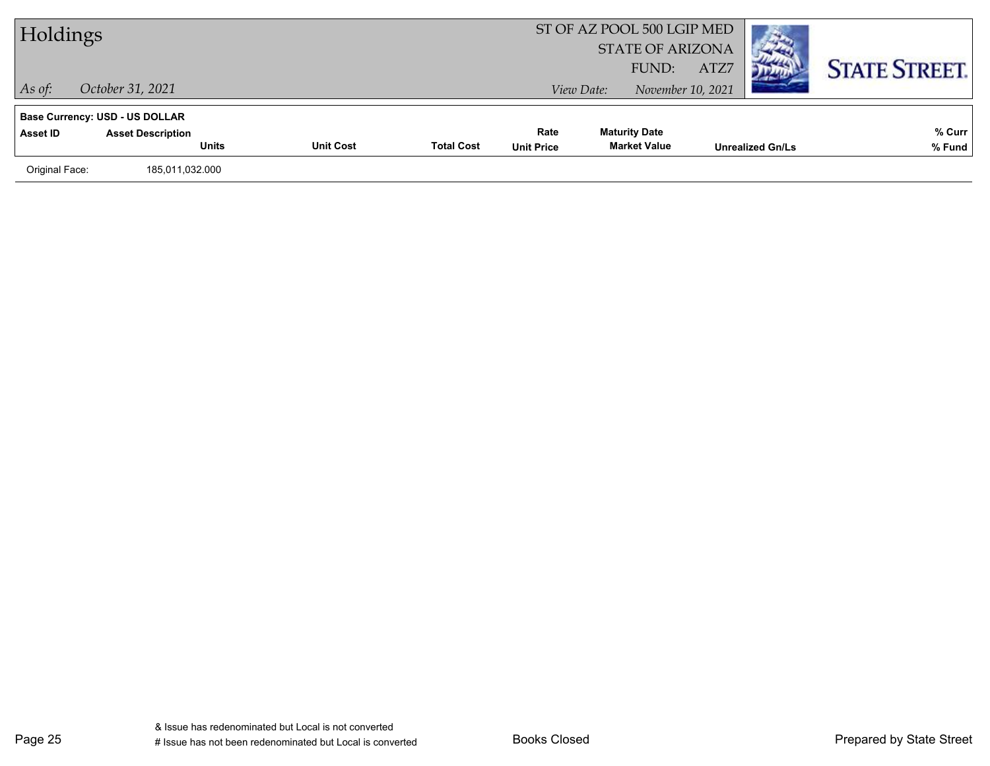| Holdings       |                                       |                  |                   |                   | ST OF AZ POOL 500 LGIP MED<br><b>STATE OF ARIZONA</b><br>FUND: | ATZ7                    | <b>STATE STREET.</b> |
|----------------|---------------------------------------|------------------|-------------------|-------------------|----------------------------------------------------------------|-------------------------|----------------------|
| $\vert$ As of: | October 31, 2021                      |                  |                   |                   | November 10, 2021<br>View Date:                                |                         |                      |
|                | <b>Base Currency: USD - US DOLLAR</b> |                  |                   |                   |                                                                |                         |                      |
| Asset ID       | <b>Asset Description</b>              |                  |                   | Rate              | <b>Maturity Date</b>                                           |                         | % Curr               |
|                | <b>Units</b>                          | <b>Unit Cost</b> | <b>Total Cost</b> | <b>Unit Price</b> | <b>Market Value</b>                                            | <b>Unrealized Gn/Ls</b> | % Fund               |
| Original Face: | 185,011,032.000                       |                  |                   |                   |                                                                |                         |                      |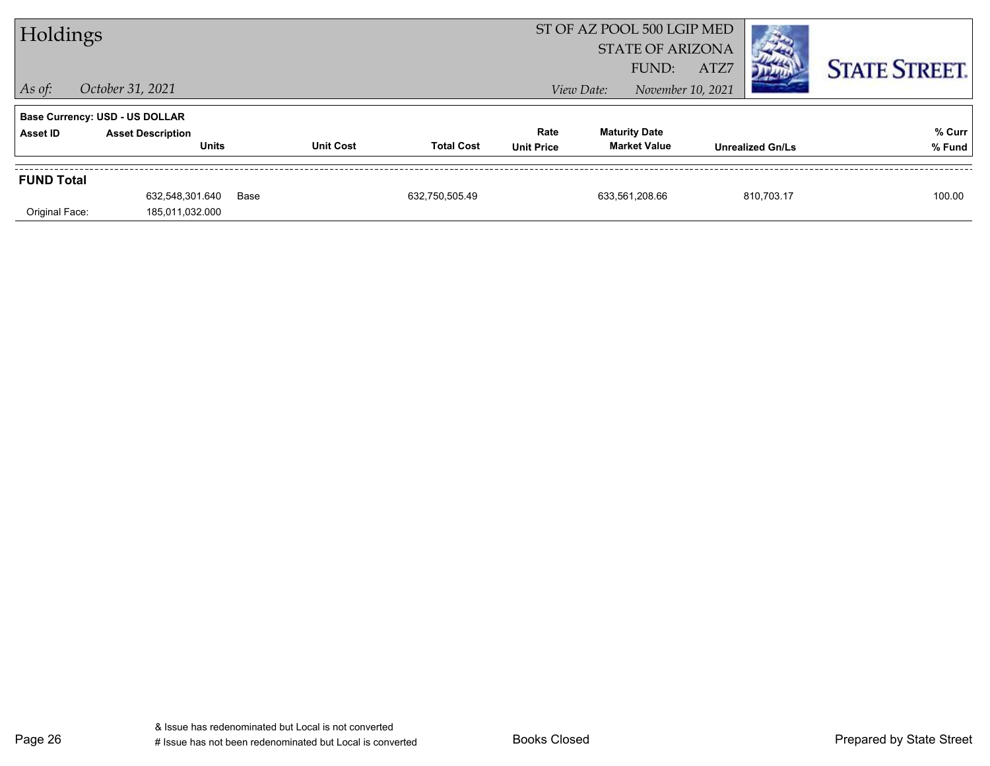| Holdings                            |                                                                                   |      |                  | ST OF AZ POOL 500 LGIP MED<br><b>STATE OF ARIZONA</b> |                           |            |                                             |      |                         |                      |
|-------------------------------------|-----------------------------------------------------------------------------------|------|------------------|-------------------------------------------------------|---------------------------|------------|---------------------------------------------|------|-------------------------|----------------------|
| $\vert$ As of:                      | October 31, 2021                                                                  |      |                  |                                                       |                           | View Date: | FUND:<br>November 10, 2021                  | ATZ7 |                         | <b>STATE STREET.</b> |
| Asset ID                            | <b>Base Currency: USD - US DOLLAR</b><br><b>Asset Description</b><br><b>Units</b> |      | <b>Unit Cost</b> | <b>Total Cost</b>                                     | Rate<br><b>Unit Price</b> |            | <b>Maturity Date</b><br><b>Market Value</b> |      | <b>Unrealized Gn/Ls</b> | % Curr<br>% Fund     |
| <b>FUND Total</b><br>Original Face: | 632,548,301.640<br>185,011,032.000                                                | Base |                  | 632,750,505.49                                        |                           |            | 633,561,208.66                              |      | 810.703.17              | 100.00               |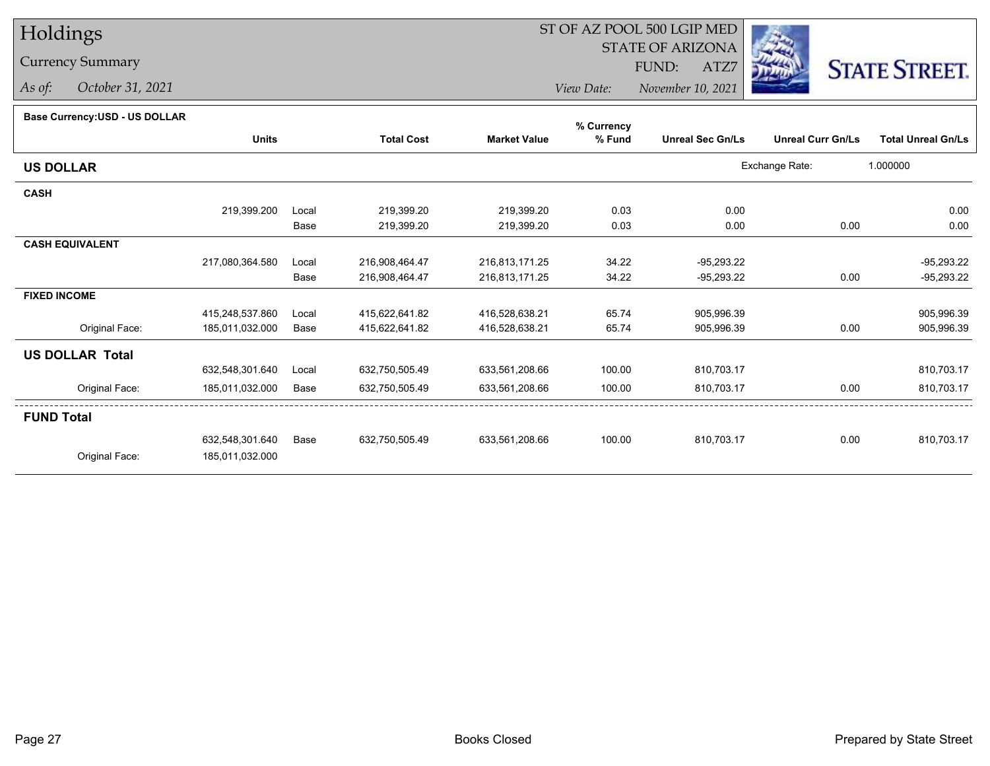### Currency Summary

*As of: October 31, 2021*

## ST OF AZ POOL 500 LGIP MED

 STATE OF ARIZONAFUND:

ATZ7



*View Date:November 10, 2021*

#### **Base Currency:USD - US DOLLAR**

|                        |                 | % Currency |                   |                     |        |                         |                          |                           |
|------------------------|-----------------|------------|-------------------|---------------------|--------|-------------------------|--------------------------|---------------------------|
|                        | <b>Units</b>    |            | <b>Total Cost</b> | <b>Market Value</b> | % Fund | <b>Unreal Sec Gn/Ls</b> | <b>Unreal Curr Gn/Ls</b> | <b>Total Unreal Gn/Ls</b> |
| <b>US DOLLAR</b>       |                 |            |                   |                     |        |                         | Exchange Rate:           | 1.000000                  |
| <b>CASH</b>            |                 |            |                   |                     |        |                         |                          |                           |
|                        | 219,399.200     | Local      | 219,399.20        | 219,399.20          | 0.03   | 0.00                    |                          | 0.00                      |
|                        |                 | Base       | 219,399.20        | 219,399.20          | 0.03   | 0.00                    | 0.00                     | 0.00                      |
| <b>CASH EQUIVALENT</b> |                 |            |                   |                     |        |                         |                          |                           |
|                        | 217,080,364.580 | Local      | 216,908,464.47    | 216,813,171.25      | 34.22  | $-95,293.22$            |                          | $-95,293.22$              |
|                        |                 | Base       | 216,908,464.47    | 216,813,171.25      | 34.22  | $-95,293.22$            | 0.00                     | $-95,293.22$              |
| <b>FIXED INCOME</b>    |                 |            |                   |                     |        |                         |                          |                           |
|                        | 415,248,537.860 | Local      | 415,622,641.82    | 416,528,638.21      | 65.74  | 905,996.39              |                          | 905,996.39                |
| Original Face:         | 185,011,032.000 | Base       | 415,622,641.82    | 416,528,638.21      | 65.74  | 905,996.39              | 0.00                     | 905,996.39                |
| <b>US DOLLAR Total</b> |                 |            |                   |                     |        |                         |                          |                           |
|                        | 632,548,301.640 | Local      | 632,750,505.49    | 633,561,208.66      | 100.00 | 810,703.17              |                          | 810,703.17                |
| Original Face:         | 185,011,032.000 | Base       | 632,750,505.49    | 633,561,208.66      | 100.00 | 810,703.17              | 0.00                     | 810,703.17                |
| <b>FUND Total</b>      |                 |            |                   |                     |        |                         |                          |                           |
|                        | 632,548,301.640 | Base       | 632,750,505.49    | 633,561,208.66      | 100.00 | 810,703.17              | 0.00                     | 810,703.17                |
| Original Face:         | 185,011,032.000 |            |                   |                     |        |                         |                          |                           |
|                        |                 |            |                   |                     |        |                         |                          |                           |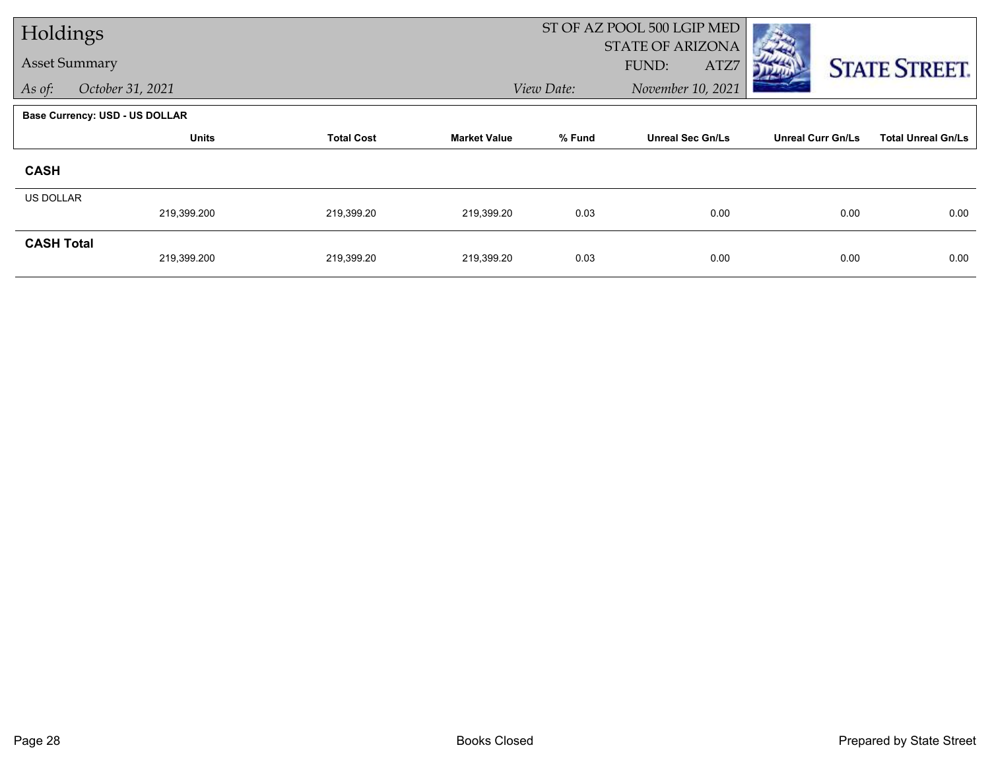| Holdings          |                                       |                   |                     | ST OF AZ POOL 500 LGIP MED |                         |                          |                           |  |
|-------------------|---------------------------------------|-------------------|---------------------|----------------------------|-------------------------|--------------------------|---------------------------|--|
|                   | <b>Asset Summary</b>                  |                   |                     |                            | <b>STATE OF ARIZONA</b> |                          |                           |  |
|                   |                                       |                   |                     |                            | FUND:<br>ATZ7           |                          | <b>STATE STREET.</b>      |  |
| As of:            | October 31, 2021                      |                   |                     | View Date:                 | November 10, 2021       |                          |                           |  |
|                   | <b>Base Currency: USD - US DOLLAR</b> |                   |                     |                            |                         |                          |                           |  |
|                   | <b>Units</b>                          | <b>Total Cost</b> | <b>Market Value</b> | % Fund                     | <b>Unreal Sec Gn/Ls</b> | <b>Unreal Curr Gn/Ls</b> | <b>Total Unreal Gn/Ls</b> |  |
| <b>CASH</b>       |                                       |                   |                     |                            |                         |                          |                           |  |
| <b>US DOLLAR</b>  |                                       |                   |                     |                            |                         |                          |                           |  |
|                   | 219,399.200                           | 219,399.20        | 219,399.20          | 0.03                       | 0.00                    | 0.00                     | 0.00                      |  |
| <b>CASH Total</b> |                                       |                   |                     |                            |                         |                          |                           |  |
|                   | 219,399.200                           | 219,399.20        | 219,399.20          | 0.03                       | 0.00                    | 0.00                     | 0.00                      |  |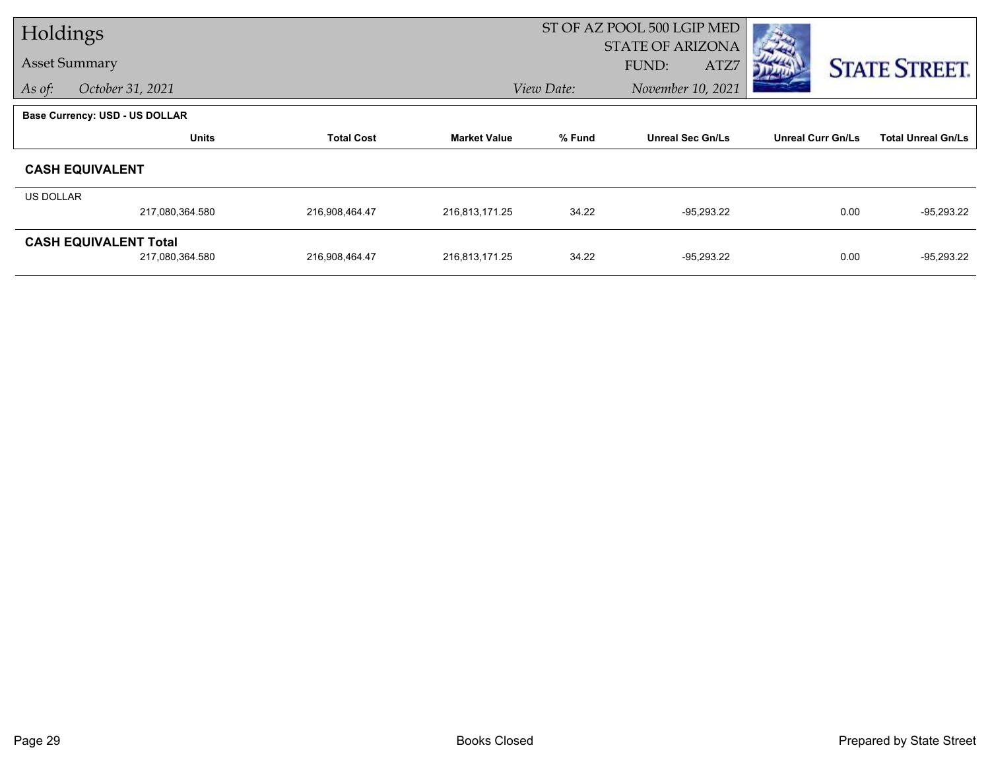| Holdings                              |                 |                   | ST OF AZ POOL 500 LGIP MED |            |                         |                          |                           |
|---------------------------------------|-----------------|-------------------|----------------------------|------------|-------------------------|--------------------------|---------------------------|
| <b>Asset Summary</b>                  |                 |                   |                            |            | <b>STATE OF ARIZONA</b> |                          |                           |
|                                       |                 |                   |                            |            | FUND:<br>ATZ7           |                          | <b>STATE STREET.</b>      |
| October 31, 2021<br>As of:            |                 |                   |                            | View Date: | November 10, 2021       |                          |                           |
| <b>Base Currency: USD - US DOLLAR</b> |                 |                   |                            |            |                         |                          |                           |
|                                       | <b>Units</b>    | <b>Total Cost</b> | <b>Market Value</b>        | % Fund     | <b>Unreal Sec Gn/Ls</b> | <b>Unreal Curr Gn/Ls</b> | <b>Total Unreal Gn/Ls</b> |
| <b>CASH EQUIVALENT</b>                |                 |                   |                            |            |                         |                          |                           |
| <b>US DOLLAR</b>                      |                 |                   |                            |            |                         |                          |                           |
|                                       | 217,080,364.580 | 216,908,464.47    | 216,813,171.25             | 34.22      | $-95,293.22$            | 0.00                     | $-95,293.22$              |
| <b>CASH EQUIVALENT Total</b>          |                 |                   |                            |            |                         |                          |                           |
|                                       | 217,080,364.580 | 216,908,464.47    | 216,813,171.25             | 34.22      | $-95,293.22$            | 0.00                     | $-95,293.22$              |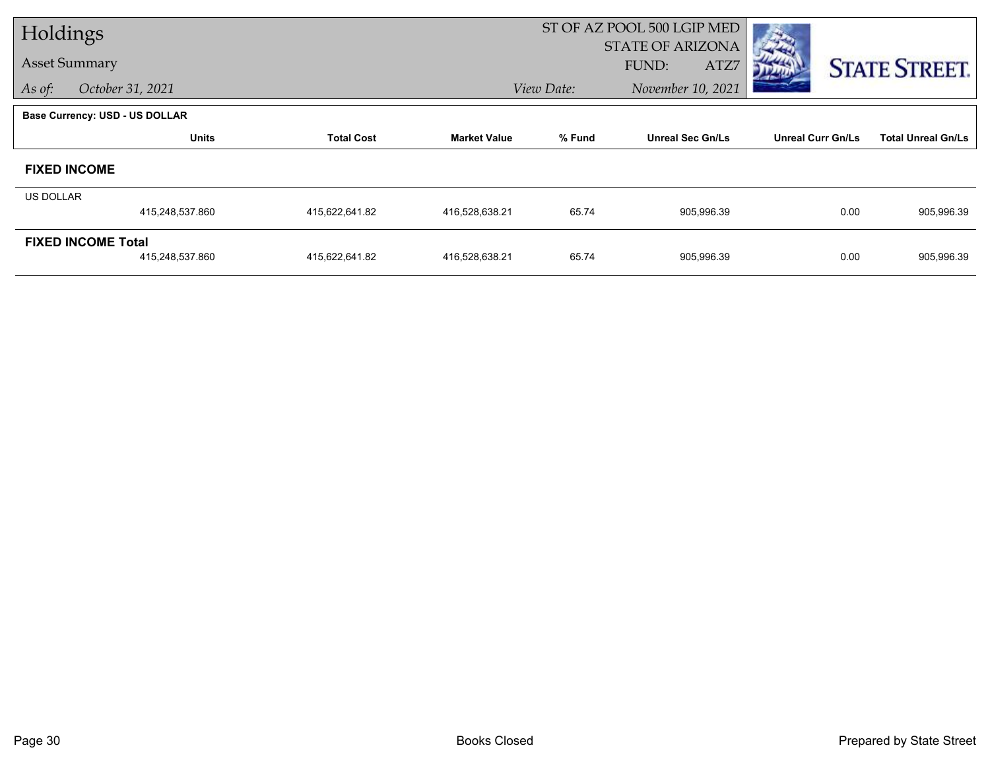| Holdings         |                                       |                   |                     | ST OF AZ POOL 500 LGIP MED |                         |                          |                           |
|------------------|---------------------------------------|-------------------|---------------------|----------------------------|-------------------------|--------------------------|---------------------------|
|                  |                                       |                   |                     |                            | <b>STATE OF ARIZONA</b> |                          |                           |
|                  | <b>Asset Summary</b>                  |                   |                     |                            | FUND:<br>ATZ7           |                          | <b>STATE STREET.</b>      |
| As of:           | October 31, 2021                      |                   |                     | View Date:                 | November 10, 2021       |                          |                           |
|                  | <b>Base Currency: USD - US DOLLAR</b> |                   |                     |                            |                         |                          |                           |
|                  | <b>Units</b>                          | <b>Total Cost</b> | <b>Market Value</b> | % Fund                     | <b>Unreal Sec Gn/Ls</b> | <b>Unreal Curr Gn/Ls</b> | <b>Total Unreal Gn/Ls</b> |
|                  | <b>FIXED INCOME</b>                   |                   |                     |                            |                         |                          |                           |
| <b>US DOLLAR</b> |                                       |                   |                     |                            |                         |                          |                           |
|                  | 415,248,537.860                       | 415,622,641.82    | 416,528,638.21      | 65.74                      | 905,996.39              | 0.00                     | 905,996.39                |
|                  | <b>FIXED INCOME Total</b>             |                   |                     |                            |                         |                          |                           |
|                  | 415,248,537.860                       | 415,622,641.82    | 416,528,638.21      | 65.74                      | 905,996.39              | 0.00                     | 905,996.39                |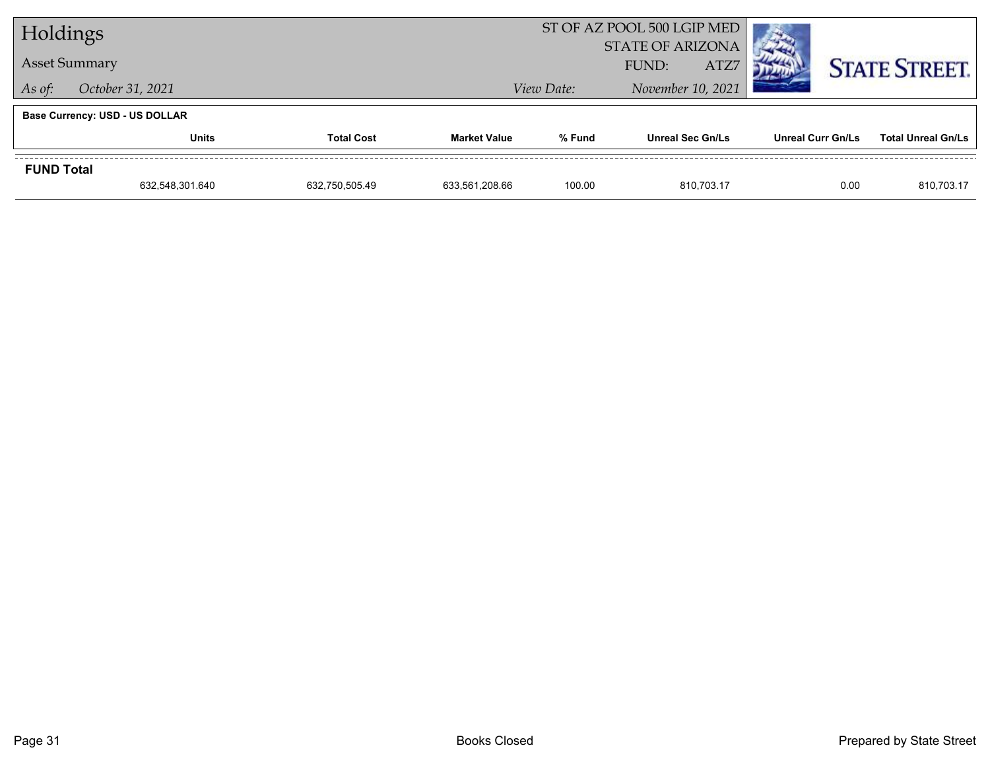| Holdings          |                                       |                   |                     |                         | ST OF AZ POOL 500 LGIP MED |                          |                           |
|-------------------|---------------------------------------|-------------------|---------------------|-------------------------|----------------------------|--------------------------|---------------------------|
|                   |                                       |                   |                     | <b>STATE OF ARIZONA</b> |                            |                          |                           |
|                   | <b>Asset Summary</b>                  |                   |                     |                         | ATZ7<br>FUND:              |                          | <b>STATE STREET.</b>      |
| As of:            | October 31, 2021                      |                   |                     | View Date:              | November 10, 2021          |                          |                           |
|                   | <b>Base Currency: USD - US DOLLAR</b> |                   |                     |                         |                            |                          |                           |
|                   | <b>Units</b>                          | <b>Total Cost</b> | <b>Market Value</b> | % Fund                  | <b>Unreal Sec Gn/Ls</b>    | <b>Unreal Curr Gn/Ls</b> | <b>Total Unreal Gn/Ls</b> |
| <b>FUND Total</b> |                                       |                   |                     |                         |                            |                          |                           |
|                   | 632,548,301.640                       | 632.750.505.49    | 633,561,208.66      | 100.00                  | 810.703.17                 | 0.00                     | 810,703.17                |